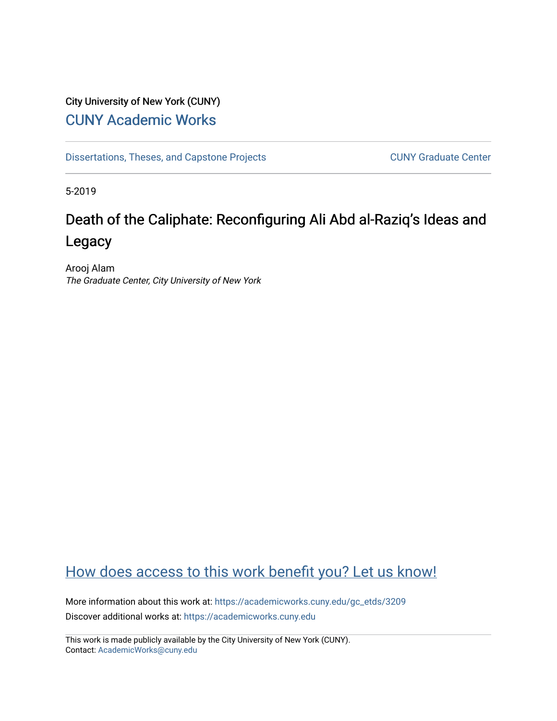## City University of New York (CUNY) [CUNY Academic Works](https://academicworks.cuny.edu/)

[Dissertations, Theses, and Capstone Projects](https://academicworks.cuny.edu/gc_etds) CUNY Graduate Center

5-2019

# Death of the Caliphate: Reconfiguring Ali Abd al-Raziq's Ideas and Legacy

Arooj Alam The Graduate Center, City University of New York

## [How does access to this work benefit you? Let us know!](http://ols.cuny.edu/academicworks/?ref=https://academicworks.cuny.edu/gc_etds/3209)

More information about this work at: [https://academicworks.cuny.edu/gc\\_etds/3209](https://academicworks.cuny.edu/gc_etds/3209) Discover additional works at: [https://academicworks.cuny.edu](https://academicworks.cuny.edu/?)

This work is made publicly available by the City University of New York (CUNY). Contact: [AcademicWorks@cuny.edu](mailto:AcademicWorks@cuny.edu)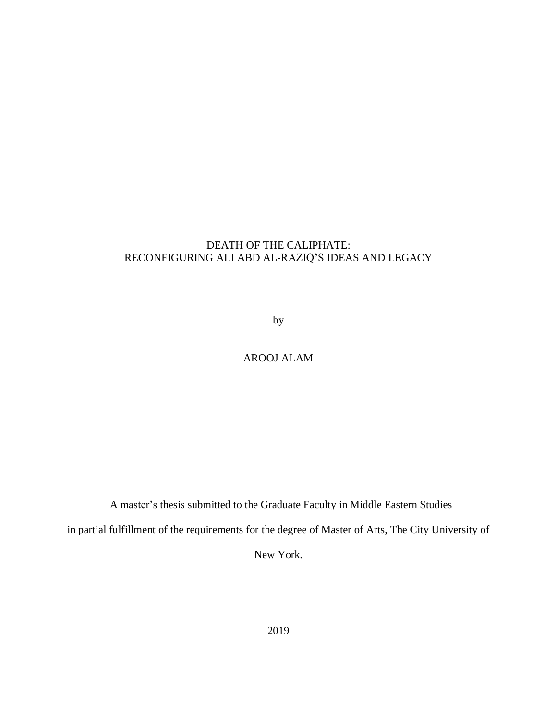### DEATH OF THE CALIPHATE: RECONFIGURING ALI ABD AL-RAZIQ'S IDEAS AND LEGACY

by

## AROOJ ALAM

A master's thesis submitted to the Graduate Faculty in Middle Eastern Studies

in partial fulfillment of the requirements for the degree of Master of Arts, The City University of

New York.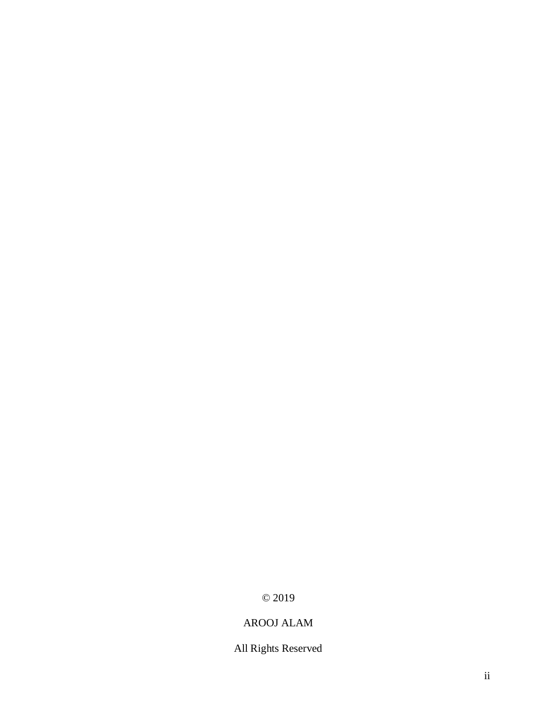## © 2019

## AROOJ ALAM

All Rights Reserved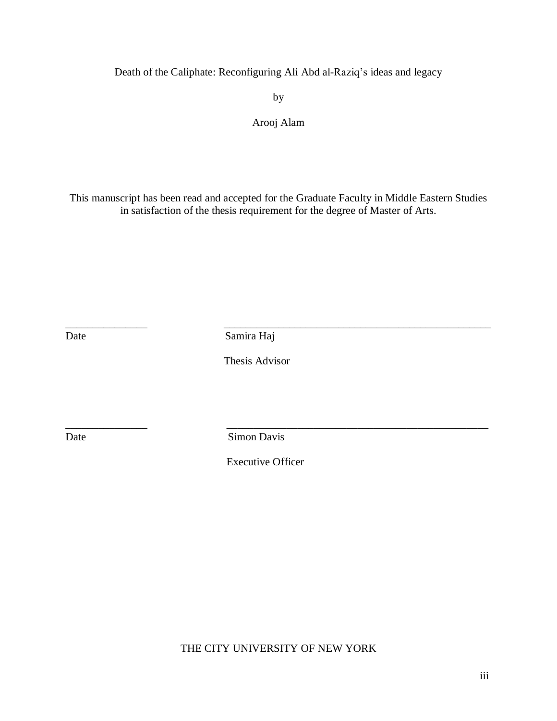Death of the Caliphate: Reconfiguring Ali Abd al-Raziq's ideas and legacy

by

### Arooj Alam

This manuscript has been read and accepted for the Graduate Faculty in Middle Eastern Studies in satisfaction of the thesis requirement for the degree of Master of Arts.

\_\_\_\_\_\_\_\_\_\_\_\_\_\_\_ \_\_\_\_\_\_\_\_\_\_\_\_\_\_\_\_\_\_\_\_\_\_\_\_\_\_\_\_\_\_\_\_\_\_\_\_\_\_\_\_\_\_\_\_\_\_\_\_\_ Date Samira Haj

Thesis Advisor

Date Simon Davis

Executive Officer

\_\_\_\_\_\_\_\_\_\_\_\_\_\_\_ \_\_\_\_\_\_\_\_\_\_\_\_\_\_\_\_\_\_\_\_\_\_\_\_\_\_\_\_\_\_\_\_\_\_\_\_\_\_\_\_\_\_\_\_\_\_\_\_

THE CITY UNIVERSITY OF NEW YORK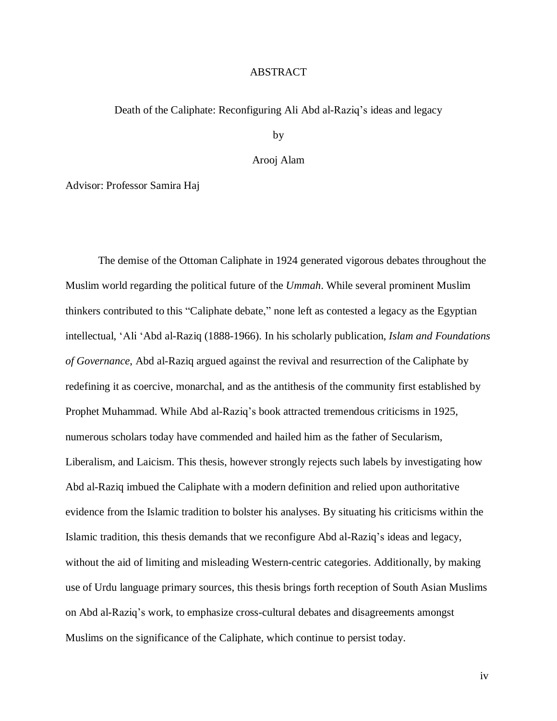#### ABSTRACT

#### Death of the Caliphate: Reconfiguring Ali Abd al-Raziq's ideas and legacy

by

#### Arooj Alam

Advisor: Professor Samira Haj

The demise of the Ottoman Caliphate in 1924 generated vigorous debates throughout the Muslim world regarding the political future of the *Ummah*. While several prominent Muslim thinkers contributed to this "Caliphate debate," none left as contested a legacy as the Egyptian intellectual, 'Ali 'Abd al-Raziq (1888-1966). In his scholarly publication, *Islam and Foundations of Governance*, Abd al-Raziq argued against the revival and resurrection of the Caliphate by redefining it as coercive, monarchal, and as the antithesis of the community first established by Prophet Muhammad. While Abd al-Raziq's book attracted tremendous criticisms in 1925, numerous scholars today have commended and hailed him as the father of Secularism, Liberalism, and Laicism. This thesis, however strongly rejects such labels by investigating how Abd al-Raziq imbued the Caliphate with a modern definition and relied upon authoritative evidence from the Islamic tradition to bolster his analyses. By situating his criticisms within the Islamic tradition, this thesis demands that we reconfigure Abd al-Raziq's ideas and legacy, without the aid of limiting and misleading Western-centric categories. Additionally, by making use of Urdu language primary sources, this thesis brings forth reception of South Asian Muslims on Abd al-Raziq's work, to emphasize cross-cultural debates and disagreements amongst Muslims on the significance of the Caliphate, which continue to persist today.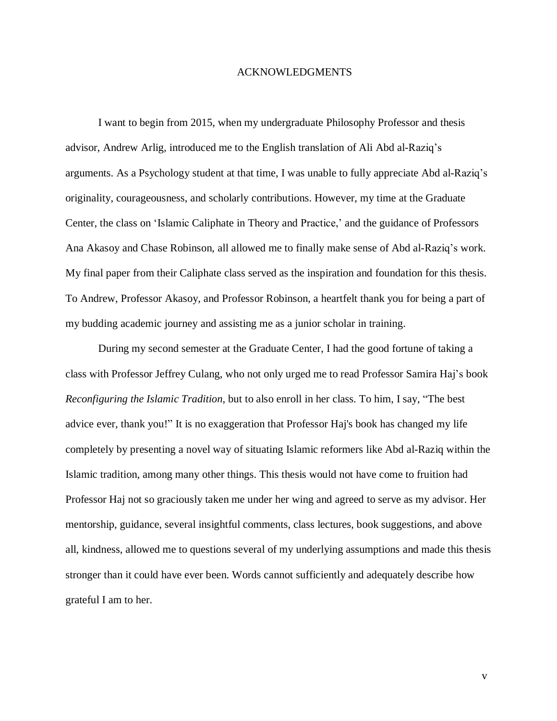#### ACKNOWLEDGMENTS

I want to begin from 2015, when my undergraduate Philosophy Professor and thesis advisor, Andrew Arlig, introduced me to the English translation of Ali Abd al-Raziq's arguments. As a Psychology student at that time, I was unable to fully appreciate Abd al-Raziq's originality, courageousness, and scholarly contributions. However, my time at the Graduate Center, the class on 'Islamic Caliphate in Theory and Practice,' and the guidance of Professors Ana Akasoy and Chase Robinson, all allowed me to finally make sense of Abd al-Raziq's work. My final paper from their Caliphate class served as the inspiration and foundation for this thesis. To Andrew, Professor Akasoy, and Professor Robinson, a heartfelt thank you for being a part of my budding academic journey and assisting me as a junior scholar in training.

During my second semester at the Graduate Center, I had the good fortune of taking a class with Professor Jeffrey Culang, who not only urged me to read Professor Samira Haj's book *Reconfiguring the Islamic Tradition*, but to also enroll in her class*.* To him, I say, "The best advice ever, thank you!" It is no exaggeration that Professor Haj's book has changed my life completely by presenting a novel way of situating Islamic reformers like Abd al-Raziq within the Islamic tradition, among many other things. This thesis would not have come to fruition had Professor Haj not so graciously taken me under her wing and agreed to serve as my advisor. Her mentorship, guidance, several insightful comments, class lectures, book suggestions, and above all, kindness, allowed me to questions several of my underlying assumptions and made this thesis stronger than it could have ever been. Words cannot sufficiently and adequately describe how grateful I am to her.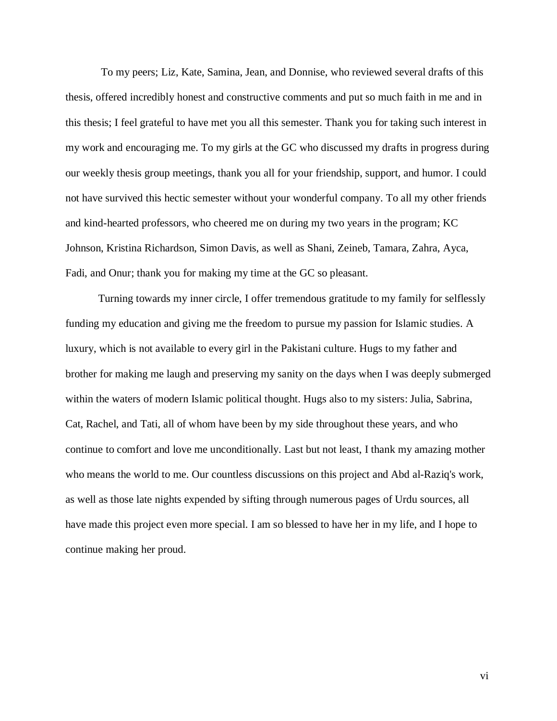To my peers; Liz, Kate, Samina, Jean, and Donnise, who reviewed several drafts of this thesis, offered incredibly honest and constructive comments and put so much faith in me and in this thesis; I feel grateful to have met you all this semester. Thank you for taking such interest in my work and encouraging me. To my girls at the GC who discussed my drafts in progress during our weekly thesis group meetings, thank you all for your friendship, support, and humor. I could not have survived this hectic semester without your wonderful company. To all my other friends and kind-hearted professors, who cheered me on during my two years in the program; KC Johnson, Kristina Richardson, Simon Davis, as well as Shani, Zeineb, Tamara, Zahra, Ayca, Fadi, and Onur; thank you for making my time at the GC so pleasant.

Turning towards my inner circle, I offer tremendous gratitude to my family for selflessly funding my education and giving me the freedom to pursue my passion for Islamic studies. A luxury, which is not available to every girl in the Pakistani culture. Hugs to my father and brother for making me laugh and preserving my sanity on the days when I was deeply submerged within the waters of modern Islamic political thought. Hugs also to my sisters: Julia, Sabrina, Cat, Rachel, and Tati, all of whom have been by my side throughout these years, and who continue to comfort and love me unconditionally. Last but not least, I thank my amazing mother who means the world to me. Our countless discussions on this project and Abd al-Raziq's work, as well as those late nights expended by sifting through numerous pages of Urdu sources, all have made this project even more special. I am so blessed to have her in my life, and I hope to continue making her proud.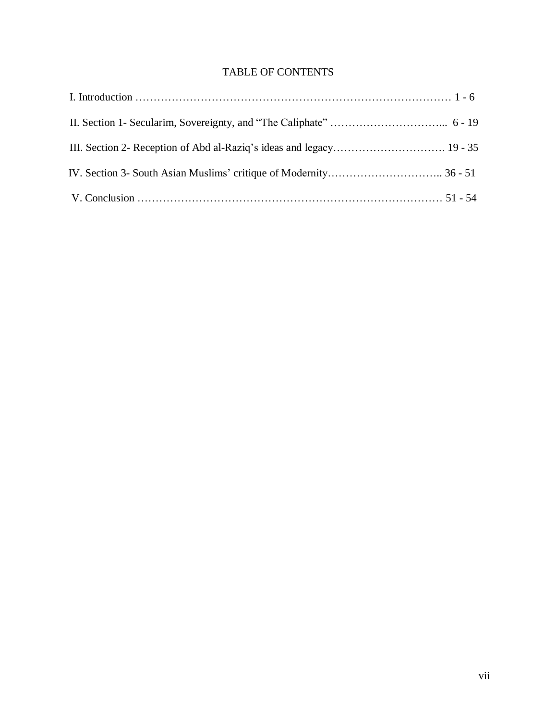## TABLE OF CONTENTS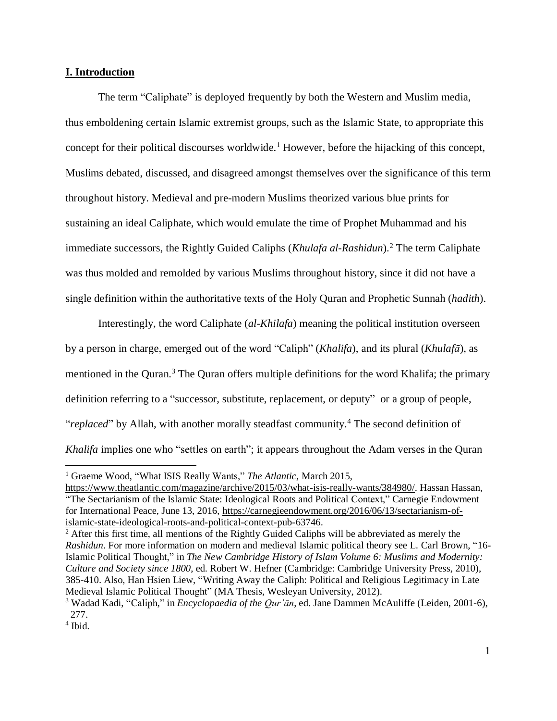#### **I. Introduction**

The term "Caliphate" is deployed frequently by both the Western and Muslim media, thus emboldening certain Islamic extremist groups, such as the Islamic State, to appropriate this concept for their political discourses worldwide.<sup>1</sup> However, before the hijacking of this concept, Muslims debated, discussed, and disagreed amongst themselves over the significance of this term throughout history. Medieval and pre-modern Muslims theorized various blue prints for sustaining an ideal Caliphate, which would emulate the time of Prophet Muhammad and his immediate successors, the Rightly Guided Caliphs (*Khulafa al-Rashidun*).<sup>2</sup> The term Caliphate was thus molded and remolded by various Muslims throughout history, since it did not have a single definition within the authoritative texts of the Holy Quran and Prophetic Sunnah (*hadith*).

Interestingly, the word Caliphate (*al-Khilafa*) meaning the political institution overseen by a person in charge, emerged out of the word "Caliph" (*Khalifa*), and its plural (*Khulafā*), as mentioned in the Quran.<sup>3</sup> The Quran offers multiple definitions for the word Khalifa; the primary definition referring to a "successor, substitute, replacement, or deputy" or a group of people, "*replaced*" by Allah, with another morally steadfast community.<sup>4</sup> The second definition of *Khalifa* implies one who "settles on earth"; it appears throughout the Adam verses in the Quran

<sup>1</sup> Graeme Wood, "What ISIS Really Wants," *The Atlantic*, March 2015,

[https://www.theatlantic.com/magazine/archive/2015/03/what-isis-really-wants/384980/.](https://www.theatlantic.com/magazine/archive/2015/03/what-isis-really-wants/384980/) Hassan Hassan, "The Sectarianism of the Islamic State: Ideological Roots and Political Context," Carnegie Endowment for International Peace, June 13, 2016, [https://carnegieendowment.org/2016/06/13/sectarianism-of](https://carnegieendowment.org/2016/06/13/sectarianism-of-islamic-state-ideological-roots-and-political-context-pub-63746)[islamic-state-ideological-roots-and-political-context-pub-63746.](https://carnegieendowment.org/2016/06/13/sectarianism-of-islamic-state-ideological-roots-and-political-context-pub-63746)

 $<sup>2</sup>$  After this first time, all mentions of the Rightly Guided Caliphs will be abbreviated as merely the</sup> *Rashidun*. For more information on modern and medieval Islamic political theory see L. Carl Brown, "16- Islamic Political Thought," in *The New Cambridge History of Islam Volume 6: Muslims and Modernity: Culture and Society since 1800*, ed. Robert W. Hefner (Cambridge: Cambridge University Press, 2010), 385-410. Also, Han Hsien Liew, "Writing Away the Caliph: Political and Religious Legitimacy in Late Medieval Islamic Political Thought" (MA Thesis, Wesleyan University, 2012).

<sup>3</sup> Wadad Kadi, "Caliph," in *Encyclopaedia of the Qurʾān*, ed. Jane Dammen McAuliffe (Leiden, 2001-6), 277.

<sup>4</sup> Ibid.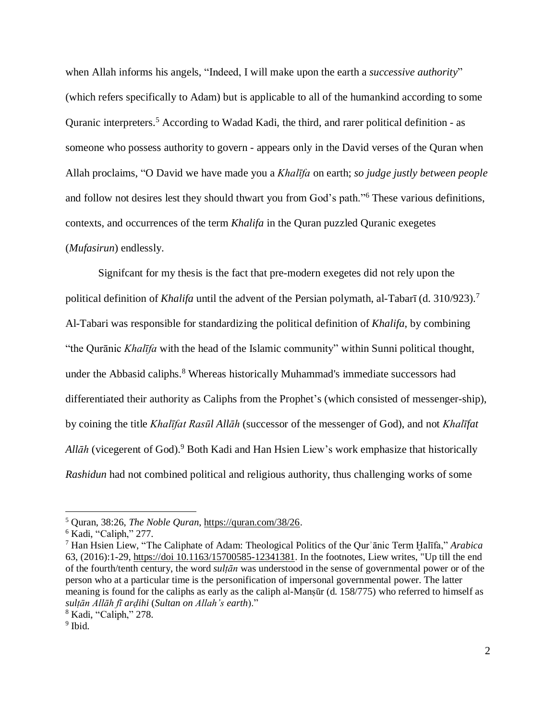when Allah informs his angels, "Indeed, I will make upon the earth a *successive authority*" (which refers specifically to Adam) but is applicable to all of the humankind according to some Quranic interpreters.<sup>5</sup> According to Wadad Kadi, the third, and rarer political definition - as someone who possess authority to govern - appears only in the David verses of the Quran when Allah proclaims, "O David we have made you a *Khalīfa* on earth; *so judge justly between people* and follow not desires lest they should thwart you from God's path."<sup>6</sup> These various definitions, contexts, and occurrences of the term *Khalifa* in the Quran puzzled Quranic exegetes (*Mufasirun*) endlessly.

Signifcant for my thesis is the fact that pre-modern exegetes did not rely upon the political definition of *Khalifa* until the advent of the Persian polymath, al-Tabarī (d. 310/923).<sup>7</sup> Al-Tabari was responsible for standardizing the political definition of *Khalifa*, by combining "the Qurānic *Khalīfa* with the head of the Islamic community" within Sunni political thought, under the Abbasid caliphs.<sup>8</sup> Whereas historically Muhammad's immediate successors had differentiated their authority as Caliphs from the Prophet's (which consisted of messenger-ship), by coining the title *Khalīfat Rasūl Allāh* (successor of the messenger of God), and not *Khalīfat Allāh* (vicegerent of God).<sup>9</sup> Both Kadi and Han Hsien Liew's work emphasize that historically *Rashidun* had not combined political and religious authority, thus challenging works of some

<sup>5</sup> Quran, 38:26, *The Noble Quran*, [https://quran.com/38/26.](https://quran.com/38/26)

 $6$  Kadi, "Caliph," 277.

<sup>7</sup> Han Hsien Liew, "The Caliphate of Adam: Theological Politics of the Qurʾānic Term Ḫalīfa," *Arabica* 63, (2016):1-29, https://doi 10.1163/15700585-12341381. In the footnotes, Liew writes, "Up till the end of the fourth/tenth century, the word *sulṭān* was understood in the sense of governmental power or of the person who at a particular time is the personification of impersonal governmental power. The latter meaning is found for the caliphs as early as the caliph al-Mansūr (d. 158/775) who referred to himself as *sulṭān Allāh fī arḍihi* (*Sultan on Allah's earth*)."

<sup>8</sup> Kadi, "Caliph," 278.

<sup>&</sup>lt;sup>9</sup> Ibid.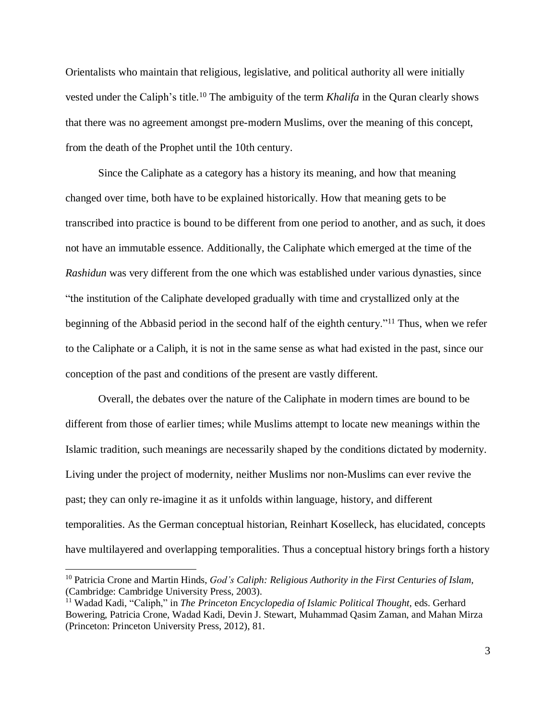Orientalists who maintain that religious, legislative, and political authority all were initially vested under the Caliph's title.<sup>10</sup> The ambiguity of the term *Khalifa* in the Quran clearly shows that there was no agreement amongst pre-modern Muslims, over the meaning of this concept, from the death of the Prophet until the 10th century.

Since the Caliphate as a category has a history its meaning, and how that meaning changed over time, both have to be explained historically. How that meaning gets to be transcribed into practice is bound to be different from one period to another, and as such, it does not have an immutable essence. Additionally, the Caliphate which emerged at the time of the *Rashidun* was very different from the one which was established under various dynasties, since "the institution of the Caliphate developed gradually with time and crystallized only at the beginning of the Abbasid period in the second half of the eighth century."<sup>11</sup> Thus, when we refer to the Caliphate or a Caliph, it is not in the same sense as what had existed in the past, since our conception of the past and conditions of the present are vastly different.

Overall, the debates over the nature of the Caliphate in modern times are bound to be different from those of earlier times; while Muslims attempt to locate new meanings within the Islamic tradition, such meanings are necessarily shaped by the conditions dictated by modernity. Living under the project of modernity, neither Muslims nor non-Muslims can ever revive the past; they can only re-imagine it as it unfolds within language, history, and different temporalities. As the German conceptual historian, Reinhart Koselleck, has elucidated, concepts have multilayered and overlapping temporalities. Thus a conceptual history brings forth a history

<sup>10</sup> Patricia Crone and Martin Hinds, *God's Caliph: Religious Authority in the First Centuries of Islam,* (Cambridge: Cambridge University Press, 2003).

<sup>11</sup> Wadad Kadi, "Caliph," in *The Princeton Encyclopedia of Islamic Political Thought,* eds. Gerhard Bowering, Patricia Crone, Wadad Kadi, Devin J. Stewart, Muhammad Qasim Zaman, and Mahan Mirza (Princeton: Princeton University Press, 2012), 81.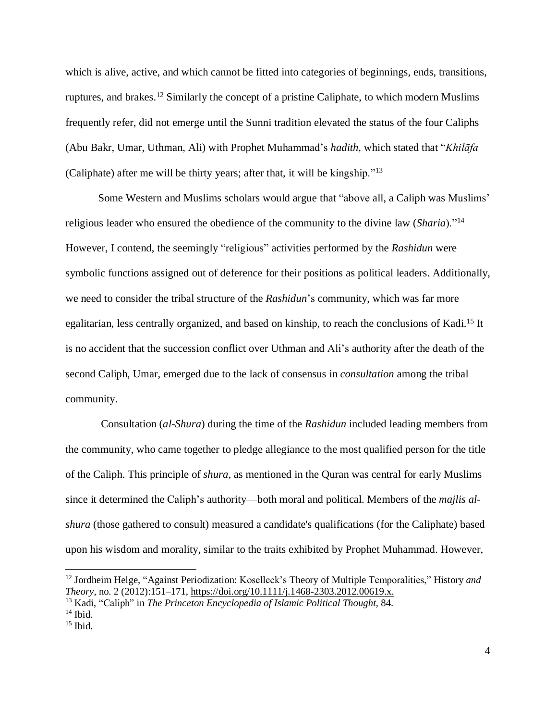which is alive, active, and which cannot be fitted into categories of beginnings, ends, transitions, ruptures, and brakes.<sup>12</sup> Similarly the concept of a pristine Caliphate, to which modern Muslims frequently refer, did not emerge until the Sunni tradition elevated the status of the four Caliphs (Abu Bakr, Umar, Uthman, Ali) with Prophet Muhammad's *hadith*, which stated that "*Khilāfa* (Caliphate) after me will be thirty years; after that, it will be kingship."<sup>13</sup>

Some Western and Muslims scholars would argue that "above all, a Caliph was Muslims' religious leader who ensured the obedience of the community to the divine law (*Sharia*)."<sup>14</sup> However, I contend, the seemingly "religious" activities performed by the *Rashidun* were symbolic functions assigned out of deference for their positions as political leaders. Additionally, we need to consider the tribal structure of the *Rashidun*'s community, which was far more egalitarian, less centrally organized, and based on kinship, to reach the conclusions of Kadi.<sup>15</sup> It is no accident that the succession conflict over Uthman and Ali's authority after the death of the second Caliph, Umar, emerged due to the lack of consensus in *consultation* among the tribal community.

Consultation (*al-Shura*) during the time of the *Rashidun* included leading members from the community, who came together to pledge allegiance to the most qualified person for the title of the Caliph. This principle of *shura*, as mentioned in the Quran was central for early Muslims since it determined the Caliph's authority—both moral and political. Members of the *majlis alshura* (those gathered to consult) measured a candidate's qualifications (for the Caliphate) based upon his wisdom and morality, similar to the traits exhibited by Prophet Muhammad. However,

<sup>12</sup> Jordheim Helge, "Against Periodization: Koselleck's Theory of Multiple Temporalities," History *and Theory*, no. 2 (2012):151–171, [https://doi.org/10.1111/j.1468-2303.2012.00619.x.](https://doi.org/10.1111/j.1468-2303.2012.00619.x)

<sup>13</sup> Kadi, "Caliph" in *The Princeton Encyclopedia of Islamic Political Thought*, 84.

 $14$  Ibid.

<sup>15</sup> Ibid.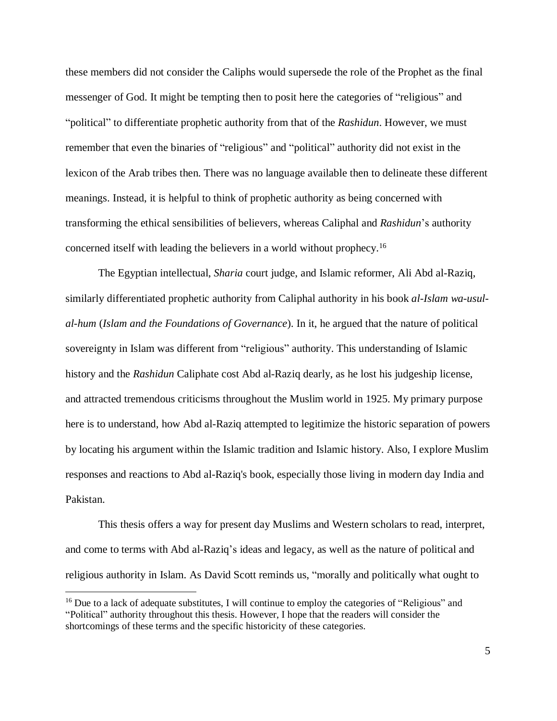these members did not consider the Caliphs would supersede the role of the Prophet as the final messenger of God. It might be tempting then to posit here the categories of "religious" and "political" to differentiate prophetic authority from that of the *Rashidun*. However, we must remember that even the binaries of "religious" and "political" authority did not exist in the lexicon of the Arab tribes then. There was no language available then to delineate these different meanings. Instead, it is helpful to think of prophetic authority as being concerned with transforming the ethical sensibilities of believers, whereas Caliphal and *Rashidun*'s authority concerned itself with leading the believers in a world without prophecy.<sup>16</sup>

The Egyptian intellectual, *Sharia* court judge, and Islamic reformer, Ali Abd al-Raziq, similarly differentiated prophetic authority from Caliphal authority in his book *al-Islam wa-usulal-hum* (*Islam and the Foundations of Governance*). In it, he argued that the nature of political sovereignty in Islam was different from "religious" authority. This understanding of Islamic history and the *Rashidun* Caliphate cost Abd al-Raziq dearly, as he lost his judgeship license, and attracted tremendous criticisms throughout the Muslim world in 1925. My primary purpose here is to understand, how Abd al-Raziq attempted to legitimize the historic separation of powers by locating his argument within the Islamic tradition and Islamic history. Also, I explore Muslim responses and reactions to Abd al-Raziq's book, especially those living in modern day India and Pakistan.

This thesis offers a way for present day Muslims and Western scholars to read, interpret, and come to terms with Abd al-Raziq's ideas and legacy, as well as the nature of political and religious authority in Islam. As David Scott reminds us, "morally and politically what ought to

<sup>&</sup>lt;sup>16</sup> Due to a lack of adequate substitutes, I will continue to employ the categories of "Religious" and "Political" authority throughout this thesis. However, I hope that the readers will consider the shortcomings of these terms and the specific historicity of these categories.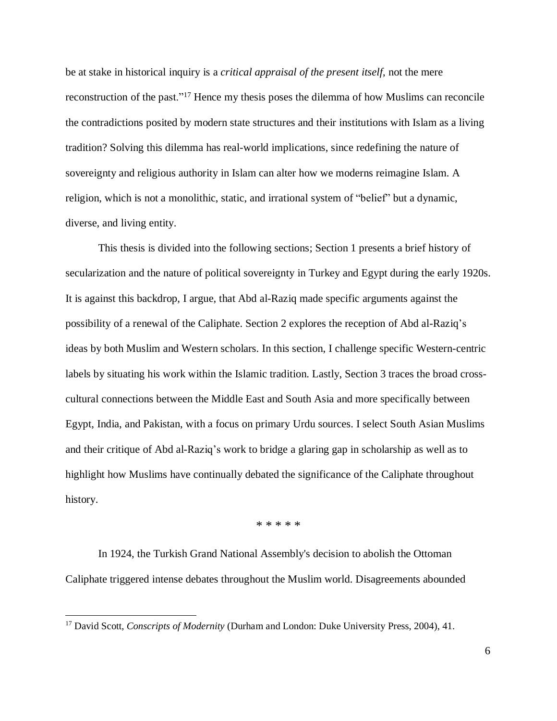be at stake in historical inquiry is a *critical appraisal of the present itself*, not the mere reconstruction of the past."<sup>17</sup> Hence my thesis poses the dilemma of how Muslims can reconcile the contradictions posited by modern state structures and their institutions with Islam as a living tradition? Solving this dilemma has real-world implications, since redefining the nature of sovereignty and religious authority in Islam can alter how we moderns reimagine Islam. A religion, which is not a monolithic, static, and irrational system of "belief" but a dynamic, diverse, and living entity.

This thesis is divided into the following sections; Section 1 presents a brief history of secularization and the nature of political sovereignty in Turkey and Egypt during the early 1920s. It is against this backdrop, I argue, that Abd al-Raziq made specific arguments against the possibility of a renewal of the Caliphate. Section 2 explores the reception of Abd al-Raziq's ideas by both Muslim and Western scholars. In this section, I challenge specific Western-centric labels by situating his work within the Islamic tradition. Lastly, Section 3 traces the broad crosscultural connections between the Middle East and South Asia and more specifically between Egypt, India, and Pakistan, with a focus on primary Urdu sources. I select South Asian Muslims and their critique of Abd al-Raziq's work to bridge a glaring gap in scholarship as well as to highlight how Muslims have continually debated the significance of the Caliphate throughout history.

\* \* \* \* \*

In 1924, the Turkish Grand National Assembly's decision to abolish the Ottoman Caliphate triggered intense debates throughout the Muslim world. Disagreements abounded

<sup>17</sup> David Scott, *Conscripts of Modernity* (Durham and London: Duke University Press, 2004), 41.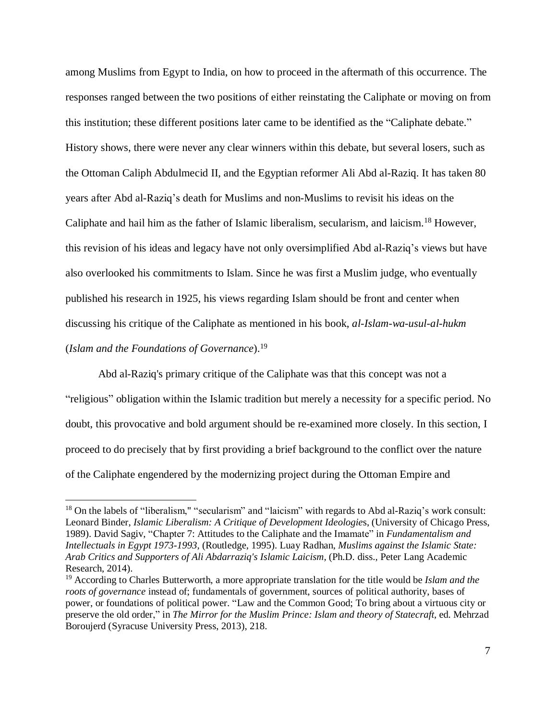among Muslims from Egypt to India, on how to proceed in the aftermath of this occurrence. The responses ranged between the two positions of either reinstating the Caliphate or moving on from this institution; these different positions later came to be identified as the "Caliphate debate." History shows, there were never any clear winners within this debate, but several losers, such as the Ottoman Caliph Abdulmecid II, and the Egyptian reformer Ali Abd al-Raziq. It has taken 80 years after Abd al-Raziq's death for Muslims and non-Muslims to revisit his ideas on the Caliphate and hail him as the father of Islamic liberalism, secularism, and laicism.<sup>18</sup> However, this revision of his ideas and legacy have not only oversimplified Abd al-Raziq's views but have also overlooked his commitments to Islam. Since he was first a Muslim judge, who eventually published his research in 1925, his views regarding Islam should be front and center when discussing his critique of the Caliphate as mentioned in his book, *al-Islam-wa-usul-al-hukm* (*Islam and the Foundations of Governance*).<sup>19</sup>

Abd al-Raziq's primary critique of the Caliphate was that this concept was not a "religious" obligation within the Islamic tradition but merely a necessity for a specific period. No doubt, this provocative and bold argument should be re-examined more closely. In this section, I proceed to do precisely that by first providing a brief background to the conflict over the nature of the Caliphate engendered by the modernizing project during the Ottoman Empire and

<sup>&</sup>lt;sup>18</sup> On the labels of "liberalism," "secularism" and "laicism" with regards to Abd al-Raziq's work consult: Leonard Binder, *Islamic Liberalism: A Critique of Development Ideologie*s, (University of Chicago Press, 1989). David Sagiv, "Chapter 7: Attitudes to the Caliphate and the Imamate" in *Fundamentalism and Intellectuals in Egypt 1973-1993,* (Routledge, 1995). Luay Radhan, *Muslims against the Islamic State: Arab Critics and Supporters of Ali Abdarraziq's Islamic Laicism,* (Ph.D. diss.*,* Peter Lang Academic Research, 2014).

<sup>19</sup> According to Charles Butterworth, a more appropriate translation for the title would be *Islam and the roots of governance* instead of; fundamentals of government, sources of political authority, bases of power, or foundations of political power. "Law and the Common Good; To bring about a virtuous city or preserve the old order," in *The Mirror for the Muslim Prince: Islam and theory of Statecraft,* ed. Mehrzad Boroujerd (Syracuse University Press, 2013), 218.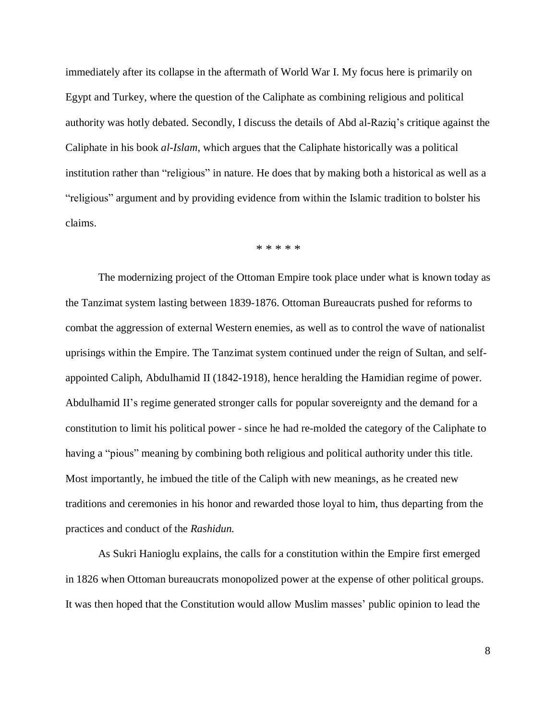immediately after its collapse in the aftermath of World War I. My focus here is primarily on Egypt and Turkey, where the question of the Caliphate as combining religious and political authority was hotly debated. Secondly, I discuss the details of Abd al-Raziq's critique against the Caliphate in his book *al-Islam*, which argues that the Caliphate historically was a political institution rather than "religious" in nature. He does that by making both a historical as well as a "religious" argument and by providing evidence from within the Islamic tradition to bolster his claims.

\* \* \* \* \*

The modernizing project of the Ottoman Empire took place under what is known today as the Tanzimat system lasting between 1839-1876. Ottoman Bureaucrats pushed for reforms to combat the aggression of external Western enemies, as well as to control the wave of nationalist uprisings within the Empire. The Tanzimat system continued under the reign of Sultan, and selfappointed Caliph, Abdulhamid II (1842-1918), hence heralding the Hamidian regime of power. Abdulhamid II's regime generated stronger calls for popular sovereignty and the demand for a constitution to limit his political power - since he had re-molded the category of the Caliphate to having a "pious" meaning by combining both religious and political authority under this title. Most importantly, he imbued the title of the Caliph with new meanings, as he created new traditions and ceremonies in his honor and rewarded those loyal to him, thus departing from the practices and conduct of the *Rashidun.*

As Sukri Hanioglu explains, the calls for a constitution within the Empire first emerged in 1826 when Ottoman bureaucrats monopolized power at the expense of other political groups. It was then hoped that the Constitution would allow Muslim masses' public opinion to lead the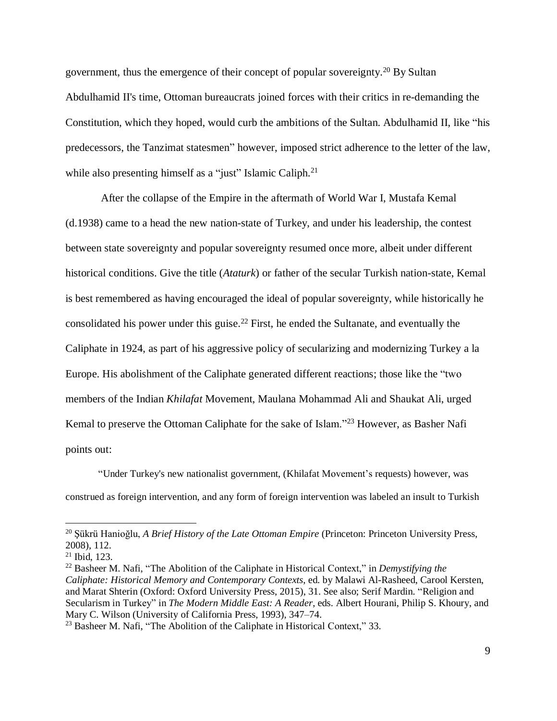government, thus the emergence of their concept of popular sovereignty.<sup>20</sup> By Sultan Abdulhamid II's time, Ottoman bureaucrats joined forces with their critics in re-demanding the Constitution, which they hoped, would curb the ambitions of the Sultan. Abdulhamid II, like "his predecessors, the Tanzimat statesmen" however, imposed strict adherence to the letter of the law, while also presenting himself as a "just" Islamic Caliph.<sup>21</sup>

After the collapse of the Empire in the aftermath of World War I, Mustafa Kemal (d.1938) came to a head the new nation-state of Turkey, and under his leadership, the contest between state sovereignty and popular sovereignty resumed once more, albeit under different historical conditions. Give the title (*Ataturk*) or father of the secular Turkish nation-state, Kemal is best remembered as having encouraged the ideal of popular sovereignty, while historically he consolidated his power under this guise.<sup>22</sup> First, he ended the Sultanate, and eventually the Caliphate in 1924, as part of his aggressive policy of secularizing and modernizing Turkey a la Europe. His abolishment of the Caliphate generated different reactions; those like the "two members of the Indian *Khilafat* Movement, Maulana Mohammad Ali and Shaukat Ali, urged Kemal to preserve the Ottoman Caliphate for the sake of Islam."<sup>23</sup> However, as Basher Nafi points out:

"Under Turkey's new nationalist government, (Khilafat Movement's requests) however, was construed as foreign intervention, and any form of foreign intervention was labeled an insult to Turkish

<sup>20</sup> Şükrü Hanioğlu, *A Brief History of the Late Ottoman Empire* (Princeton: Princeton University Press, 2008), 112.

<sup>21</sup> Ibid, 123.

<sup>22</sup> Basheer M. Nafi, "The Abolition of the Caliphate in Historical Context," in *Demystifying the Caliphate: Historical Memory and Contemporary Contexts*, ed. by Malawi Al-Rasheed, Carool Kersten, and Marat Shterin (Oxford: Oxford University Press, 2015), 31. See also; Serif Mardin. "Religion and Secularism in Turkey" in *The Modern Middle East: A Reader*, eds. Albert Hourani, Philip S. Khoury, and Mary C. Wilson (University of California Press, 1993), 347–74.

<sup>&</sup>lt;sup>23</sup> Basheer M. Nafi, "The Abolition of the Caliphate in Historical Context," 33.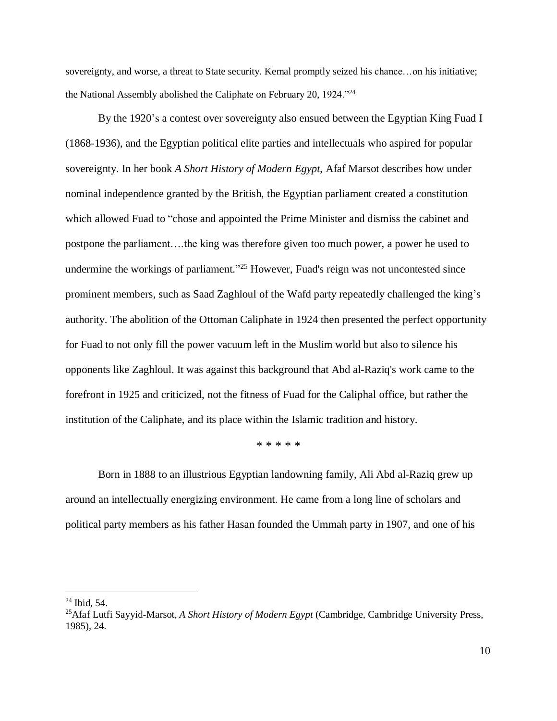sovereignty, and worse, a threat to State security. Kemal promptly seized his chance...on his initiative; the National Assembly abolished the Caliphate on February 20, 1924."<sup>24</sup>

By the 1920's a contest over sovereignty also ensued between the Egyptian King Fuad I (1868-1936), and the Egyptian political elite parties and intellectuals who aspired for popular sovereignty. In her book *A Short History of Modern Egypt*, Afaf Marsot describes how under nominal independence granted by the British, the Egyptian parliament created a constitution which allowed Fuad to "chose and appointed the Prime Minister and dismiss the cabinet and postpone the parliament….the king was therefore given too much power, a power he used to undermine the workings of parliament."<sup>25</sup> However, Fuad's reign was not uncontested since prominent members, such as Saad Zaghloul of the Wafd party repeatedly challenged the king's authority. The abolition of the Ottoman Caliphate in 1924 then presented the perfect opportunity for Fuad to not only fill the power vacuum left in the Muslim world but also to silence his opponents like Zaghloul. It was against this background that Abd al-Raziq's work came to the forefront in 1925 and criticized, not the fitness of Fuad for the Caliphal office, but rather the institution of the Caliphate, and its place within the Islamic tradition and history.

\* \* \* \* \*

Born in 1888 to an illustrious Egyptian landowning family, Ali Abd al-Raziq grew up around an intellectually energizing environment. He came from a long line of scholars and political party members as his father Hasan founded the Ummah party in 1907, and one of his

 $24$  Ibid, 54.

<sup>25</sup>Afaf Lutfi Sayyid-Marsot, *A Short History of Modern Egypt* (Cambridge, Cambridge University Press, 1985), 24.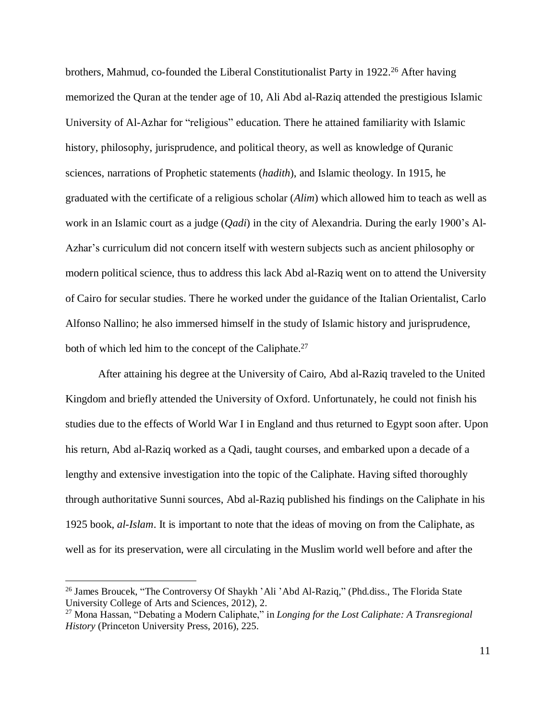brothers, Mahmud, co-founded the Liberal Constitutionalist Party in 1922.<sup>26</sup> After having memorized the Quran at the tender age of 10, Ali Abd al-Raziq attended the prestigious Islamic University of Al-Azhar for "religious" education. There he attained familiarity with Islamic history, philosophy, jurisprudence, and political theory, as well as knowledge of Quranic sciences, narrations of Prophetic statements (*hadith*), and Islamic theology. In 1915, he graduated with the certificate of a religious scholar (*Alim*) which allowed him to teach as well as work in an Islamic court as a judge (*Qadi*) in the city of Alexandria. During the early 1900's Al-Azhar's curriculum did not concern itself with western subjects such as ancient philosophy or modern political science, thus to address this lack Abd al-Raziq went on to attend the University of Cairo for secular studies. There he worked under the guidance of the Italian Orientalist, Carlo Alfonso Nallino; he also immersed himself in the study of Islamic history and jurisprudence, both of which led him to the concept of the Caliphate.<sup>27</sup>

After attaining his degree at the University of Cairo, Abd al-Raziq traveled to the United Kingdom and briefly attended the University of Oxford. Unfortunately, he could not finish his studies due to the effects of World War I in England and thus returned to Egypt soon after. Upon his return, Abd al-Raziq worked as a Qadi, taught courses, and embarked upon a decade of a lengthy and extensive investigation into the topic of the Caliphate. Having sifted thoroughly through authoritative Sunni sources, Abd al-Raziq published his findings on the Caliphate in his 1925 book, *al-Islam*. It is important to note that the ideas of moving on from the Caliphate, as well as for its preservation, were all circulating in the Muslim world well before and after the

<sup>&</sup>lt;sup>26</sup> James Broucek, "The Controversy Of Shaykh 'Ali 'Abd Al-Raziq," (Phd.diss., The Florida State University College of Arts and Sciences, 2012), 2.

<sup>27</sup> Mona Hassan, "Debating a Modern Caliphate," in *Longing for the Lost Caliphate: A Transregional History* (Princeton University Press, 2016), 225.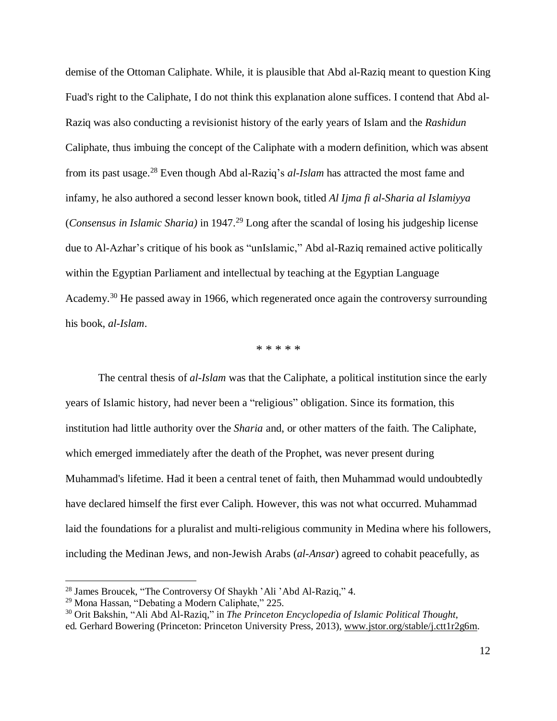demise of the Ottoman Caliphate. While, it is plausible that Abd al-Raziq meant to question King Fuad's right to the Caliphate, I do not think this explanation alone suffices. I contend that Abd al-Raziq was also conducting a revisionist history of the early years of Islam and the *Rashidun* Caliphate, thus imbuing the concept of the Caliphate with a modern definition, which was absent from its past usage.<sup>28</sup> Even though Abd al-Raziq's *al-Islam* has attracted the most fame and infamy, he also authored a second lesser known book, titled *Al Ijma fi al-Sharia al Islamiyya* (*Consensus in Islamic Sharia)* in 1947.<sup>29</sup> Long after the scandal of losing his judgeship license due to Al-Azhar's critique of his book as "unIslamic," Abd al-Raziq remained active politically within the Egyptian Parliament and intellectual by teaching at the Egyptian Language Academy.<sup>30</sup> He passed away in 1966, which regenerated once again the controversy surrounding his book, *al-Islam*.

\* \* \* \* \*

The central thesis of *al-Islam* was that the Caliphate, a political institution since the early years of Islamic history, had never been a "religious" obligation. Since its formation, this institution had little authority over the *Sharia* and, or other matters of the faith. The Caliphate, which emerged immediately after the death of the Prophet, was never present during Muhammad's lifetime. Had it been a central tenet of faith, then Muhammad would undoubtedly have declared himself the first ever Caliph. However, this was not what occurred. Muhammad laid the foundations for a pluralist and multi-religious community in Medina where his followers, including the Medinan Jews, and non-Jewish Arabs (*al-Ansar*) agreed to cohabit peacefully, as

<sup>28</sup> James Broucek, "The Controversy Of Shaykh 'Ali 'Abd Al-Raziq," 4.

<sup>29</sup> Mona Hassan, "Debating a Modern Caliphate," 225.

<sup>30</sup> Orit Bakshin, "Ali Abd Al-Raziq," in *The Princeton Encyclopedia of Islamic Political Thought*, ed*.* Gerhard Bowering (Princeton: Princeton University Press, 2013), [www.jstor.org/stable/j.ctt1r2g6m.](http://www.jstor.org/stable/j.ctt1r2g6m)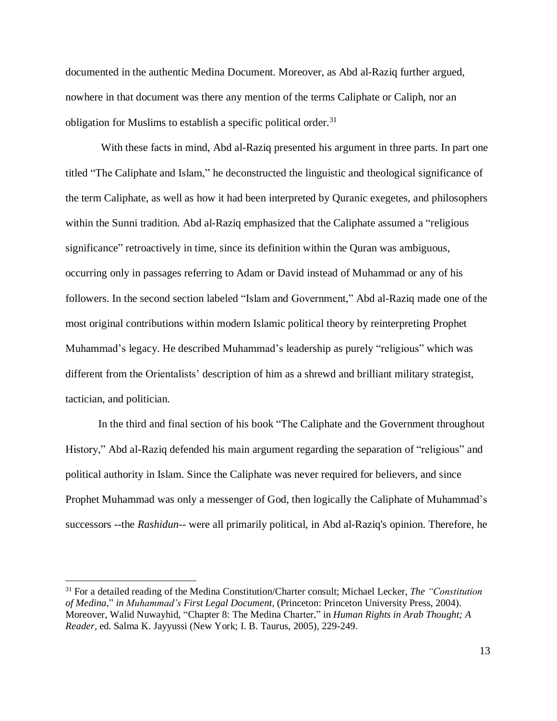documented in the authentic Medina Document. Moreover, as Abd al-Raziq further argued, nowhere in that document was there any mention of the terms Caliphate or Caliph, nor an obligation for Muslims to establish a specific political order.<sup>31</sup>

With these facts in mind, Abd al-Raziq presented his argument in three parts. In part one titled "The Caliphate and Islam," he deconstructed the linguistic and theological significance of the term Caliphate, as well as how it had been interpreted by Quranic exegetes, and philosophers within the Sunni tradition. Abd al-Raziq emphasized that the Caliphate assumed a "religious significance" retroactively in time, since its definition within the Quran was ambiguous, occurring only in passages referring to Adam or David instead of Muhammad or any of his followers. In the second section labeled "Islam and Government," Abd al-Raziq made one of the most original contributions within modern Islamic political theory by reinterpreting Prophet Muhammad's legacy. He described Muhammad's leadership as purely "religious" which was different from the Orientalists' description of him as a shrewd and brilliant military strategist, tactician, and politician.

In the third and final section of his book "The Caliphate and the Government throughout History," Abd al-Raziq defended his main argument regarding the separation of "religious" and political authority in Islam. Since the Caliphate was never required for believers, and since Prophet Muhammad was only a messenger of God, then logically the Caliphate of Muhammad's successors --the *Rashidun*-- were all primarily political, in Abd al-Raziq's opinion. Therefore, he

<sup>31</sup> For a detailed reading of the Medina Constitution/Charter consult; Michael Lecker, *The "Constitution of Medina*," *in Muhammad's First Legal Document*, (Princeton: Princeton University Press, 2004). Moreover, Walid Nuwayhid, "Chapter 8: The Medina Charter," in *Human Rights in Arab Thought; A Reader,* ed. Salma K. Jayyussi (New York; I. B. Taurus, 2005), 229-249.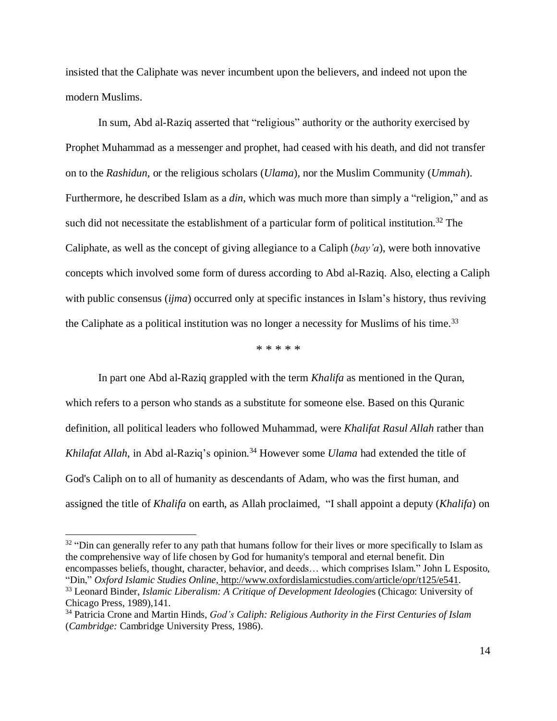insisted that the Caliphate was never incumbent upon the believers, and indeed not upon the modern Muslims.

In sum, Abd al-Raziq asserted that "religious" authority or the authority exercised by Prophet Muhammad as a messenger and prophet, had ceased with his death, and did not transfer on to the *Rashidun*, or the religious scholars (*Ulama*), nor the Muslim Community (*Ummah*). Furthermore, he described Islam as a *din*, which was much more than simply a "religion," and as such did not necessitate the establishment of a particular form of political institution.<sup>32</sup> The Caliphate, as well as the concept of giving allegiance to a Caliph (*bay'a*), were both innovative concepts which involved some form of duress according to Abd al-Raziq. Also, electing a Caliph with public consensus *(ijma)* occurred only at specific instances in Islam's history, thus reviving the Caliphate as a political institution was no longer a necessity for Muslims of his time.<sup>33</sup>

\* \* \* \* \*

In part one Abd al-Raziq grappled with the term *Khalifa* as mentioned in the Quran, which refers to a person who stands as a substitute for someone else. Based on this Quranic definition, all political leaders who followed Muhammad, were *Khalifat Rasul Allah* rather than *Khilafat Allah*, in Abd al-Raziq's opinion. <sup>34</sup> However some *Ulama* had extended the title of God's Caliph on to all of humanity as descendants of Adam, who was the first human, and assigned the title of *Khalifa* on earth, as Allah proclaimed, "I shall appoint a deputy (*Khalifa*) on

<sup>&</sup>lt;sup>32</sup> "Din can generally refer to any path that humans follow for their lives or more specifically to Islam as the comprehensive way of life chosen by God for humanity's temporal and eternal benefit. Din encompasses beliefs, thought, character, behavior, and deeds… which comprises Islam." John L Esposito, "Din," *Oxford Islamic Studies Online,* [http://www.oxfordislamicstudies.com/article/opr/t125/e541.](http://www.oxfordislamicstudies.com/article/opr/t125/e541)

<sup>33</sup> Leonard Binder, *Islamic Liberalism: A Critique of Development Ideologie*s (Chicago: University of Chicago Press, 1989),141.

<sup>34</sup> Patricia Crone and Martin Hinds, *God's Caliph: Religious Authority in the First Centuries of Islam* (*Cambridge:* Cambridge University Press, 1986).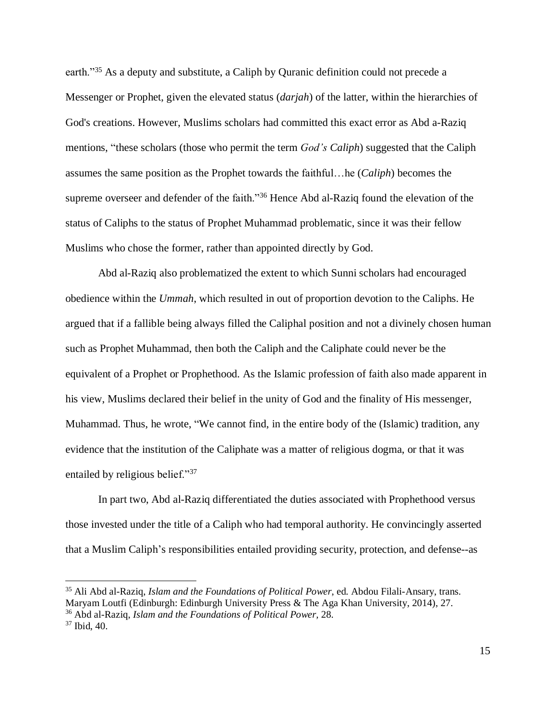earth."<sup>35</sup> As a deputy and substitute, a Caliph by Quranic definition could not precede a Messenger or Prophet, given the elevated status (*darjah*) of the latter, within the hierarchies of God's creations. However, Muslims scholars had committed this exact error as Abd a-Raziq mentions, "these scholars (those who permit the term *God's Caliph*) suggested that the Caliph assumes the same position as the Prophet towards the faithful…he (*Caliph*) becomes the supreme overseer and defender of the faith."<sup>36</sup> Hence Abd al-Raziq found the elevation of the status of Caliphs to the status of Prophet Muhammad problematic, since it was their fellow Muslims who chose the former, rather than appointed directly by God.

Abd al-Raziq also problematized the extent to which Sunni scholars had encouraged obedience within the *Ummah*, which resulted in out of proportion devotion to the Caliphs. He argued that if a fallible being always filled the Caliphal position and not a divinely chosen human such as Prophet Muhammad, then both the Caliph and the Caliphate could never be the equivalent of a Prophet or Prophethood. As the Islamic profession of faith also made apparent in his view, Muslims declared their belief in the unity of God and the finality of His messenger, Muhammad. Thus, he wrote, "We cannot find, in the entire body of the (Islamic) tradition, any evidence that the institution of the Caliphate was a matter of religious dogma, or that it was entailed by religious belief."<sup>37</sup>

In part two, Abd al-Raziq differentiated the duties associated with Prophethood versus those invested under the title of a Caliph who had temporal authority. He convincingly asserted that a Muslim Caliph's responsibilities entailed providing security, protection, and defense--as

<sup>35</sup> Ali Abd al-Raziq, *Islam and the Foundations of Political Power*, ed. Abdou Filali-Ansary, trans. Maryam Loutfi (Edinburgh: Edinburgh University Press & The Aga Khan University, 2014), 27.

<sup>36</sup> Abd al-Raziq, *Islam and the Foundations of Political Power,* 28.

<sup>37</sup> Ibid, 40.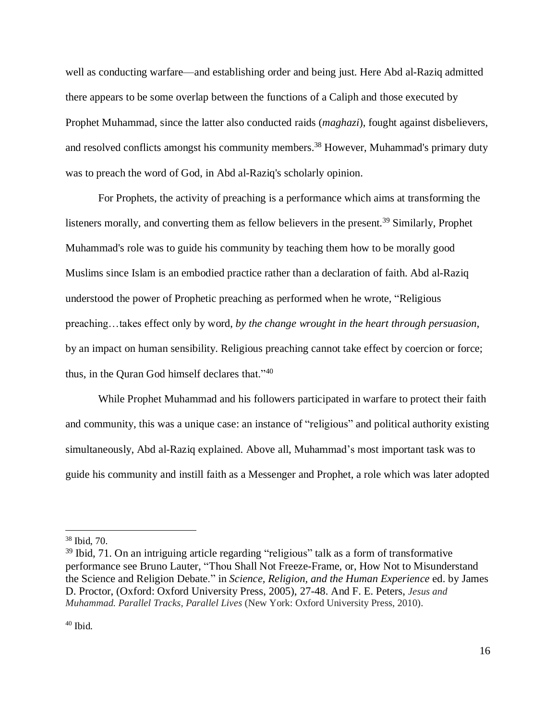well as conducting warfare—and establishing order and being just. Here Abd al-Raziq admitted there appears to be some overlap between the functions of a Caliph and those executed by Prophet Muhammad, since the latter also conducted raids (*maghazi*), fought against disbelievers, and resolved conflicts amongst his community members.<sup>38</sup> However, Muhammad's primary duty was to preach the word of God, in Abd al-Raziq's scholarly opinion.

For Prophets, the activity of preaching is a performance which aims at transforming the listeners morally, and converting them as fellow believers in the present.<sup>39</sup> Similarly, Prophet Muhammad's role was to guide his community by teaching them how to be morally good Muslims since Islam is an embodied practice rather than a declaration of faith. Abd al-Raziq understood the power of Prophetic preaching as performed when he wrote, "Religious preaching…takes effect only by word, *by the change wrought in the heart through persuasion*, by an impact on human sensibility. Religious preaching cannot take effect by coercion or force; thus, in the Quran God himself declares that."<sup>40</sup>

While Prophet Muhammad and his followers participated in warfare to protect their faith and community, this was a unique case: an instance of "religious" and political authority existing simultaneously, Abd al-Raziq explained. Above all, Muhammad's most important task was to guide his community and instill faith as a Messenger and Prophet, a role which was later adopted

<sup>38</sup> Ibid, 70.

<sup>&</sup>lt;sup>39</sup> Ibid, 71. On an intriguing article regarding "religious" talk as a form of transformative performance see Bruno Lauter, "Thou Shall Not Freeze-Frame, or, How Not to Misunderstand the Science and Religion Debate." in *Science, Religion, and the Human Experience* ed. by James D. Proctor, (Oxford: Oxford University Press, 2005), 27-48. And F. E. Peters, *Jesus and Muhammad. Parallel Tracks, Parallel Lives* (New York: Oxford University Press, 2010).

<sup>40</sup> Ibid.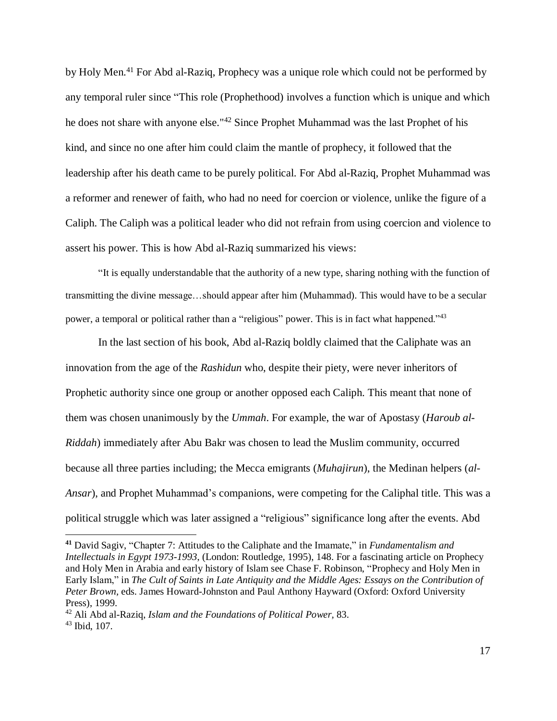by Holy Men.<sup>41</sup> For Abd al-Raziq, Prophecy was a unique role which could not be performed by any temporal ruler since "This role (Prophethood) involves a function which is unique and which he does not share with anyone else."<sup>42</sup> Since Prophet Muhammad was the last Prophet of his kind, and since no one after him could claim the mantle of prophecy, it followed that the leadership after his death came to be purely political. For Abd al-Raziq, Prophet Muhammad was a reformer and renewer of faith, who had no need for coercion or violence, unlike the figure of a Caliph. The Caliph was a political leader who did not refrain from using coercion and violence to assert his power. This is how Abd al-Raziq summarized his views:

"It is equally understandable that the authority of a new type, sharing nothing with the function of transmitting the divine message…should appear after him (Muhammad). This would have to be a secular power, a temporal or political rather than a "religious" power. This is in fact what happened."<sup>43</sup>

In the last section of his book, Abd al-Raziq boldly claimed that the Caliphate was an innovation from the age of the *Rashidun* who, despite their piety, were never inheritors of Prophetic authority since one group or another opposed each Caliph. This meant that none of them was chosen unanimously by the *Ummah*. For example, the war of Apostasy (*Haroub al-Riddah*) immediately after Abu Bakr was chosen to lead the Muslim community, occurred because all three parties including; the Mecca emigrants (*Muhajirun*), the Medinan helpers (*al-Ansar*), and Prophet Muhammad's companions, were competing for the Caliphal title. This was a political struggle which was later assigned a "religious" significance long after the events. Abd

**<sup>41</sup>** David Sagiv, "Chapter 7: Attitudes to the Caliphate and the Imamate," in *Fundamentalism and Intellectuals in Egypt 1973-1993*, (London: Routledge, 1995), 148. For a fascinating article on Prophecy and Holy Men in Arabia and early history of Islam see Chase F. Robinson, "Prophecy and Holy Men in Early Islam," in *The Cult of Saints in Late Antiquity and the Middle Ages: Essays on the Contribution of Peter Brown,* eds. James Howard-Johnston and Paul Anthony Hayward (Oxford: Oxford University Press), 1999.

<sup>42</sup> Ali Abd al-Raziq, *Islam and the Foundations of Political Power,* 83. <sup>43</sup> Ibid, 107.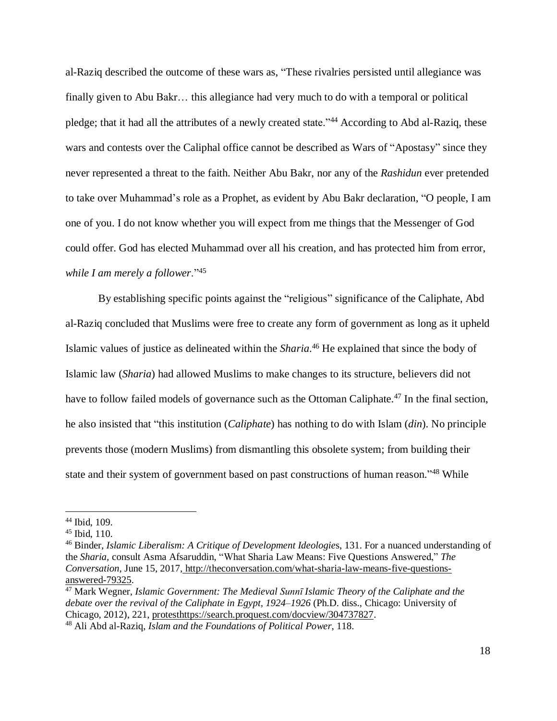al-Raziq described the outcome of these wars as, "These rivalries persisted until allegiance was finally given to Abu Bakr… this allegiance had very much to do with a temporal or political pledge; that it had all the attributes of a newly created state."<sup>44</sup> According to Abd al-Raziq, these wars and contests over the Caliphal office cannot be described as Wars of "Apostasy" since they never represented a threat to the faith. Neither Abu Bakr, nor any of the *Rashidun* ever pretended to take over Muhammad's role as a Prophet, as evident by Abu Bakr declaration, "O people, I am one of you. I do not know whether you will expect from me things that the Messenger of God could offer. God has elected Muhammad over all his creation, and has protected him from error, *while I am merely a follower*."<sup>45</sup>

By establishing specific points against the "religious" significance of the Caliphate, Abd al-Raziq concluded that Muslims were free to create any form of government as long as it upheld Islamic values of justice as delineated within the *Sharia*. <sup>46</sup> He explained that since the body of Islamic law (*Sharia*) had allowed Muslims to make changes to its structure, believers did not have to follow failed models of governance such as the Ottoman Caliphate.<sup>47</sup> In the final section, he also insisted that "this institution (*Caliphate*) has nothing to do with Islam (*din*). No principle prevents those (modern Muslims) from dismantling this obsolete system; from building their state and their system of government based on past constructions of human reason."<sup>48</sup> While

<sup>44</sup> Ibid, 109.

<sup>45</sup> Ibid, 110.

<sup>46</sup> Binder, *Islamic Liberalism: A Critique of Development Ideologie*s, 131. For a nuanced understanding of the *Sharia,* consult Asma Afsaruddin, "What Sharia Law Means: Five Questions Answered," *The Conversation*, June 15, 2017, [http://theconversation.com/what-sharia-law-means-five-questions](http://theconversation.com/what-sharia-law-means-five-questions-answered-79325)[answered-79325.](http://theconversation.com/what-sharia-law-means-five-questions-answered-79325)

<sup>47</sup> Mark Wegner, *Islamic Government: The Medieval Sunnī Islamic Theory of the Caliphate and the debate over the revival of the Caliphate in Egypt, 1924–1926* (Ph.D. diss., Chicago: University of Chicago, 2012), 221, protesthttps://search.proquest.com/docview/304737827. <sup>48</sup> Ali Abd al-Raziq, *Islam and the Foundations of Political Power*, 118.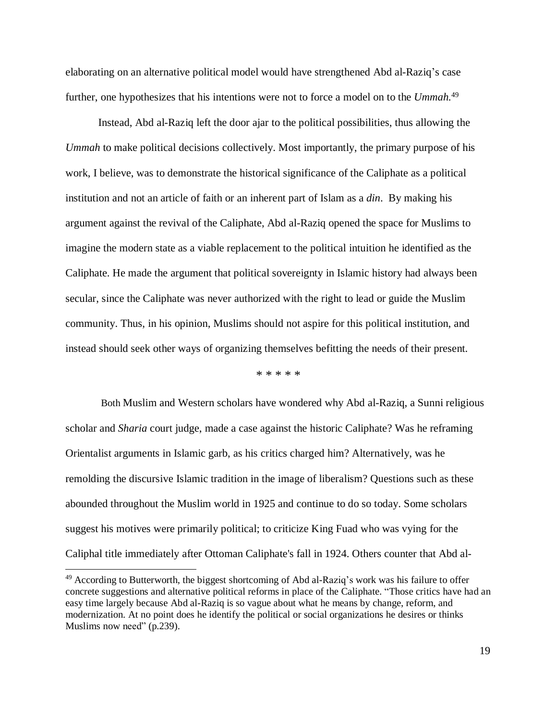elaborating on an alternative political model would have strengthened Abd al-Raziq's case further, one hypothesizes that his intentions were not to force a model on to the *Ummah.*<sup>49</sup>

Instead, Abd al-Raziq left the door ajar to the political possibilities, thus allowing the *Ummah* to make political decisions collectively. Most importantly, the primary purpose of his work, I believe, was to demonstrate the historical significance of the Caliphate as a political institution and not an article of faith or an inherent part of Islam as a *din*. By making his argument against the revival of the Caliphate, Abd al-Raziq opened the space for Muslims to imagine the modern state as a viable replacement to the political intuition he identified as the Caliphate. He made the argument that political sovereignty in Islamic history had always been secular, since the Caliphate was never authorized with the right to lead or guide the Muslim community. Thus, in his opinion, Muslims should not aspire for this political institution, and instead should seek other ways of organizing themselves befitting the needs of their present.

\* \* \* \* \*

Both Muslim and Western scholars have wondered why Abd al-Raziq, a Sunni religious scholar and *Sharia* court judge, made a case against the historic Caliphate? Was he reframing Orientalist arguments in Islamic garb, as his critics charged him? Alternatively, was he remolding the discursive Islamic tradition in the image of liberalism? Questions such as these abounded throughout the Muslim world in 1925 and continue to do so today. Some scholars suggest his motives were primarily political; to criticize King Fuad who was vying for the Caliphal title immediately after Ottoman Caliphate's fall in 1924. Others counter that Abd al-

<sup>&</sup>lt;sup>49</sup> According to Butterworth, the biggest shortcoming of Abd al-Raziq's work was his failure to offer concrete suggestions and alternative political reforms in place of the Caliphate. "Those critics have had an easy time largely because Abd al-Raziq is so vague about what he means by change, reform, and modernization. At no point does he identify the political or social organizations he desires or thinks Muslims now need" (p.239).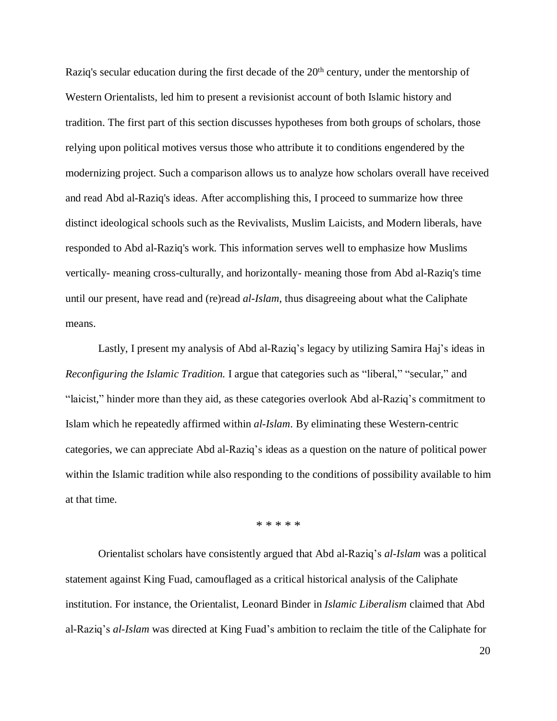Raziq's secular education during the first decade of the 20<sup>th</sup> century, under the mentorship of Western Orientalists, led him to present a revisionist account of both Islamic history and tradition. The first part of this section discusses hypotheses from both groups of scholars, those relying upon political motives versus those who attribute it to conditions engendered by the modernizing project. Such a comparison allows us to analyze how scholars overall have received and read Abd al-Raziq's ideas. After accomplishing this, I proceed to summarize how three distinct ideological schools such as the Revivalists, Muslim Laicists, and Modern liberals, have responded to Abd al-Raziq's work. This information serves well to emphasize how Muslims vertically- meaning cross-culturally, and horizontally- meaning those from Abd al-Raziq's time until our present, have read and (re)read *al-Islam*, thus disagreeing about what the Caliphate means.

Lastly, I present my analysis of Abd al-Raziq's legacy by utilizing Samira Haj's ideas in *Reconfiguring the Islamic Tradition.* I argue that categories such as "liberal," "secular," and "laicist," hinder more than they aid, as these categories overlook Abd al-Raziq's commitment to Islam which he repeatedly affirmed within *al-Islam*. By eliminating these Western-centric categories, we can appreciate Abd al-Raziq's ideas as a question on the nature of political power within the Islamic tradition while also responding to the conditions of possibility available to him at that time.

\* \* \* \* \*

Orientalist scholars have consistently argued that Abd al-Raziq's *al-Islam* was a political statement against King Fuad, camouflaged as a critical historical analysis of the Caliphate institution. For instance, the Orientalist, Leonard Binder in *Islamic Liberalism* claimed that Abd al-Raziq's *al-Islam* was directed at King Fuad's ambition to reclaim the title of the Caliphate for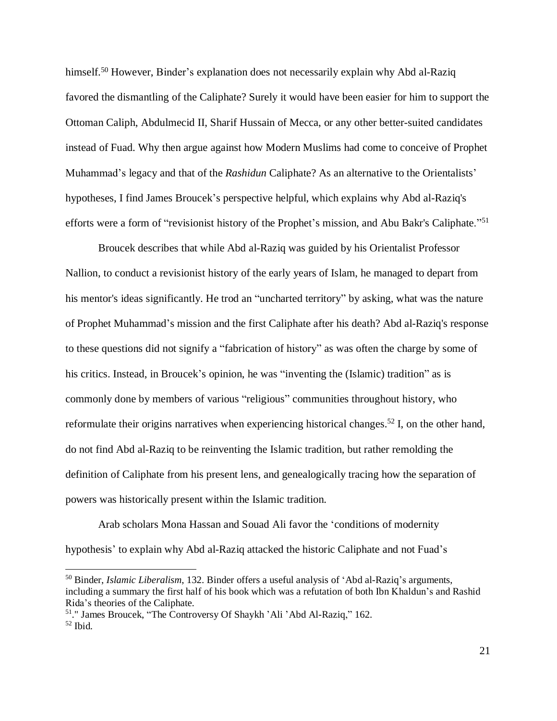himself.<sup>50</sup> However, Binder's explanation does not necessarily explain why Abd al-Raziq favored the dismantling of the Caliphate? Surely it would have been easier for him to support the Ottoman Caliph, Abdulmecid II, Sharif Hussain of Mecca, or any other better-suited candidates instead of Fuad. Why then argue against how Modern Muslims had come to conceive of Prophet Muhammad's legacy and that of the *Rashidun* Caliphate? As an alternative to the Orientalists' hypotheses, I find James Broucek's perspective helpful, which explains why Abd al-Raziq's efforts were a form of "revisionist history of the Prophet's mission, and Abu Bakr's Caliphate."<sup>51</sup>

Broucek describes that while Abd al-Raziq was guided by his Orientalist Professor Nallion, to conduct a revisionist history of the early years of Islam, he managed to depart from his mentor's ideas significantly. He trod an "uncharted territory" by asking, what was the nature of Prophet Muhammad's mission and the first Caliphate after his death? Abd al-Raziq's response to these questions did not signify a "fabrication of history" as was often the charge by some of his critics. Instead, in Broucek's opinion, he was "inventing the (Islamic) tradition" as is commonly done by members of various "religious" communities throughout history, who reformulate their origins narratives when experiencing historical changes.<sup>52</sup> I, on the other hand, do not find Abd al-Raziq to be reinventing the Islamic tradition, but rather remolding the definition of Caliphate from his present lens, and genealogically tracing how the separation of powers was historically present within the Islamic tradition.

Arab scholars Mona Hassan and Souad Ali favor the 'conditions of modernity hypothesis' to explain why Abd al-Raziq attacked the historic Caliphate and not Fuad's

<sup>50</sup> Binder, *Islamic Liberalism*, 132. Binder offers a useful analysis of 'Abd al-Raziq's arguments, including a summary the first half of his book which was a refutation of both Ibn Khaldun's and Rashid Rida's theories of the Caliphate.

<sup>51</sup>." James Broucek, "The Controversy Of Shaykh 'Ali 'Abd Al-Raziq," 162. <sup>52</sup> Ibid.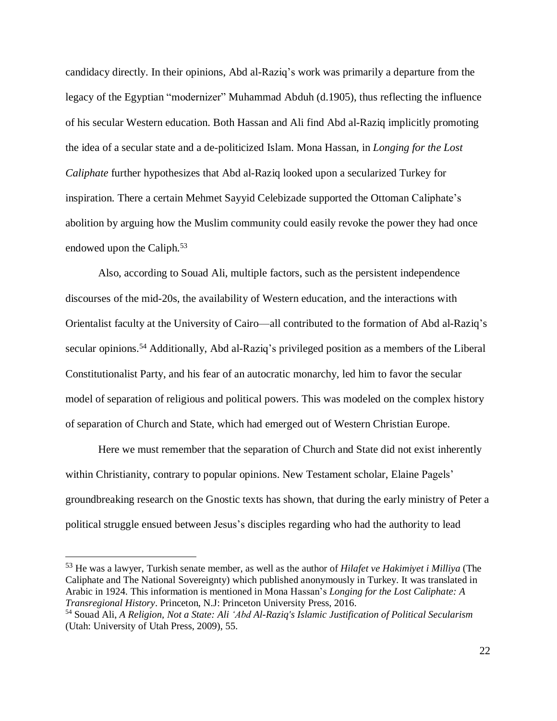candidacy directly. In their opinions, Abd al-Raziq's work was primarily a departure from the legacy of the Egyptian "modernizer" Muhammad Abduh (d.1905), thus reflecting the influence of his secular Western education. Both Hassan and Ali find Abd al-Raziq implicitly promoting the idea of a secular state and a de-politicized Islam. Mona Hassan, in *Longing for the Lost Caliphate* further hypothesizes that Abd al-Raziq looked upon a secularized Turkey for inspiration. There a certain Mehmet Sayyid Celebizade supported the Ottoman Caliphate's abolition by arguing how the Muslim community could easily revoke the power they had once endowed upon the Caliph.<sup>53</sup>

Also, according to Souad Ali, multiple factors, such as the persistent independence discourses of the mid-20s, the availability of Western education, and the interactions with Orientalist faculty at the University of Cairo—all contributed to the formation of Abd al-Raziq's secular opinions.<sup>54</sup> Additionally, Abd al-Raziq's privileged position as a members of the Liberal Constitutionalist Party, and his fear of an autocratic monarchy, led him to favor the secular model of separation of religious and political powers. This was modeled on the complex history of separation of Church and State, which had emerged out of Western Christian Europe.

Here we must remember that the separation of Church and State did not exist inherently within Christianity, contrary to popular opinions. New Testament scholar, Elaine Pagels' groundbreaking research on the Gnostic texts has shown, that during the early ministry of Peter a political struggle ensued between Jesus's disciples regarding who had the authority to lead

<sup>53</sup> He was a lawyer, Turkish senate member, as well as the author of *Hilafet ve Hakimiyet i Milliya* (The Caliphate and The National Sovereignty) which published anonymously in Turkey. It was translated in Arabic in 1924. This information is mentioned in Mona Hassan's *Longing for the Lost Caliphate: A Transregional History*. Princeton, N.J: Princeton University Press, 2016.

<sup>54</sup> Souad Ali, *A Religion, Not a State: Ali ʻAbd Al-Raziq's Islamic Justification of Political Secularism* (Utah: University of Utah Press, 2009), 55.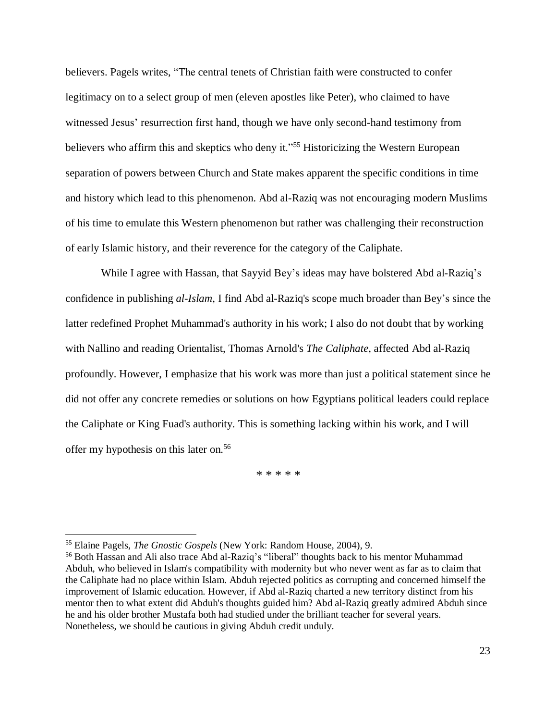believers. Pagels writes, "The central tenets of Christian faith were constructed to confer legitimacy on to a select group of men (eleven apostles like Peter), who claimed to have witnessed Jesus' resurrection first hand, though we have only second-hand testimony from believers who affirm this and skeptics who deny it."<sup>55</sup> Historicizing the Western European separation of powers between Church and State makes apparent the specific conditions in time and history which lead to this phenomenon. Abd al-Raziq was not encouraging modern Muslims of his time to emulate this Western phenomenon but rather was challenging their reconstruction of early Islamic history, and their reverence for the category of the Caliphate.

While I agree with Hassan, that Sayyid Bey's ideas may have bolstered Abd al-Raziq's confidence in publishing *al-Islam*, I find Abd al-Raziq's scope much broader than Bey's since the latter redefined Prophet Muhammad's authority in his work; I also do not doubt that by working with Nallino and reading Orientalist, Thomas Arnold's *The Caliphate*, affected Abd al-Raziq profoundly. However, I emphasize that his work was more than just a political statement since he did not offer any concrete remedies or solutions on how Egyptians political leaders could replace the Caliphate or King Fuad's authority. This is something lacking within his work, and I will offer my hypothesis on this later on.<sup>56</sup>

\* \* \* \* \*

<sup>55</sup> Elaine Pagels, *The Gnostic Gospels* (New York: Random House, 2004), 9.

<sup>56</sup> Both Hassan and Ali also trace Abd al-Raziq's "liberal" thoughts back to his mentor Muhammad Abduh, who believed in Islam's compatibility with modernity but who never went as far as to claim that the Caliphate had no place within Islam. Abduh rejected politics as corrupting and concerned himself the improvement of Islamic education. However, if Abd al-Raziq charted a new territory distinct from his mentor then to what extent did Abduh's thoughts guided him? Abd al-Raziq greatly admired Abduh since he and his older brother Mustafa both had studied under the brilliant teacher for several years. Nonetheless, we should be cautious in giving Abduh credit unduly.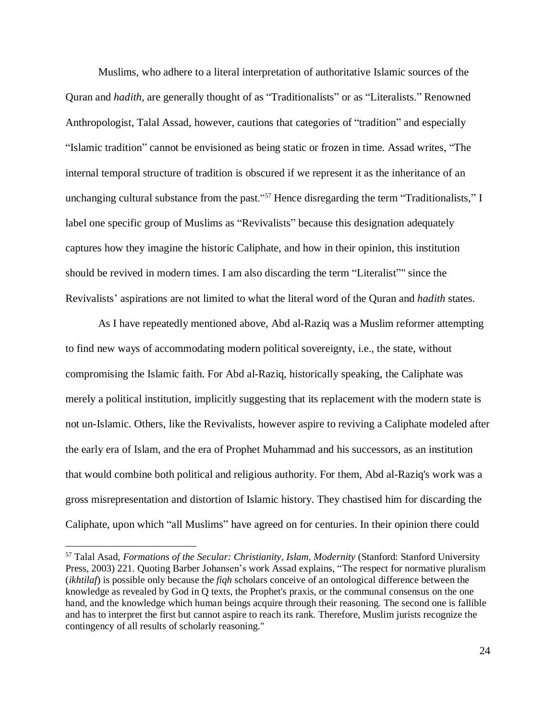Muslims, who adhere to a literal interpretation of authoritative Islamic sources of the Quran and *hadith*, are generally thought of as "Traditionalists" or as "Literalists." Renowned Anthropologist, Talal Assad, however, cautions that categories of "tradition" and especially "Islamic tradition" cannot be envisioned as being static or frozen in time. Assad writes, "The internal temporal structure of tradition is obscured if we represent it as the inheritance of an unchanging cultural substance from the past."<sup>57</sup> Hence disregarding the term "Traditionalists," I label one specific group of Muslims as "Revivalists" because this designation adequately captures how they imagine the historic Caliphate, and how in their opinion, this institution should be revived in modern times. I am also discarding the term "Literalist"" since the Revivalists' aspirations are not limited to what the literal word of the Quran and *hadith* states.

As I have repeatedly mentioned above, Abd al-Raziq was a Muslim reformer attempting to find new ways of accommodating modern political sovereignty, i.e., the state, without compromising the Islamic faith. For Abd al-Raziq, historically speaking, the Caliphate was merely a political institution, implicitly suggesting that its replacement with the modern state is not un-Islamic. Others, like the Revivalists, however aspire to reviving a Caliphate modeled after the early era of Islam, and the era of Prophet Muhammad and his successors, as an institution that would combine both political and religious authority. For them, Abd al-Raziq's work was a gross misrepresentation and distortion of Islamic history. They chastised him for discarding the Caliphate, upon which "all Muslims" have agreed on for centuries. In their opinion there could

<sup>57</sup> Talal Asad, *Formations of the Secular: Christianity, Islam, Modernity* (Stanford: Stanford University Press, 2003) 221. Quoting Barber Johansen's work Assad explains, "The respect for normative pluralism (*ikhtilaf*) is possible only because the *fiqh* scholars conceive of an ontological difference between the knowledge as revealed by God in Q texts, the Prophet's praxis, or the communal consensus on the one hand, and the knowledge which human beings acquire through their reasoning. The second one is fallible and has to interpret the first but cannot aspire to reach its rank. Therefore, Muslim jurists recognize the contingency of all results of scholarly reasoning."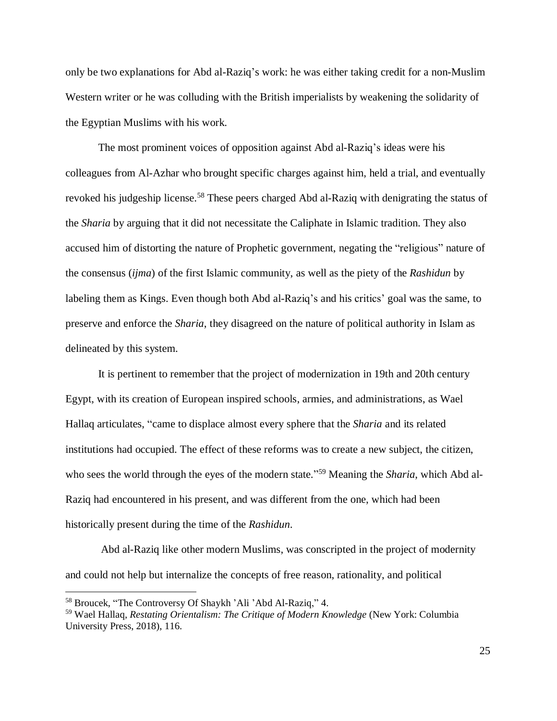only be two explanations for Abd al-Raziq's work: he was either taking credit for a non-Muslim Western writer or he was colluding with the British imperialists by weakening the solidarity of the Egyptian Muslims with his work.

The most prominent voices of opposition against Abd al-Raziq's ideas were his colleagues from Al-Azhar who brought specific charges against him, held a trial, and eventually revoked his judgeship license.<sup>58</sup> These peers charged Abd al-Raziq with denigrating the status of the *Sharia* by arguing that it did not necessitate the Caliphate in Islamic tradition. They also accused him of distorting the nature of Prophetic government, negating the "religious" nature of the consensus (*ijma*) of the first Islamic community, as well as the piety of the *Rashidun* by labeling them as Kings. Even though both Abd al-Raziq's and his critics' goal was the same, to preserve and enforce the *Sharia*, they disagreed on the nature of political authority in Islam as delineated by this system.

It is pertinent to remember that the project of modernization in 19th and 20th century Egypt, with its creation of European inspired schools, armies, and administrations, as Wael Hallaq articulates, "came to displace almost every sphere that the *Sharia* and its related institutions had occupied. The effect of these reforms was to create a new subject, the citizen, who sees the world through the eyes of the modern state." <sup>59</sup> Meaning the *Sharia*, which Abd al-Raziq had encountered in his present, and was different from the one, which had been historically present during the time of the *Rashidun*.

Abd al-Raziq like other modern Muslims, was conscripted in the project of modernity and could not help but internalize the concepts of free reason, rationality, and political

<sup>58</sup> Broucek, "The Controversy Of Shaykh 'Ali 'Abd Al-Raziq," 4.

<sup>59</sup> Wael Hallaq, *Restating Orientalism: The Critique of Modern Knowledge* (New York: Columbia University Press, 2018), 116.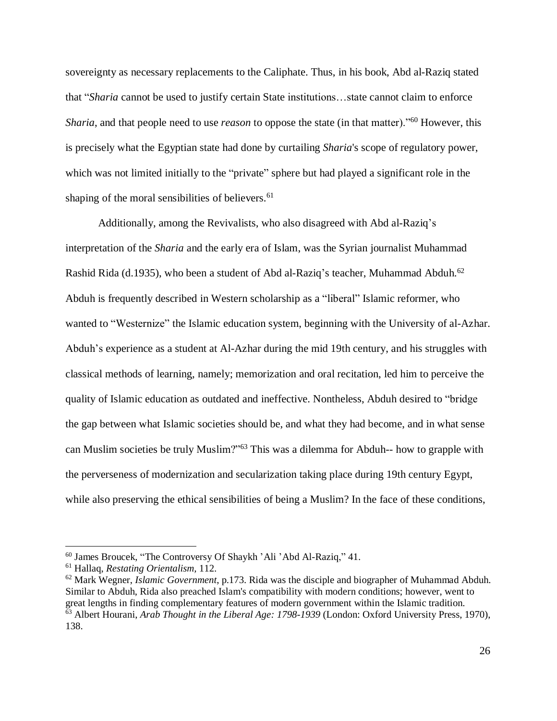sovereignty as necessary replacements to the Caliphate. Thus, in his book, Abd al-Raziq stated that "*Sharia* cannot be used to justify certain State institutions…state cannot claim to enforce *Sharia*, and that people need to use *reason* to oppose the state (in that matter)."<sup>60</sup> However, this is precisely what the Egyptian state had done by curtailing *Sharia*'s scope of regulatory power, which was not limited initially to the "private" sphere but had played a significant role in the shaping of the moral sensibilities of believers.<sup>61</sup>

Additionally, among the Revivalists, who also disagreed with Abd al-Raziq's interpretation of the *Sharia* and the early era of Islam, was the Syrian journalist Muhammad Rashid Rida (d.1935), who been a student of Abd al-Raziq's teacher, Muhammad Abduh.<sup>62</sup> Abduh is frequently described in Western scholarship as a "liberal" Islamic reformer, who wanted to "Westernize" the Islamic education system, beginning with the University of al-Azhar. Abduh's experience as a student at Al-Azhar during the mid 19th century, and his struggles with classical methods of learning, namely; memorization and oral recitation, led him to perceive the quality of Islamic education as outdated and ineffective. Nontheless, Abduh desired to "bridge the gap between what Islamic societies should be, and what they had become, and in what sense can Muslim societies be truly Muslim?"<sup>63</sup> This was a dilemma for Abduh-- how to grapple with the perverseness of modernization and secularization taking place during 19th century Egypt, while also preserving the ethical sensibilities of being a Muslim? In the face of these conditions,

<sup>60</sup> James Broucek, "The Controversy Of Shaykh 'Ali 'Abd Al-Raziq," 41.

<sup>61</sup> Hallaq, *Restating Orientalism,* 112.

<sup>62</sup> Mark Wegner, *Islamic Government*, p.173. Rida was the disciple and biographer of Muhammad Abduh. Similar to Abduh, Rida also preached Islam's compatibility with modern conditions; however, went to great lengths in finding complementary features of modern government within the Islamic tradition. <sup>63</sup> Albert Hourani, *Arab Thought in the Liberal Age: 1798-1939* (London: Oxford University Press, 1970), 138.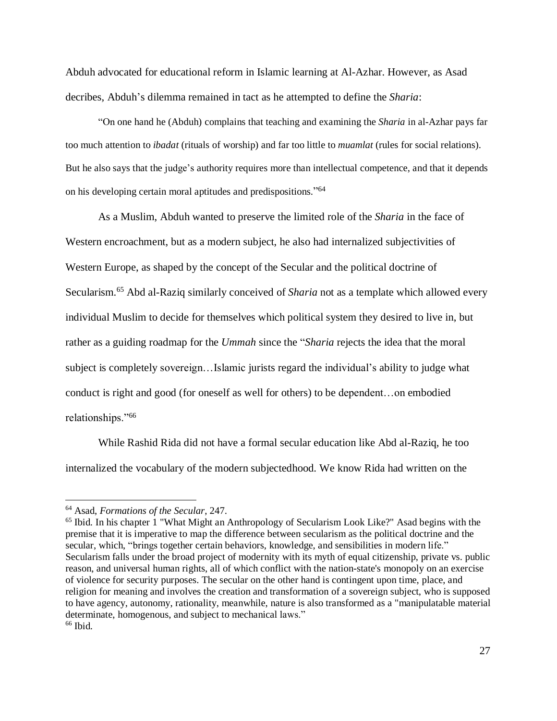Abduh advocated for educational reform in Islamic learning at Al-Azhar. However, as Asad decribes, Abduh's dilemma remained in tact as he attempted to define the *Sharia*:

"On one hand he (Abduh) complains that teaching and examining the *Sharia* in al-Azhar pays far too much attention to *ibadat* (rituals of worship) and far too little to *muamlat* (rules for social relations). But he also says that the judge's authority requires more than intellectual competence, and that it depends on his developing certain moral aptitudes and predispositions." 64

As a Muslim, Abduh wanted to preserve the limited role of the *Sharia* in the face of Western encroachment, but as a modern subject, he also had internalized subjectivities of Western Europe, as shaped by the concept of the Secular and the political doctrine of Secularism.<sup>65</sup> Abd al-Raziq similarly conceived of *Sharia* not as a template which allowed every individual Muslim to decide for themselves which political system they desired to live in, but rather as a guiding roadmap for the *Ummah* since the "*Sharia* rejects the idea that the moral subject is completely sovereign…Islamic jurists regard the individual's ability to judge what conduct is right and good (for oneself as well for others) to be dependent…on embodied relationships."<sup>66</sup>

While Rashid Rida did not have a formal secular education like Abd al-Raziq, he too internalized the vocabulary of the modern subjectedhood. We know Rida had written on the

<sup>64</sup> Asad, *Formations of the Secular*, 247.

<sup>&</sup>lt;sup>65</sup> Ibid. In his chapter 1 "What Might an Anthropology of Secularism Look Like?" Asad begins with the premise that it is imperative to map the difference between secularism as the political doctrine and the secular, which, "brings together certain behaviors, knowledge, and sensibilities in modern life." Secularism falls under the broad project of modernity with its myth of equal citizenship, private vs. public reason, and universal human rights, all of which conflict with the nation-state's monopoly on an exercise of violence for security purposes. The secular on the other hand is contingent upon time, place, and religion for meaning and involves the creation and transformation of a sovereign subject, who is supposed to have agency, autonomy, rationality, meanwhile, nature is also transformed as a "manipulatable material determinate, homogenous, and subject to mechanical laws." <sup>66</sup> Ibid.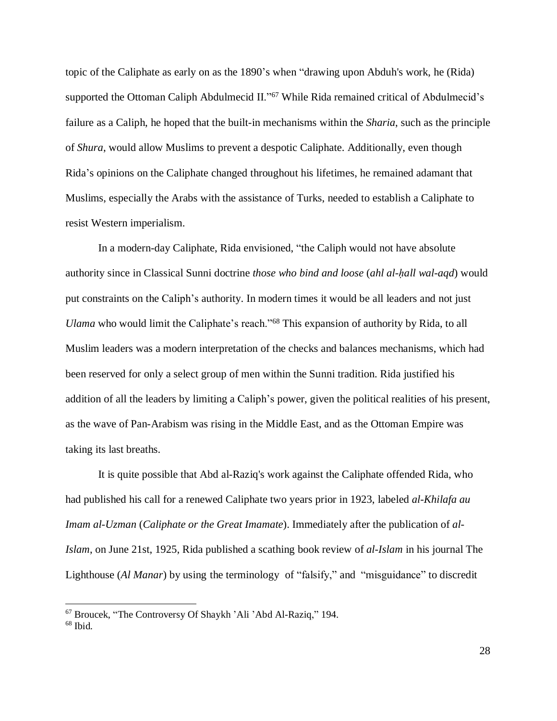topic of the Caliphate as early on as the 1890's when "drawing upon Abduh's work, he (Rida) supported the Ottoman Caliph Abdulmecid II."67 While Rida remained critical of Abdulmecid's failure as a Caliph, he hoped that the built-in mechanisms within the *Sharia*, such as the principle of *Shura*, would allow Muslims to prevent a despotic Caliphate. Additionally, even though Rida's opinions on the Caliphate changed throughout his lifetimes, he remained adamant that Muslims, especially the Arabs with the assistance of Turks, needed to establish a Caliphate to resist Western imperialism.

In a modern-day Caliphate, Rida envisioned, "the Caliph would not have absolute authority since in Classical Sunni doctrine *those who bind and loose* (*ahl al-ḥall wal-aqd*) would put constraints on the Caliph's authority. In modern times it would be all leaders and not just *Ulama* who would limit the Caliphate's reach."<sup>68</sup> This expansion of authority by Rida, to all Muslim leaders was a modern interpretation of the checks and balances mechanisms, which had been reserved for only a select group of men within the Sunni tradition. Rida justified his addition of all the leaders by limiting a Caliph's power, given the political realities of his present, as the wave of Pan-Arabism was rising in the Middle East, and as the Ottoman Empire was taking its last breaths.

It is quite possible that Abd al-Raziq's work against the Caliphate offended Rida, who had published his call for a renewed Caliphate two years prior in 1923, labeled *al-Khilafa au Imam al-Uzman* (*Caliphate or the Great Imamate*). Immediately after the publication of *al-Islam*, on June 21st, 1925, Rida published a scathing book review of *al-Islam* in his journal The Lighthouse (*Al Manar*) by using the terminology of "falsify," and "misguidance" to discredit

<sup>67</sup> Broucek, "The Controversy Of Shaykh 'Ali 'Abd Al-Raziq," 194.

<sup>68</sup> Ibid.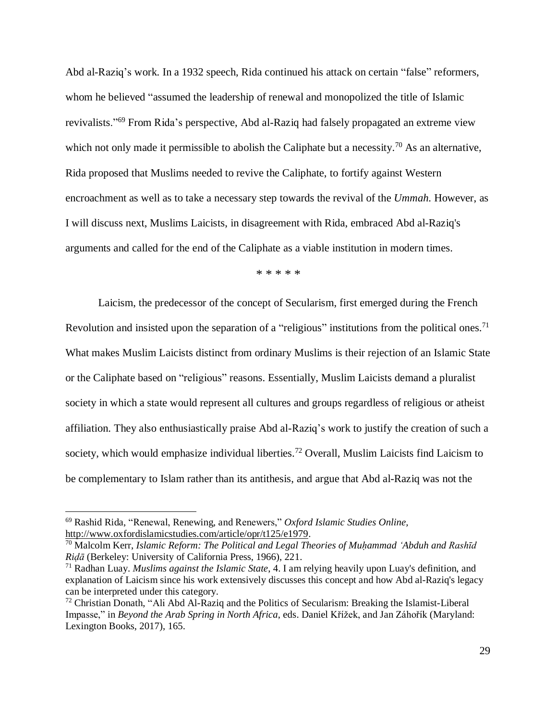Abd al-Raziq's work. In a 1932 speech, Rida continued his attack on certain "false" reformers, whom he believed "assumed the leadership of renewal and monopolized the title of Islamic revivalists."<sup>69</sup> From Rida's perspective, Abd al-Raziq had falsely propagated an extreme view which not only made it permissible to abolish the Caliphate but a necessity.<sup>70</sup> As an alternative, Rida proposed that Muslims needed to revive the Caliphate, to fortify against Western encroachment as well as to take a necessary step towards the revival of the *Ummah.* However, as I will discuss next, Muslims Laicists, in disagreement with Rida, embraced Abd al-Raziq's arguments and called for the end of the Caliphate as a viable institution in modern times.

\* \* \* \* \*

Laicism, the predecessor of the concept of Secularism, first emerged during the French Revolution and insisted upon the separation of a "religious" institutions from the political ones.<sup>71</sup> What makes Muslim Laicists distinct from ordinary Muslims is their rejection of an Islamic State or the Caliphate based on "religious" reasons. Essentially, Muslim Laicists demand a pluralist society in which a state would represent all cultures and groups regardless of religious or atheist affiliation. They also enthusiastically praise Abd al-Raziq's work to justify the creation of such a society, which would emphasize individual liberties.<sup>72</sup> Overall, Muslim Laicists find Laicism to be complementary to Islam rather than its antithesis, and argue that Abd al-Raziq was not the

<sup>69</sup> Rashid Rida, "Renewal, Renewing, and Renewers," *Oxford Islamic Studies Online,* [http://www.oxfordislamicstudies.com/article/opr/t125/e1979.](http://www.oxfordislamicstudies.com/article/opr/t125/e1979)

<sup>70</sup> Malcolm Kerr, *Islamic Reform: The Political and Legal Theories of Muḥammad ʻAbduh and Rashīd Riḍā* (Berkeley: University of California Press, 1966), 221.

<sup>71</sup> Radhan Luay. *Muslims against the Islamic State*, 4. I am relying heavily upon Luay's definition, and explanation of Laicism since his work extensively discusses this concept and how Abd al-Raziq's legacy can be interpreted under this category.

<sup>72</sup> Christian Donath, "Ali Abd Al-Raziq and the Politics of Secularism: Breaking the Islamist-Liberal Impasse," in *Beyond the Arab Spring in North Africa*, eds. Daniel Křížek, and Jan Záhořík (Maryland: Lexington Books, 2017), 165.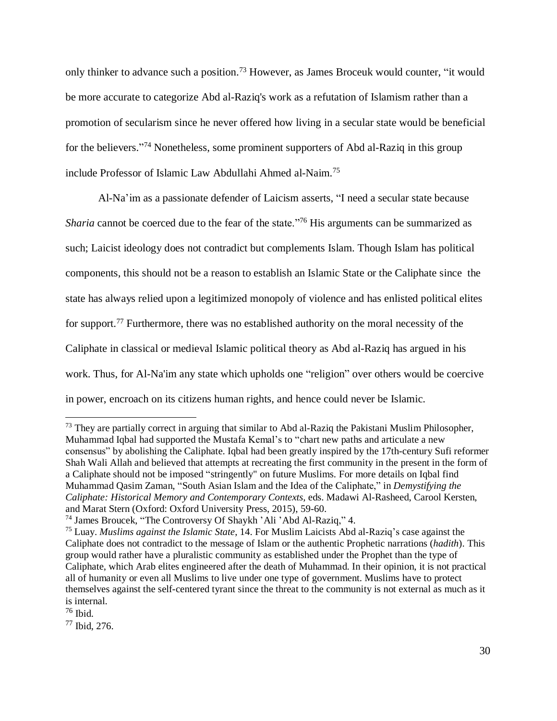only thinker to advance such a position.<sup>73</sup> However, as James Broceuk would counter, "it would be more accurate to categorize Abd al-Raziq's work as a refutation of Islamism rather than a promotion of secularism since he never offered how living in a secular state would be beneficial for the believers." <sup>74</sup> Nonetheless, some prominent supporters of Abd al-Raziq in this group include Professor of Islamic Law Abdullahi Ahmed al-Naim.<sup>75</sup>

Al-Na'im as a passionate defender of Laicism asserts, "I need a secular state because *Sharia* cannot be coerced due to the fear of the state."<sup>76</sup> His arguments can be summarized as such; Laicist ideology does not contradict but complements Islam. Though Islam has political components, this should not be a reason to establish an Islamic State or the Caliphate since the state has always relied upon a legitimized monopoly of violence and has enlisted political elites for support.<sup>77</sup> Furthermore, there was no established authority on the moral necessity of the Caliphate in classical or medieval Islamic political theory as Abd al-Raziq has argued in his work. Thus, for Al-Na'im any state which upholds one "religion" over others would be coercive in power, encroach on its citizens human rights, and hence could never be Islamic.

<sup>&</sup>lt;sup>73</sup> They are partially correct in arguing that similar to Abd al-Raziq the Pakistani Muslim Philosopher, Muhammad Iqbal had supported the Mustafa Kemal's to "chart new paths and articulate a new consensus" by abolishing the Caliphate. Iqbal had been greatly inspired by the 17th-century Sufi reformer Shah Wali Allah and believed that attempts at recreating the first community in the present in the form of a Caliphate should not be imposed "stringently" on future Muslims. For more details on Iqbal find Muhammad Qasim Zaman, "South Asian Islam and the Idea of the Caliphate," in *Demystifying the Caliphate: Historical Memory and Contemporary Contexts,* eds. Madawi Al-Rasheed, Carool Kersten, and Marat Stern (Oxford: Oxford University Press, 2015), 59-60.

<sup>74</sup> James Broucek, "The Controversy Of Shaykh 'Ali 'Abd Al-Raziq," 4.

<sup>75</sup> Luay. *Muslims against the Islamic State*, 14. For Muslim Laicists Abd al-Raziq's case against the Caliphate does not contradict to the message of Islam or the authentic Prophetic narrations (*hadith*). This group would rather have a pluralistic community as established under the Prophet than the type of Caliphate, which Arab elites engineered after the death of Muhammad. In their opinion, it is not practical all of humanity or even all Muslims to live under one type of government. Muslims have to protect themselves against the self-centered tyrant since the threat to the community is not external as much as it is internal.

 $76$  Ibid.

<sup>77</sup> Ibid, 276.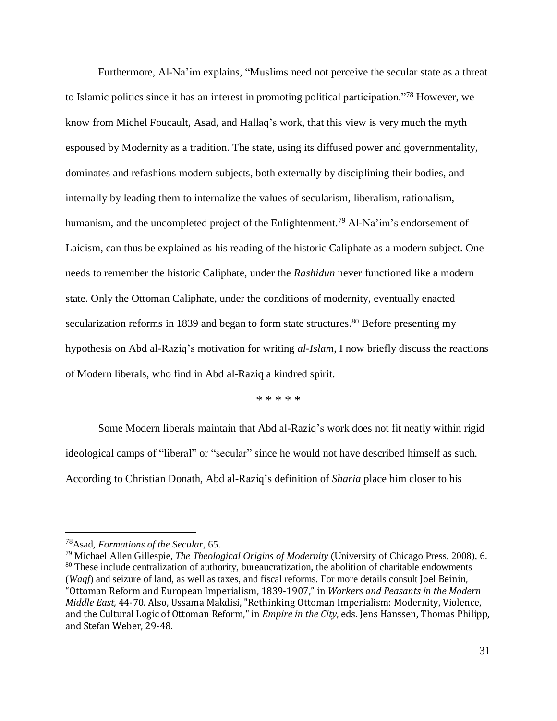Furthermore, Al-Na'im explains, "Muslims need not perceive the secular state as a threat to Islamic politics since it has an interest in promoting political participation."<sup>78</sup> However, we know from Michel Foucault, Asad, and Hallaq's work, that this view is very much the myth espoused by Modernity as a tradition. The state, using its diffused power and governmentality, dominates and refashions modern subjects, both externally by disciplining their bodies, and internally by leading them to internalize the values of secularism, liberalism, rationalism, humanism, and the uncompleted project of the Enlightenment.<sup>79</sup> Al-Na'im's endorsement of Laicism, can thus be explained as his reading of the historic Caliphate as a modern subject. One needs to remember the historic Caliphate, under the *Rashidun* never functioned like a modern state. Only the Ottoman Caliphate, under the conditions of modernity, eventually enacted secularization reforms in 1839 and began to form state structures.<sup>80</sup> Before presenting my hypothesis on Abd al-Raziq's motivation for writing *al-Islam*, I now briefly discuss the reactions of Modern liberals, who find in Abd al-Raziq a kindred spirit.

\* \* \* \* \*

Some Modern liberals maintain that Abd al-Raziq's work does not fit neatly within rigid ideological camps of "liberal" or "secular" since he would not have described himself as such. According to Christian Donath, Abd al-Raziq's definition of *Sharia* place him closer to his

<sup>78</sup>Asad, *Formations of the Secular*, 65.

<sup>79</sup> Michael Allen Gillespie, *The Theological Origins of Modernity* (University of Chicago Press, 2008), 6. <sup>80</sup> These include centralization of authority, bureaucratization, the abolition of charitable endowments (*Waqf*) and seizure of land, as well as taxes, and fiscal reforms. For more details consult Joel Beinin, "Ottoman Reform and European Imperialism, 1839-1907," in *Workers and Peasants in the Modern Middle East,* 44-70. Also, Ussama Makdisi, "Rethinking Ottoman Imperialism: Modernity, Violence, and the Cultural Logic of Ottoman Reform," in *Empire in the City*, eds. Jens Hanssen, Thomas Philipp, and Stefan Weber, 29-48.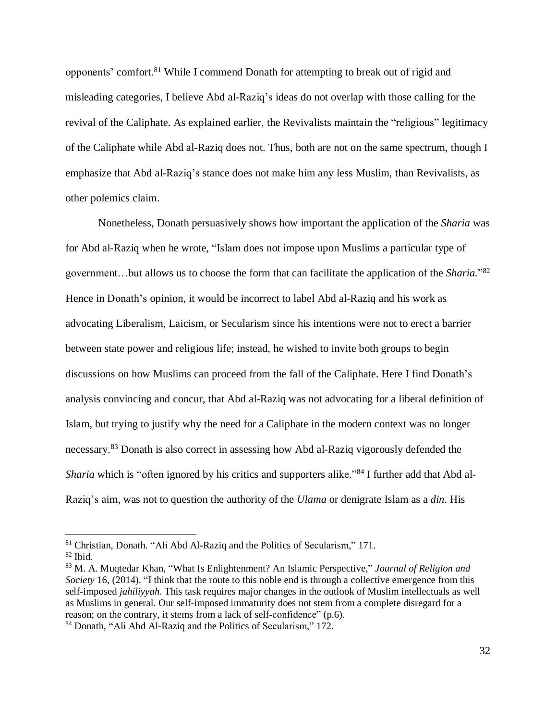opponents' comfort.<sup>81</sup> While I commend Donath for attempting to break out of rigid and misleading categories, I believe Abd al-Raziq's ideas do not overlap with those calling for the revival of the Caliphate. As explained earlier, the Revivalists maintain the "religious" legitimacy of the Caliphate while Abd al-Raziq does not. Thus, both are not on the same spectrum, though I emphasize that Abd al-Raziq's stance does not make him any less Muslim, than Revivalists, as other polemics claim.

Nonetheless, Donath persuasively shows how important the application of the *Sharia* was for Abd al-Raziq when he wrote, "Islam does not impose upon Muslims a particular type of government…but allows us to choose the form that can facilitate the application of the *Sharia.*" 82 Hence in Donath's opinion, it would be incorrect to label Abd al-Raziq and his work as advocating Liberalism, Laicism, or Secularism since his intentions were not to erect a barrier between state power and religious life; instead, he wished to invite both groups to begin discussions on how Muslims can proceed from the fall of the Caliphate. Here I find Donath's analysis convincing and concur, that Abd al-Raziq was not advocating for a liberal definition of Islam, but trying to justify why the need for a Caliphate in the modern context was no longer necessary.<sup>83</sup> Donath is also correct in assessing how Abd al-Raziq vigorously defended the *Sharia* which is "often ignored by his critics and supporters alike."<sup>84</sup> I further add that Abd al-Raziq's aim, was not to question the authority of the *Ulama* or denigrate Islam as a *din*. His

<sup>81</sup> Christian, Donath. "Ali Abd Al-Raziq and the Politics of Secularism," 171.

<sup>82</sup> Ibid.

<sup>83</sup> M. A. Muqtedar Khan, "What Is Enlightenment? An Islamic Perspective," *Journal of Religion and Society* 16, (2014). "I think that the route to this noble end is through a collective emergence from this self-imposed *jahiliyyah*. This task requires major changes in the outlook of Muslim intellectuals as well as Muslims in general. Our self-imposed immaturity does not stem from a complete disregard for a reason; on the contrary, it stems from a lack of self-confidence" (p.6).

<sup>84</sup> Donath, "Ali Abd Al-Raziq and the Politics of Secularism," 172.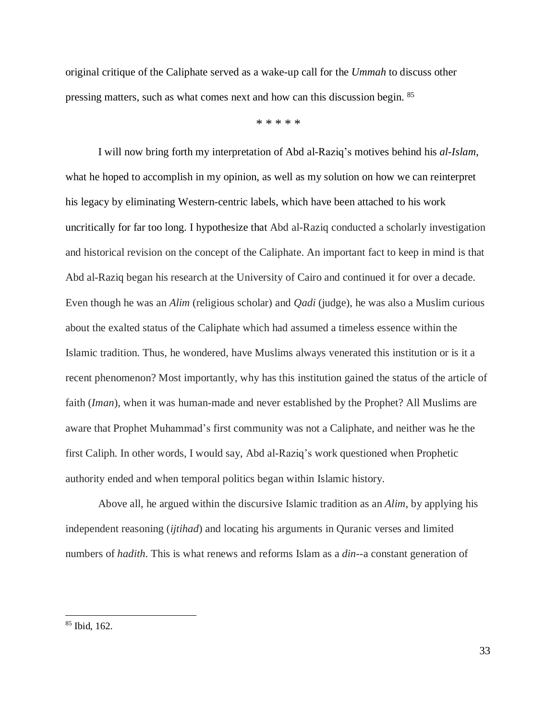original critique of the Caliphate served as a wake-up call for the *Ummah* to discuss other pressing matters, such as what comes next and how can this discussion begin. <sup>85</sup>

\* \* \* \* \*

I will now bring forth my interpretation of Abd al-Raziq's motives behind his *al-Islam*, what he hoped to accomplish in my opinion, as well as my solution on how we can reinterpret his legacy by eliminating Western-centric labels, which have been attached to his work uncritically for far too long. I hypothesize that Abd al-Raziq conducted a scholarly investigation and historical revision on the concept of the Caliphate. An important fact to keep in mind is that Abd al-Raziq began his research at the University of Cairo and continued it for over a decade. Even though he was an *Alim* (religious scholar) and *Qadi* (judge), he was also a Muslim curious about the exalted status of the Caliphate which had assumed a timeless essence within the Islamic tradition. Thus, he wondered, have Muslims always venerated this institution or is it a recent phenomenon? Most importantly, why has this institution gained the status of the article of faith (*Iman*), when it was human-made and never established by the Prophet? All Muslims are aware that Prophet Muhammad's first community was not a Caliphate, and neither was he the first Caliph. In other words, I would say, Abd al-Raziq's work questioned when Prophetic authority ended and when temporal politics began within Islamic history.

Above all, he argued within the discursive Islamic tradition as an *Alim*, by applying his independent reasoning (*ijtihad*) and locating his arguments in Quranic verses and limited numbers of *hadith*. This is what renews and reforms Islam as a *din*--a constant generation of

<sup>85</sup> Ibid, 162.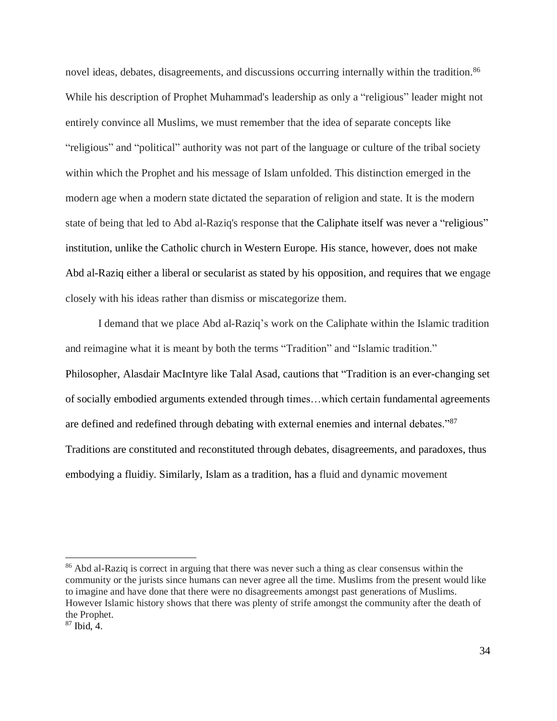novel ideas, debates, disagreements, and discussions occurring internally within the tradition.<sup>86</sup> While his description of Prophet Muhammad's leadership as only a "religious" leader might not entirely convince all Muslims, we must remember that the idea of separate concepts like "religious" and "political" authority was not part of the language or culture of the tribal society within which the Prophet and his message of Islam unfolded. This distinction emerged in the modern age when a modern state dictated the separation of religion and state. It is the modern state of being that led to Abd al-Raziq's response that the Caliphate itself was never a "religious" institution, unlike the Catholic church in Western Europe. His stance, however, does not make Abd al-Raziq either a liberal or secularist as stated by his opposition, and requires that we engage closely with his ideas rather than dismiss or miscategorize them.

I demand that we place Abd al-Raziq's work on the Caliphate within the Islamic tradition and reimagine what it is meant by both the terms "Tradition" and "Islamic tradition." Philosopher, Alasdair MacIntyre like Talal Asad, cautions that "Tradition is an ever-changing set of socially embodied arguments extended through times…which certain fundamental agreements are defined and redefined through debating with external enemies and internal debates."<sup>87</sup> Traditions are constituted and reconstituted through debates, disagreements, and paradoxes, thus embodying a fluidiy. Similarly, Islam as a tradition, has a fluid and dynamic movement

<sup>&</sup>lt;sup>86</sup> Abd al-Raziq is correct in arguing that there was never such a thing as clear consensus within the community or the jurists since humans can never agree all the time. Muslims from the present would like to imagine and have done that there were no disagreements amongst past generations of Muslims. However Islamic history shows that there was plenty of strife amongst the community after the death of the Prophet.

<sup>87</sup> Ibid, 4.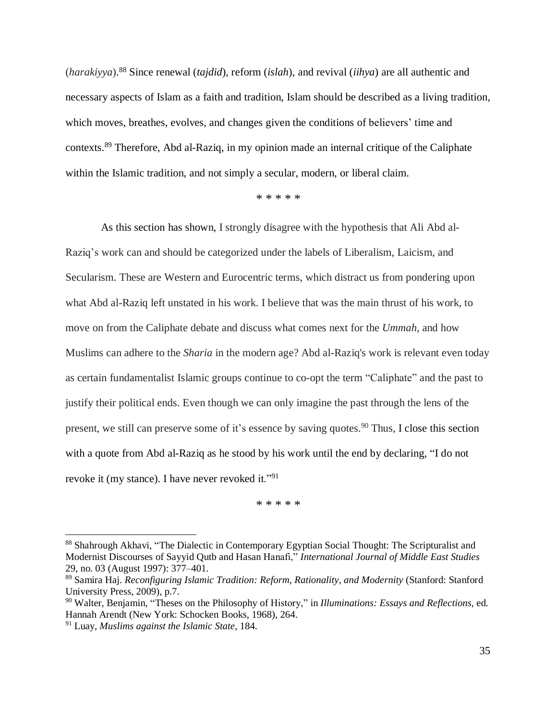(*harakiyya*). <sup>88</sup> Since renewal (*tajdid*), reform (*islah*), and revival (*iihya*) are all authentic and necessary aspects of Islam as a faith and tradition, Islam should be described as a living tradition, which moves, breathes, evolves, and changes given the conditions of believers' time and contexts.<sup>89</sup> Therefore, Abd al-Raziq, in my opinion made an internal critique of the Caliphate within the Islamic tradition, and not simply a secular, modern, or liberal claim.

\* \* \* \* \*

As this section has shown, I strongly disagree with the hypothesis that Ali Abd al-Raziq's work can and should be categorized under the labels of Liberalism, Laicism, and Secularism. These are Western and Eurocentric terms, which distract us from pondering upon what Abd al-Raziq left unstated in his work. I believe that was the main thrust of his work, to move on from the Caliphate debate and discuss what comes next for the *Ummah*, and how Muslims can adhere to the *Sharia* in the modern age? Abd al-Raziq's work is relevant even today as certain fundamentalist Islamic groups continue to co-opt the term "Caliphate" and the past to justify their political ends. Even though we can only imagine the past through the lens of the present, we still can preserve some of it's essence by saving quotes.<sup>90</sup> Thus, I close this section with a quote from Abd al-Raziq as he stood by his work until the end by declaring, "I do not revoke it (my stance). I have never revoked it."<sup>91</sup>

\* \* \* \* \*

<sup>88</sup> Shahrough Akhavi, "The Dialectic in Contemporary Egyptian Social Thought: The Scripturalist and Modernist Discourses of Sayyid Qutb and Hasan Hanafi," *International Journal of Middle East Studies* 29, no. 03 (August 1997): 377–401.

<sup>89</sup> Samira Haj. *Reconfiguring Islamic Tradition: Reform, Rationality, and Modernity* (Stanford: Stanford University Press, 2009), p.7.

<sup>90</sup> Walter, Benjamin, "Theses on the Philosophy of History," in *Illuminations: Essays and Reflections*, ed. Hannah Arendt (New York: Schocken Books, 1968), 264.

<sup>91</sup> Luay, *Muslims against the Islamic State*, 184.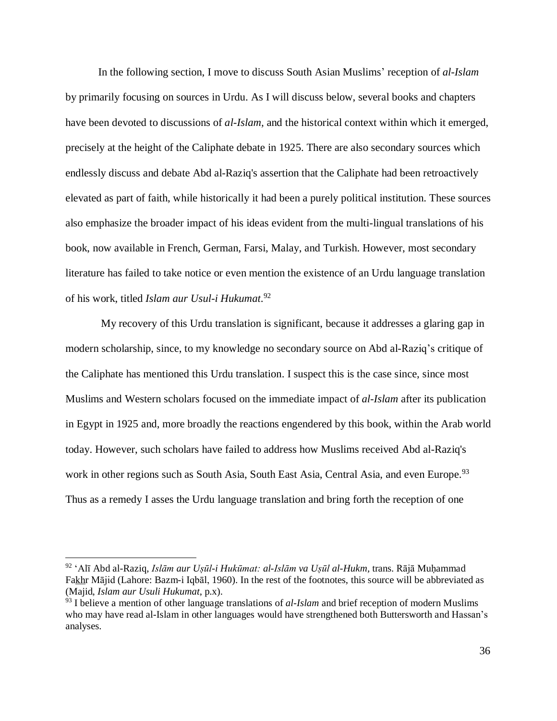In the following section, I move to discuss South Asian Muslims' reception of *al-Islam* by primarily focusing on sources in Urdu. As I will discuss below, several books and chapters have been devoted to discussions of *al-Islam,* and the historical context within which it emerged, precisely at the height of the Caliphate debate in 1925. There are also secondary sources which endlessly discuss and debate Abd al-Raziq's assertion that the Caliphate had been retroactively elevated as part of faith, while historically it had been a purely political institution. These sources also emphasize the broader impact of his ideas evident from the multi-lingual translations of his book, now available in French, German, Farsi, Malay, and Turkish. However, most secondary literature has failed to take notice or even mention the existence of an Urdu language translation of his work, titled *Islam aur Usul-i Hukumat*. 92

My recovery of this Urdu translation is significant, because it addresses a glaring gap in modern scholarship, since, to my knowledge no secondary source on Abd al-Raziq's critique of the Caliphate has mentioned this Urdu translation. I suspect this is the case since, since most Muslims and Western scholars focused on the immediate impact of *al-Islam* after its publication in Egypt in 1925 and, more broadly the reactions engendered by this book, within the Arab world today. However, such scholars have failed to address how Muslims received Abd al-Raziq's work in other regions such as South Asia, South East Asia, Central Asia, and even Europe.<sup>93</sup> Thus as a remedy I asses the Urdu language translation and bring forth the reception of one

<sup>92</sup> ʻAlī Abd al-Raziq, *Islām aur Uṣūl-i Hukūmat: al-Islām va Uṣūl al-Hukm,* trans. Rājā Muḥammad Fakhr Mājid (Lahore: Bazm-i Iqbāl, 1960). In the rest of the footnotes, this source will be abbreviated as (Majid, *Islam aur Usuli Hukumat*, p.x).

<sup>&</sup>lt;sup>93</sup> I believe a mention of other language translations of *al-Islam* and brief reception of modern Muslims who may have read al-Islam in other languages would have strengthened both Buttersworth and Hassan's analyses.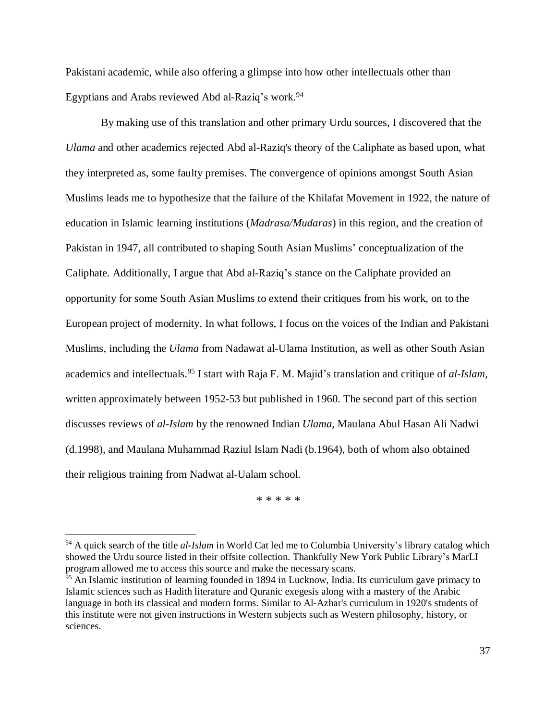Pakistani academic, while also offering a glimpse into how other intellectuals other than Egyptians and Arabs reviewed Abd al-Raziq's work.<sup>94</sup>

By making use of this translation and other primary Urdu sources, I discovered that the *Ulama* and other academics rejected Abd al-Raziq's theory of the Caliphate as based upon, what they interpreted as, some faulty premises. The convergence of opinions amongst South Asian Muslims leads me to hypothesize that the failure of the Khilafat Movement in 1922, the nature of education in Islamic learning institutions (*Madrasa/Mudaras*) in this region, and the creation of Pakistan in 1947, all contributed to shaping South Asian Muslims' conceptualization of the Caliphate. Additionally, I argue that Abd al-Raziq's stance on the Caliphate provided an opportunity for some South Asian Muslims to extend their critiques from his work, on to the European project of modernity. In what follows, I focus on the voices of the Indian and Pakistani Muslims, including the *Ulama* from Nadawat al-Ulama Institution, as well as other South Asian academics and intellectuals.<sup>95</sup> I start with Raja F. M. Majid's translation and critique of *al-Islam,* written approximately between 1952-53 but published in 1960. The second part of this section discusses reviews of *al-Islam* by the renowned Indian *Ulama,* Maulana Abul Hasan Ali Nadwi (d.1998), and Maulana Muhammad Raziul Islam Nadi (b.1964), both of whom also obtained their religious training from Nadwat al-Ualam school.

\* \* \* \* \*

<sup>94</sup> A quick search of the title *al-Islam* in World Cat led me to Columbia University's library catalog which showed the Urdu source listed in their offsite collection. Thankfully New York Public Library's MarLI program allowed me to access this source and make the necessary scans.

 $\frac{95}{95}$  An Islamic institution of learning founded in 1894 in Lucknow, India. Its curriculum gave primacy to Islamic sciences such as Hadith literature and Quranic exegesis along with a mastery of the Arabic language in both its classical and modern forms. Similar to Al-Azhar's curriculum in 1920's students of this institute were not given instructions in Western subjects such as Western philosophy, history, or sciences.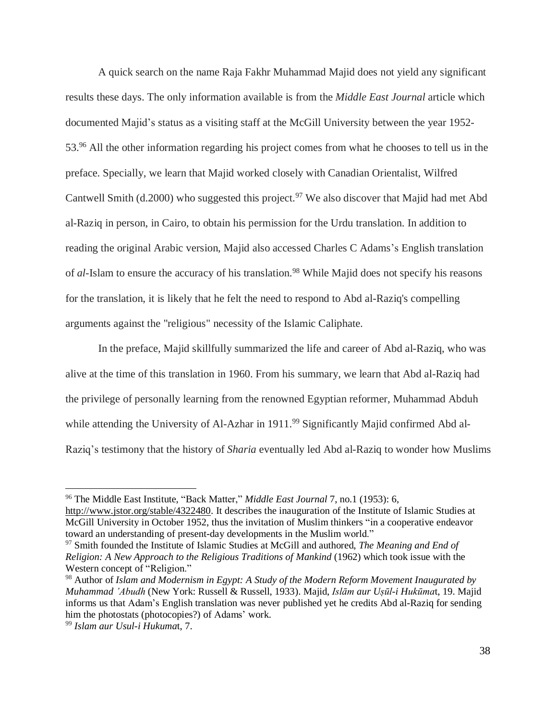A quick search on the name Raja Fakhr Muhammad Majid does not yield any significant results these days. The only information available is from the *Middle East Journal* article which documented Majid's status as a visiting staff at the McGill University between the year 1952- 53.<sup>96</sup> All the other information regarding his project comes from what he chooses to tell us in the preface. Specially, we learn that Majid worked closely with Canadian Orientalist, Wilfred Cantwell Smith (d.2000) who suggested this project.<sup>97</sup> We also discover that Majid had met Abd al-Raziq in person, in Cairo, to obtain his permission for the Urdu translation. In addition to reading the original Arabic version, Majid also accessed Charles C Adams's English translation of *al*-Islam to ensure the accuracy of his translation.<sup>98</sup> While Majid does not specify his reasons for the translation, it is likely that he felt the need to respond to Abd al-Raziq's compelling arguments against the "religious" necessity of the Islamic Caliphate.

In the preface, Majid skillfully summarized the life and career of Abd al-Raziq, who was alive at the time of this translation in 1960. From his summary, we learn that Abd al-Raziq had the privilege of personally learning from the renowned Egyptian reformer, Muhammad Abduh while attending the University of Al-Azhar in 1911.<sup>99</sup> Significantly Majid confirmed Abd al-Raziq's testimony that the history of *Sharia* eventually led Abd al-Raziq to wonder how Muslims

<sup>96</sup> The Middle East Institute, "Back Matter," *Middle East Journal* 7, no.1 (1953): 6,

[http://www.jstor.org/stable/4322480.](http://www.jstor.org/stable/4322480) It describes the inauguration of the Institute of Islamic Studies at McGill University in October 1952, thus the invitation of Muslim thinkers "in a cooperative endeavor toward an understanding of present-day developments in the Muslim world."

<sup>97</sup> Smith founded the Institute of Islamic Studies at McGill and authored, *The Meaning and End of Religion: A New Approach to the Religious Traditions of Mankind* (1962) which took issue with the Western concept of "Religion."

<sup>98</sup> Author of *Islam and Modernism in Egypt: A Study of the Modern Reform Movement Inaugurated by Muhammad 'Abudh* (New York: Russell & Russell, 1933). Majid, *Islām aur Uṣūl-i Hukūma*t, 19. Majid informs us that Adam's English translation was never published yet he credits Abd al-Raziq for sending him the photostats (photocopies?) of Adams' work.

<sup>99</sup> *Islam aur Usul-i Hukuma*t, 7.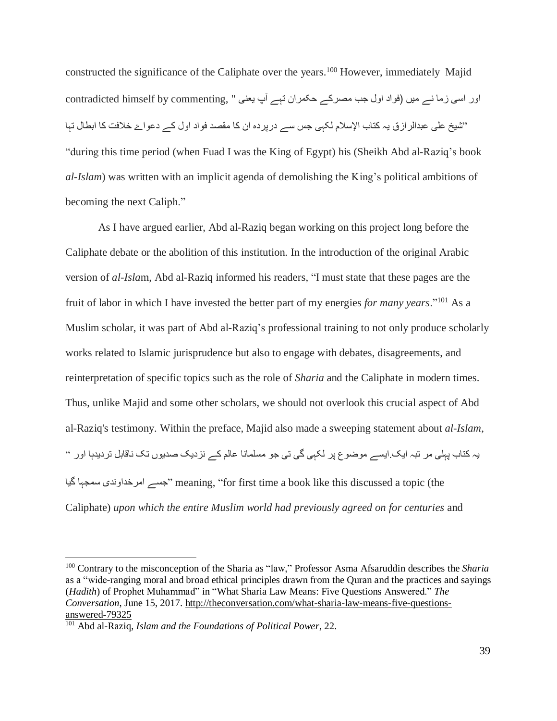constructed the significance of the Caliphate over the years.<sup>100</sup> However, immediately Majid اور اسی زما نے میں (فواد اول جب مصرکے حکمران تہے آپ یعنی " ,contradicted himself by commenting "شیخ علی عبدالرازق یہ کتاب اإلسالم لکہی جس سے درپردہ ان کا مقصد فواد اول کے دعواۓ خالفت کا ابطال تہا "during this time period (when Fuad I was the King of Egypt) his (Sheikh Abd al-Raziq's book *al-Islam*) was written with an implicit agenda of demolishing the King's political ambitions of becoming the next Caliph."

As I have argued earlier, Abd al-Raziq began working on this project long before the Caliphate debate or the abolition of this institution. In the introduction of the original Arabic version of *al-Isla*m, Abd al-Raziq informed his readers, "I must state that these pages are the fruit of labor in which I have invested the better part of my energies *for many years*."<sup>101</sup> As a Muslim scholar, it was part of Abd al-Raziq's professional training to not only produce scholarly works related to Islamic jurisprudence but also to engage with debates, disagreements, and reinterpretation of specific topics such as the role of *Sharia* and the Caliphate in modern times. Thus, unlike Majid and some other scholars, we should not overlook this crucial aspect of Abd al-Raziq's testimony. Within the preface, Majid also made a sweeping statement about *al-Islam*, یہ کتاب پہلی مر تبہ ایک.ایسے موضوع پر لکہی گی تی جو مسلمانا عالم کے نزدیک صدیوں تک ناقابل تردیدہا اور " گیا سمجہا امرخداوندی جسے "meaning, "for first time a book like this discussed a topic (the Caliphate) *upon which the entire Muslim world had previously agreed on for centuries* and

<sup>100</sup> Contrary to the misconception of the Sharia as "law," Professor Asma Afsaruddin describes the *Sharia* as a "wide-ranging moral and broad ethical principles drawn from the Quran and the practices and sayings (*Hadith*) of Prophet Muhammad" in "What Sharia Law Means: Five Questions Answered." *The Conversation*, June 15, 2017. [http://theconversation.com/what-sharia-law-means-five-questions](http://theconversation.com/what-sharia-law-means-five-questions-answered-79325)[answered-79325](http://theconversation.com/what-sharia-law-means-five-questions-answered-79325)

<sup>101</sup> Abd al-Raziq, *Islam and the Foundations of Political Power*, 22.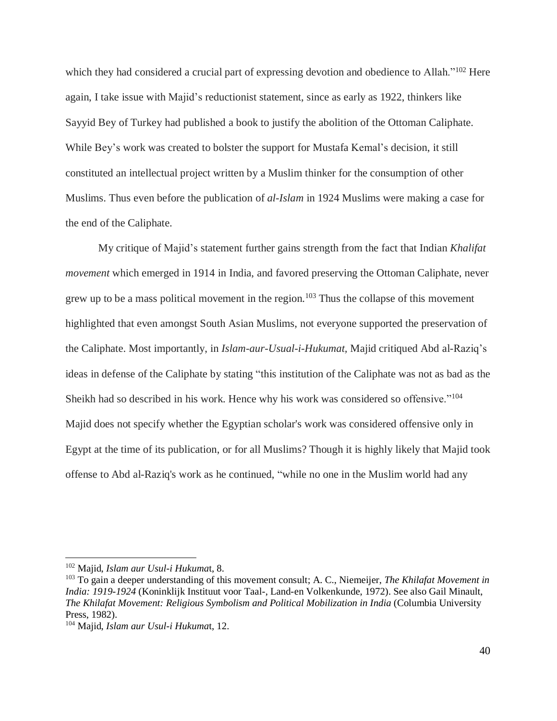which they had considered a crucial part of expressing devotion and obedience to Allah."<sup>102</sup> Here again, I take issue with Majid's reductionist statement, since as early as 1922, thinkers like Sayyid Bey of Turkey had published a book to justify the abolition of the Ottoman Caliphate. While Bey's work was created to bolster the support for Mustafa Kemal's decision, it still constituted an intellectual project written by a Muslim thinker for the consumption of other Muslims. Thus even before the publication of *al-Islam* in 1924 Muslims were making a case for the end of the Caliphate.

My critique of Majid's statement further gains strength from the fact that Indian *Khalifat movement* which emerged in 1914 in India, and favored preserving the Ottoman Caliphate, never grew up to be a mass political movement in the region.<sup>103</sup> Thus the collapse of this movement highlighted that even amongst South Asian Muslims, not everyone supported the preservation of the Caliphate. Most importantly, in *Islam-aur-Usual-i-Hukumat,* Majid critiqued Abd al-Raziq's ideas in defense of the Caliphate by stating "this institution of the Caliphate was not as bad as the Sheikh had so described in his work. Hence why his work was considered so offensive."<sup>104</sup> Majid does not specify whether the Egyptian scholar's work was considered offensive only in Egypt at the time of its publication, or for all Muslims? Though it is highly likely that Majid took offense to Abd al-Raziq's work as he continued, "while no one in the Muslim world had any

<sup>102</sup> Majid, *Islam aur Usul-i Hukuma*t, 8.

<sup>103</sup> To gain a deeper understanding of this movement consult; A. C., Niemeijer, *The Khilafat Movement in India: 1919-1924* (Koninklijk Instituut voor Taal-, Land-en Volkenkunde, 1972). See also Gail Minault, *The Khilafat Movement: Religious Symbolism and Political Mobilization in India* (Columbia University Press, 1982).

<sup>104</sup> Majid, *Islam aur Usul-i Hukuma*t, 12.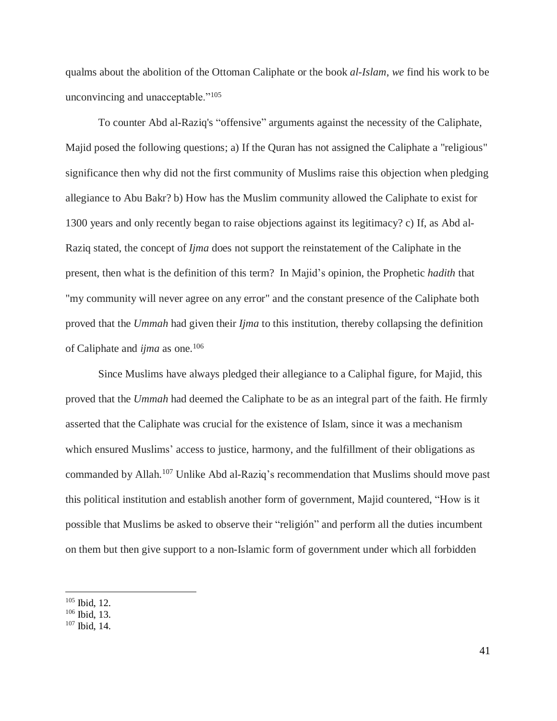qualms about the abolition of the Ottoman Caliphate or the book *al-Islam*, *we* find his work to be unconvincing and unacceptable."<sup>105</sup>

To counter Abd al-Raziq's "offensive" arguments against the necessity of the Caliphate, Majid posed the following questions; a) If the Quran has not assigned the Caliphate a "religious" significance then why did not the first community of Muslims raise this objection when pledging allegiance to Abu Bakr? b) How has the Muslim community allowed the Caliphate to exist for 1300 years and only recently began to raise objections against its legitimacy? c) If, as Abd al-Raziq stated, the concept of *Ijma* does not support the reinstatement of the Caliphate in the present, then what is the definition of this term? In Majid's opinion, the Prophetic *hadith* that "my community will never agree on any error" and the constant presence of the Caliphate both proved that the *Ummah* had given their *Ijma* to this institution, thereby collapsing the definition of Caliphate and *ijma* as one.<sup>106</sup>

Since Muslims have always pledged their allegiance to a Caliphal figure, for Majid, this proved that the *Ummah* had deemed the Caliphate to be as an integral part of the faith. He firmly asserted that the Caliphate was crucial for the existence of Islam, since it was a mechanism which ensured Muslims' access to justice, harmony, and the fulfillment of their obligations as commanded by Allah.<sup>107</sup> Unlike Abd al-Raziq's recommendation that Muslims should move past this political institution and establish another form of government, Majid countered, "How is it possible that Muslims be asked to observe their "religión" and perform all the duties incumbent on them but then give support to a non-Islamic form of government under which all forbidden

<sup>105</sup> Ibid, 12.

<sup>106</sup> Ibid, 13.

<sup>107</sup> Ibid, 14.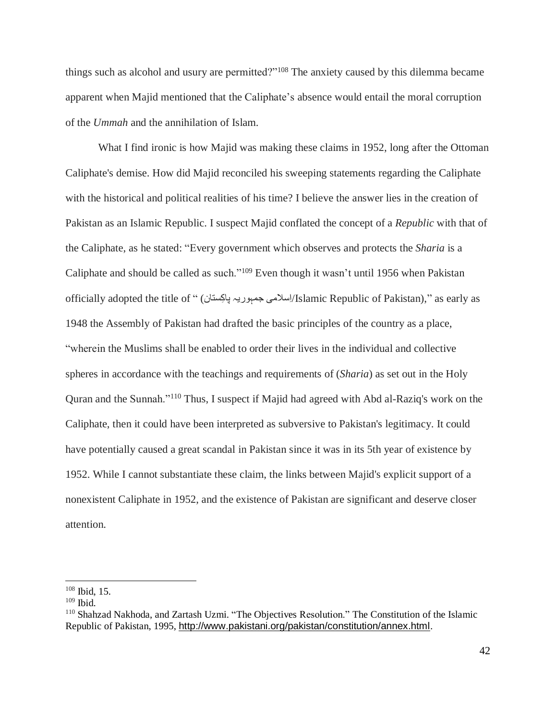things such as alcohol and usury are permitted?"<sup>108</sup> The anxiety caused by this dilemma became apparent when Majid mentioned that the Caliphate's absence would entail the moral corruption of the *Ummah* and the annihilation of Islam.

What I find ironic is how Majid was making these claims in 1952, long after the Ottoman Caliphate's demise. How did Majid reconciled his sweeping statements regarding the Caliphate with the historical and political realities of his time? I believe the answer lies in the creation of Pakistan as an Islamic Republic. I suspect Majid conflated the concept of a *Republic* with that of the Caliphate, as he stated: "Every government which observes and protects the *Sharia* is a Caliphate and should be called as such."<sup>109</sup> Even though it wasn't until 1956 when Pakistan officially adopted the title of " (کستانِ پا جمہوریہ اسالمیِ/Islamic Republic of Pakistan)," as early as 1948 the Assembly of Pakistan had drafted the basic principles of the country as a place, "wherein the Muslims shall be enabled to order their lives in the individual and collective spheres in accordance with the teachings and requirements of (*Sharia*) as set out in the Holy Quran and the Sunnah."<sup>110</sup> Thus, I suspect if Majid had agreed with Abd al-Raziq's work on the Caliphate, then it could have been interpreted as subversive to Pakistan's legitimacy. It could have potentially caused a great scandal in Pakistan since it was in its 5th year of existence by 1952. While I cannot substantiate these claim, the links between Majid's explicit support of a nonexistent Caliphate in 1952, and the existence of Pakistan are significant and deserve closer attention.

<sup>108</sup> Ibid, 15.

 $109$  Ibid.

<sup>110</sup> Shahzad Nakhoda, and Zartash Uzmi. "The Objectives Resolution." The Constitution of the Islamic Republic of Pakistan, 1995, <http://www.pakistani.org/pakistan/constitution/annex.html>.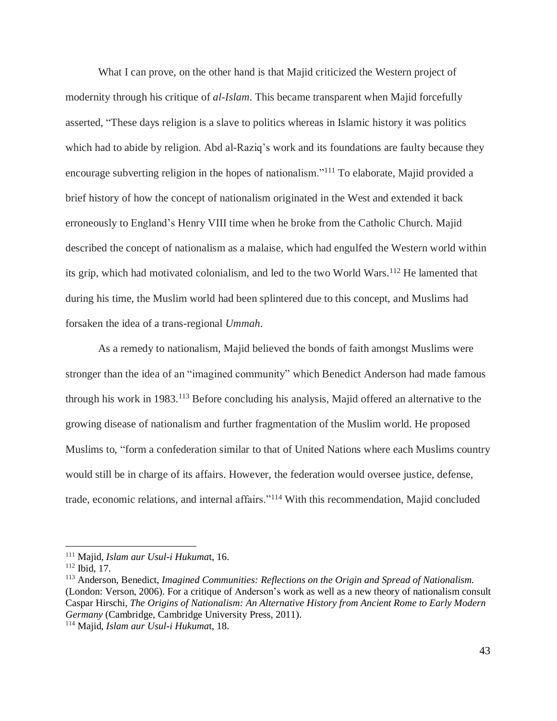What I can prove, on the other hand is that Majid criticized the Western project of modernity through his critique of *al-Islam*. This became transparent when Majid forcefully asserted, "These days religion is a slave to politics whereas in Islamic history it was politics which had to abide by religion. Abd al-Raziq's work and its foundations are faulty because they encourage subverting religion in the hopes of nationalism."<sup>111</sup> To elaborate, Majid provided a brief history of how the concept of nationalism originated in the West and extended it back erroneously to England's Henry VIII time when he broke from the Catholic Church. Majid described the concept of nationalism as a malaise, which had engulfed the Western world within its grip, which had motivated colonialism, and led to the two World Wars.<sup>112</sup> He lamented that during his time, the Muslim world had been splintered due to this concept, and Muslims had forsaken the idea of a trans-regional *Ummah*.

As a remedy to nationalism, Majid believed the bonds of faith amongst Muslims were stronger than the idea of an "imagined community" which Benedict Anderson had made famous through his work in 1983.<sup>113</sup> Before concluding his analysis, Majid offered an alternative to the growing disease of nationalism and further fragmentation of the Muslim world. He proposed Muslims to, "form a confederation similar to that of United Nations where each Muslims country would still be in charge of its affairs. However, the federation would oversee justice, defense, trade, economic relations, and internal affairs."<sup>114</sup> With this recommendation, Majid concluded

<sup>111</sup> Majid*, Islam aur Usul-i Hukuma*t, 16.

<sup>112</sup> Ibid, 17.

<sup>113</sup> Anderson, Benedict, *Imagined Communities: Reflections on the Origin and Spread of Nationalism.* (London: Verson, 2006). For a critique of Anderson's work as well as a new theory of nationalism consult Caspar Hirschi, *The Origins of Nationalism: An Alternative History from Ancient Rome to Early Modern Germany* (Cambridge, Cambridge University Press, 2011).

<sup>114</sup> Majid, *Islam aur Usul-i Hukuma*t, 18.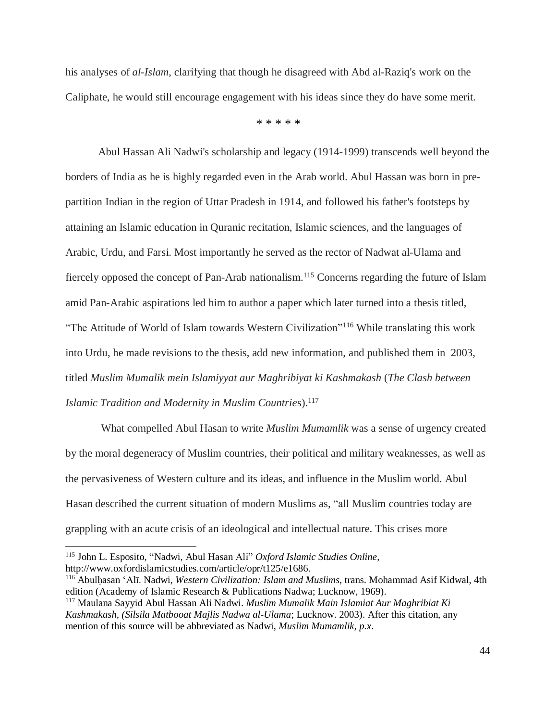his analyses of *al-Islam*, clarifying that though he disagreed with Abd al-Raziq's work on the Caliphate, he would still encourage engagement with his ideas since they do have some merit.

\* \* \* \* \*

Abul Hassan Ali Nadwi's scholarship and legacy (1914-1999) transcends well beyond the borders of India as he is highly regarded even in the Arab world. Abul Hassan was born in prepartition Indian in the region of Uttar Pradesh in 1914, and followed his father's footsteps by attaining an Islamic education in Quranic recitation, Islamic sciences, and the languages of Arabic, Urdu, and Farsi. Most importantly he served as the rector of Nadwat al-Ulama and fiercely opposed the concept of Pan-Arab nationalism.<sup>115</sup> Concerns regarding the future of Islam amid Pan-Arabic aspirations led him to author a paper which later turned into a thesis titled, "The Attitude of World of Islam towards Western Civilization"<sup>116</sup> While translating this work into Urdu, he made revisions to the thesis, add new information, and published them in 2003, titled *Muslim Mumalik mein Islamiyyat aur Maghribiyat ki Kashmakash* (*The Clash between Islamic Tradition and Modernity in Muslim Countrie*s).<sup>117</sup>

What compelled Abul Hasan to write *Muslim Mumamlik* was a sense of urgency created by the moral degeneracy of Muslim countries, their political and military weaknesses, as well as the pervasiveness of Western culture and its ideas, and influence in the Muslim world. Abul Hasan described the current situation of modern Muslims as, "all Muslim countries today are grappling with an acute crisis of an ideological and intellectual nature. This crises more

 $\overline{a}$ 

<sup>116</sup> Abulḥasan ʻAlī. Nadwi, *Western Civilization: Islam and Muslims*, trans. Mohammad Asif Kidwal, 4th edition (Academy of Islamic Research & Publications Nadwa; Lucknow, 1969).

<sup>115</sup> John L. Esposito, "Nadwi, Abul Hasan Ali" *Oxford Islamic Studies Online,* http://www.oxfordislamicstudies.com/article/opr/t125/e1686.

<sup>117</sup> Maulana Sayyid Abul Hassan Ali Nadwi. *Muslim Mumalik Main Islamiat Aur Maghribiat Ki Kashmakash, (Silsila Matbooat Majlis Nadwa al-Ulama*; Lucknow. 2003). After this citation, any mention of this source will be abbreviated as Nadwi, *Muslim Mumamlik, p.x*.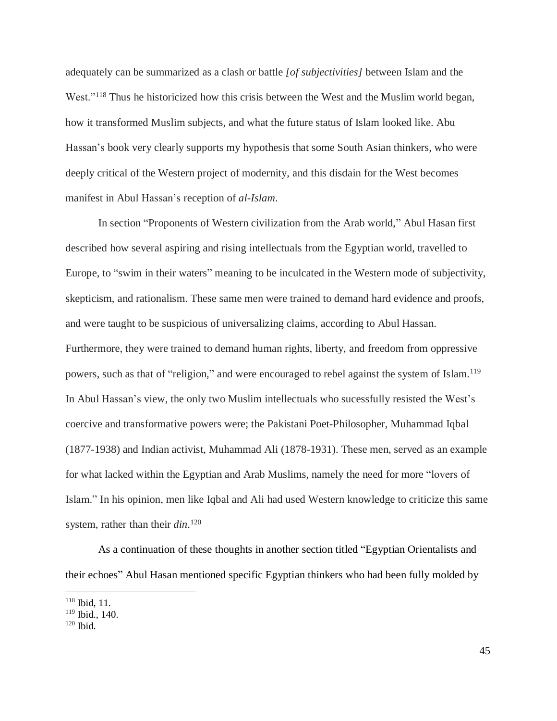adequately can be summarized as a clash or battle *[of subjectivities]* between Islam and the West."<sup>118</sup> Thus he historicized how this crisis between the West and the Muslim world began, how it transformed Muslim subjects, and what the future status of Islam looked like. Abu Hassan's book very clearly supports my hypothesis that some South Asian thinkers, who were deeply critical of the Western project of modernity, and this disdain for the West becomes manifest in Abul Hassan's reception of *al-Islam*.

In section "Proponents of Western civilization from the Arab world," Abul Hasan first described how several aspiring and rising intellectuals from the Egyptian world, travelled to Europe, to "swim in their waters" meaning to be inculcated in the Western mode of subjectivity, skepticism, and rationalism. These same men were trained to demand hard evidence and proofs, and were taught to be suspicious of universalizing claims, according to Abul Hassan. Furthermore, they were trained to demand human rights, liberty, and freedom from oppressive powers, such as that of "religion," and were encouraged to rebel against the system of Islam.<sup>119</sup> In Abul Hassan's view, the only two Muslim intellectuals who sucessfully resisted the West's coercive and transformative powers were; the Pakistani Poet-Philosopher, Muhammad Iqbal (1877-1938) and Indian activist, Muhammad Ali (1878-1931). These men, served as an example for what lacked within the Egyptian and Arab Muslims, namely the need for more "lovers of Islam." In his opinion, men like Iqbal and Ali had used Western knowledge to criticize this same system, rather than their *din*. 120

As a continuation of these thoughts in another section titled "Egyptian Orientalists and their echoes" Abul Hasan mentioned specific Egyptian thinkers who had been fully molded by

 $118$  Ibid, 11.

<sup>119</sup> Ibid., 140.

<sup>120</sup> Ibid.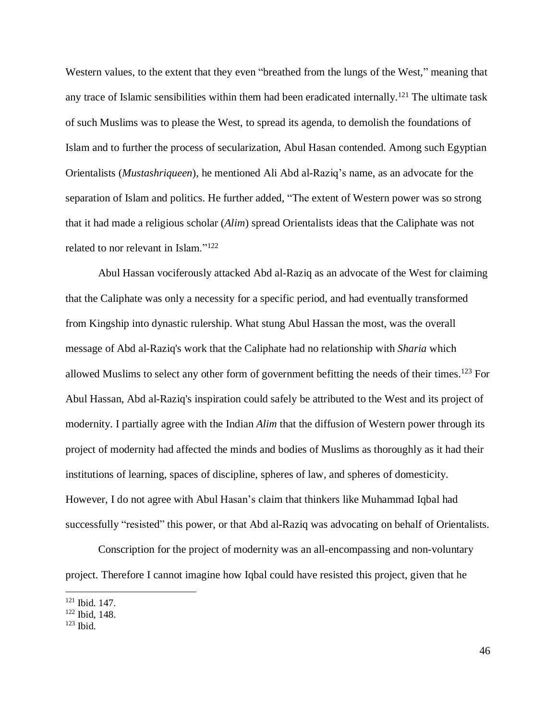Western values, to the extent that they even "breathed from the lungs of the West," meaning that any trace of Islamic sensibilities within them had been eradicated internally.<sup>121</sup> The ultimate task of such Muslims was to please the West, to spread its agenda, to demolish the foundations of Islam and to further the process of secularization, Abul Hasan contended. Among such Egyptian Orientalists (*Mustashriqueen*), he mentioned Ali Abd al-Raziq's name, as an advocate for the separation of Islam and politics. He further added, "The extent of Western power was so strong that it had made a religious scholar (*Alim*) spread Orientalists ideas that the Caliphate was not related to nor relevant in Islam."<sup>122</sup>

Abul Hassan vociferously attacked Abd al-Raziq as an advocate of the West for claiming that the Caliphate was only a necessity for a specific period, and had eventually transformed from Kingship into dynastic rulership. What stung Abul Hassan the most, was the overall message of Abd al-Raziq's work that the Caliphate had no relationship with *Sharia* which allowed Muslims to select any other form of government befitting the needs of their times.<sup>123</sup> For Abul Hassan, Abd al-Raziq's inspiration could safely be attributed to the West and its project of modernity. I partially agree with the Indian *Alim* that the diffusion of Western power through its project of modernity had affected the minds and bodies of Muslims as thoroughly as it had their institutions of learning, spaces of discipline, spheres of law, and spheres of domesticity. However, I do not agree with Abul Hasan's claim that thinkers like Muhammad Iqbal had successfully "resisted" this power, or that Abd al-Raziq was advocating on behalf of Orientalists.

Conscription for the project of modernity was an all-encompassing and non-voluntary project. Therefore I cannot imagine how Iqbal could have resisted this project, given that he

<sup>121</sup> Ibid. 147.

<sup>122</sup> Ibid, 148.

<sup>123</sup> Ibid.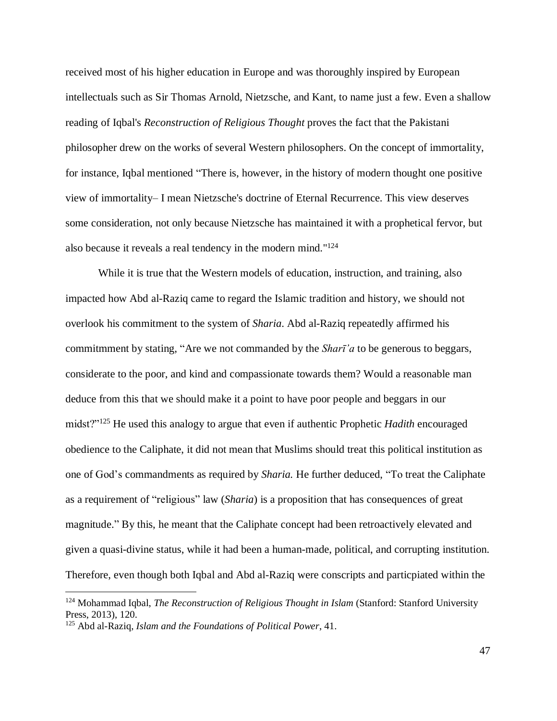received most of his higher education in Europe and was thoroughly inspired by European intellectuals such as Sir Thomas Arnold, Nietzsche, and Kant, to name just a few. Even a shallow reading of Iqbal's *Reconstruction of Religious Thought* proves the fact that the Pakistani philosopher drew on the works of several Western philosophers. On the concept of immortality, for instance, Iqbal mentioned "There is, however, in the history of modern thought one positive view of immortality– I mean Nietzsche's doctrine of Eternal Recurrence. This view deserves some consideration, not only because Nietzsche has maintained it with a prophetical fervor, but also because it reveals a real tendency in the modern mind."<sup>124</sup>

While it is true that the Western models of education, instruction, and training, also impacted how Abd al-Raziq came to regard the Islamic tradition and history, we should not overlook his commitment to the system of *Sharia*. Abd al-Raziq repeatedly affirmed his commitmment by stating, "Are we not commanded by the *Sharī'a* to be generous to beggars, considerate to the poor, and kind and compassionate towards them? Would a reasonable man deduce from this that we should make it a point to have poor people and beggars in our midst?"<sup>125</sup> He used this analogy to argue that even if authentic Prophetic *Hadith* encouraged obedience to the Caliphate, it did not mean that Muslims should treat this political institution as one of God's commandments as required by *Sharia.* He further deduced, "To treat the Caliphate as a requirement of "religious" law (*Sharia*) is a proposition that has consequences of great magnitude." By this, he meant that the Caliphate concept had been retroactively elevated and given a quasi-divine status, while it had been a human-made, political, and corrupting institution. Therefore, even though both Iqbal and Abd al-Raziq were conscripts and particpiated within the

 $\overline{a}$ 

47

<sup>124</sup> Mohammad Iqbal, *The Reconstruction of Religious Thought in Islam* (Stanford: Stanford University Press, 2013), 120.

<sup>125</sup> Abd al-Raziq*, Islam and the Foundations of Political Power*, 41.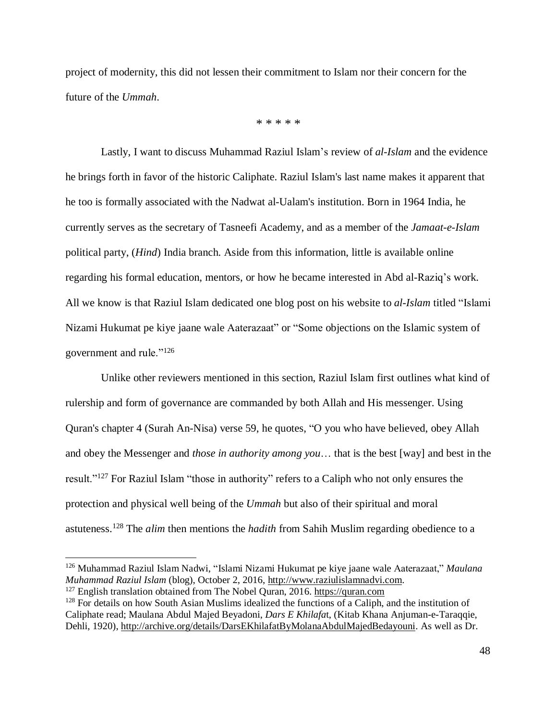project of modernity, this did not lessen their commitment to Islam nor their concern for the future of the *Ummah*.

\* \* \* \* \*

Lastly, I want to discuss Muhammad Raziul Islam's review of *al-Islam* and the evidence he brings forth in favor of the historic Caliphate. Raziul Islam's last name makes it apparent that he too is formally associated with the Nadwat al-Ualam's institution. Born in 1964 India, he currently serves as the secretary of Tasneefi Academy, and as a member of the *Jamaat-e-Islam* political party, (*Hind*) India branch. Aside from this information, little is available online regarding his formal education, mentors, or how he became interested in Abd al-Raziq's work. All we know is that Raziul Islam dedicated one blog post on his website to *al-Islam* titled "Islami Nizami Hukumat pe kiye jaane wale Aaterazaat" or "Some objections on the Islamic system of government and rule."<sup>126</sup>

Unlike other reviewers mentioned in this section, Raziul Islam first outlines what kind of rulership and form of governance are commanded by both Allah and His messenger. Using Quran's chapter 4 (Surah An-Nisa) verse 59, he quotes, "O you who have believed, obey Allah and obey the Messenger and *those in authority among you*… that is the best [way] and best in the result."<sup>127</sup> For Raziul Islam "those in authority" refers to a Caliph who not only ensures the protection and physical well being of the *Ummah* but also of their spiritual and moral astuteness.<sup>128</sup> The *alim* then mentions the *hadith* from Sahih Muslim regarding obedience to a

<sup>126</sup> Muhammad Raziul Islam Nadwi, "Islami Nizami Hukumat pe kiye jaane wale Aaterazaat," *Maulana Muhammad Raziul Islam* (blog), October 2, 2016, [http://www.raziulislamnadvi.com.](http://www.raziulislamnadvi.com/)

 $127$  English translation obtained from The Nobel Quran, 2016. [https://quran.com](https://quran.com/) <sup>128</sup> For details on how South Asian Muslims idealized the functions of a Caliph, and the institution of

Caliphate read; Maulana Abdul Majed Beyadoni, *Dars E Khilafa*t, (Kitab Khana Anjuman-e-Taraqqie, Dehli, 1920), [http://archive.org/details/DarsEKhilafatByMolanaAbdulMajedBedayouni.](http://archive.org/details/DarsEKhilafatByMolanaAbdulMajedBedayouni) As well as Dr.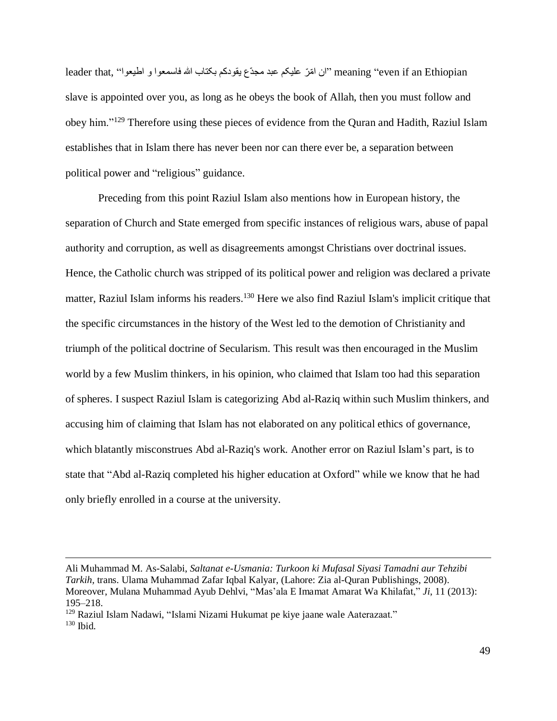leader that, ''ان امّرّ علیکم عبد مجدّع یقودکم بکتاب الله فاسمعوا و اطیعوا'' ,teader that "ان امّرّ علیکم عبد slave is appointed over you, as long as he obeys the book of Allah, then you must follow and obey him."<sup>129</sup> Therefore using these pieces of evidence from the Quran and Hadith, Raziul Islam establishes that in Islam there has never been nor can there ever be, a separation between political power and "religious" guidance.

Preceding from this point Raziul Islam also mentions how in European history, the separation of Church and State emerged from specific instances of religious wars, abuse of papal authority and corruption, as well as disagreements amongst Christians over doctrinal issues. Hence, the Catholic church was stripped of its political power and religion was declared a private matter, Raziul Islam informs his readers.<sup>130</sup> Here we also find Raziul Islam's implicit critique that the specific circumstances in the history of the West led to the demotion of Christianity and triumph of the political doctrine of Secularism. This result was then encouraged in the Muslim world by a few Muslim thinkers, in his opinion, who claimed that Islam too had this separation of spheres. I suspect Raziul Islam is categorizing Abd al-Raziq within such Muslim thinkers, and accusing him of claiming that Islam has not elaborated on any political ethics of governance, which blatantly misconstrues Abd al-Raziq's work. Another error on Raziul Islam's part, is to state that "Abd al-Raziq completed his higher education at Oxford" while we know that he had only briefly enrolled in a course at the university.

Ali Muhammad M. As-Salabi, *Saltanat e-Usmania: Turkoon ki Mufasal Siyasi Tamadni aur Tehzibi Tarkih,* trans. Ulama Muhammad Zafar Iqbal Kalyar, (Lahore: Zia al-Quran Publishings, 2008). Moreover, Mulana Muhammad Ayub Dehlvi, "Mas'ala E Imamat Amarat Wa Khilafat," *Ji*, 11 (2013): 195–218.

<sup>129</sup> Raziul Islam Nadawi, "Islami Nizami Hukumat pe kiye jaane wale Aaterazaat."

<sup>130</sup> Ibid.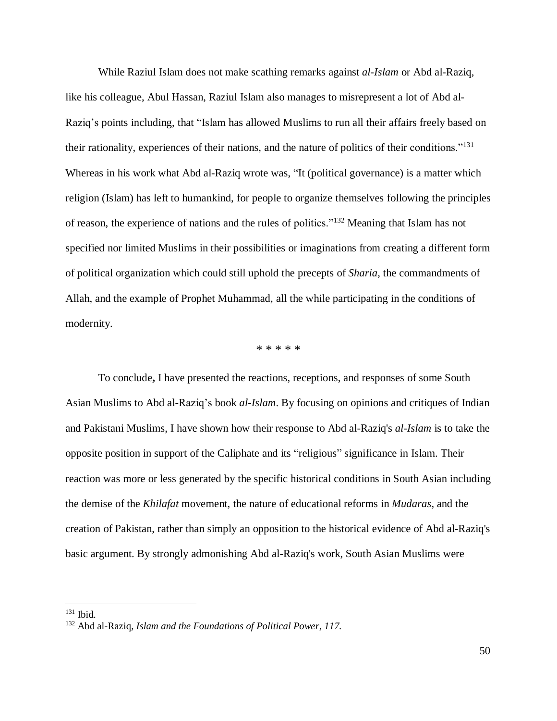While Raziul Islam does not make scathing remarks against *al-Islam* or Abd al-Raziq, like his colleague, Abul Hassan, Raziul Islam also manages to misrepresent a lot of Abd al-Raziq's points including, that "Islam has allowed Muslims to run all their affairs freely based on their rationality, experiences of their nations, and the nature of politics of their conditions."<sup>131</sup> Whereas in his work what Abd al-Raziq wrote was, "It (political governance) is a matter which religion (Islam) has left to humankind, for people to organize themselves following the principles of reason, the experience of nations and the rules of politics."<sup>132</sup> Meaning that Islam has not specified nor limited Muslims in their possibilities or imaginations from creating a different form of political organization which could still uphold the precepts of *Sharia*, the commandments of Allah, and the example of Prophet Muhammad, all the while participating in the conditions of modernity.

\* \* \* \* \*

To conclude**,** I have presented the reactions, receptions, and responses of some South Asian Muslims to Abd al-Raziq's book *al-Islam*. By focusing on opinions and critiques of Indian and Pakistani Muslims, I have shown how their response to Abd al-Raziq's *al-Islam* is to take the opposite position in support of the Caliphate and its "religious" significance in Islam. Their reaction was more or less generated by the specific historical conditions in South Asian including the demise of the *Khilafat* movement, the nature of educational reforms in *Mudaras*, and the creation of Pakistan, rather than simply an opposition to the historical evidence of Abd al-Raziq's basic argument. By strongly admonishing Abd al-Raziq's work, South Asian Muslims were

 $\overline{a}$ 

50

<sup>131</sup> Ibid.

<sup>132</sup> Abd al-Raziq*, Islam and the Foundations of Political Power, 117.*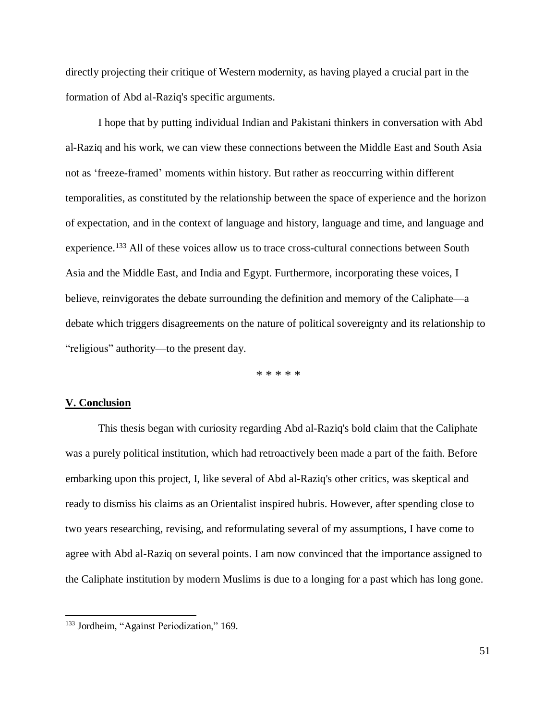directly projecting their critique of Western modernity, as having played a crucial part in the formation of Abd al-Raziq's specific arguments.

I hope that by putting individual Indian and Pakistani thinkers in conversation with Abd al-Raziq and his work, we can view these connections between the Middle East and South Asia not as 'freeze-framed' moments within history. But rather as reoccurring within different temporalities, as constituted by the relationship between the space of experience and the horizon of expectation, and in the context of language and history, language and time, and language and experience.<sup>133</sup> All of these voices allow us to trace cross-cultural connections between South Asia and the Middle East, and India and Egypt. Furthermore, incorporating these voices, I believe, reinvigorates the debate surrounding the definition and memory of the Caliphate—a debate which triggers disagreements on the nature of political sovereignty and its relationship to "religious" authority—to the present day.

\* \* \* \* \*

#### **V. Conclusion**

 $\overline{a}$ 

This thesis began with curiosity regarding Abd al-Raziq's bold claim that the Caliphate was a purely political institution, which had retroactively been made a part of the faith. Before embarking upon this project, I, like several of Abd al-Raziq's other critics, was skeptical and ready to dismiss his claims as an Orientalist inspired hubris. However, after spending close to two years researching, revising, and reformulating several of my assumptions, I have come to agree with Abd al-Raziq on several points. I am now convinced that the importance assigned to the Caliphate institution by modern Muslims is due to a longing for a past which has long gone.

<sup>&</sup>lt;sup>133</sup> Jordheim, "Against Periodization," 169.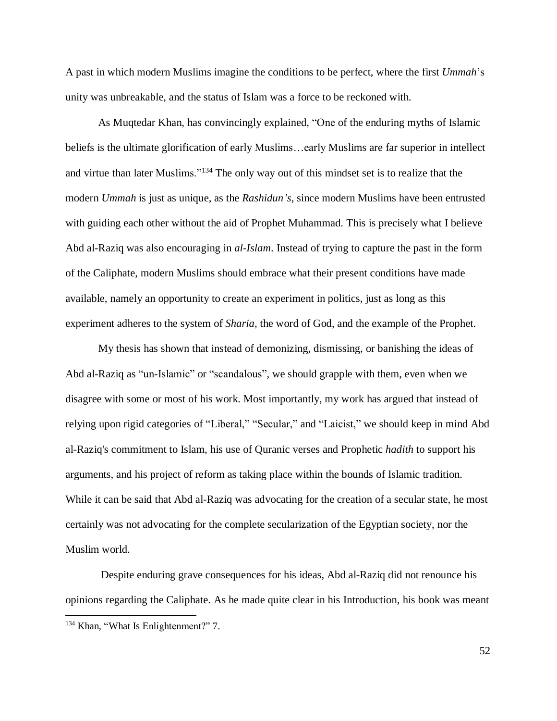A past in which modern Muslims imagine the conditions to be perfect, where the first *Ummah*'s unity was unbreakable, and the status of Islam was a force to be reckoned with.

As Muqtedar Khan, has convincingly explained, "One of the enduring myths of Islamic beliefs is the ultimate glorification of early Muslims…early Muslims are far superior in intellect and virtue than later Muslims."<sup>134</sup> The only way out of this mindset set is to realize that the modern *Ummah* is just as unique, as the *Rashidun's*, since modern Muslims have been entrusted with guiding each other without the aid of Prophet Muhammad. This is precisely what I believe Abd al-Raziq was also encouraging in *al-Islam*. Instead of trying to capture the past in the form of the Caliphate, modern Muslims should embrace what their present conditions have made available, namely an opportunity to create an experiment in politics, just as long as this experiment adheres to the system of *Sharia*, the word of God, and the example of the Prophet.

My thesis has shown that instead of demonizing, dismissing, or banishing the ideas of Abd al-Raziq as "un-Islamic" or "scandalous", we should grapple with them, even when we disagree with some or most of his work. Most importantly, my work has argued that instead of relying upon rigid categories of "Liberal," "Secular," and "Laicist," we should keep in mind Abd al-Raziq's commitment to Islam, his use of Quranic verses and Prophetic *hadith* to support his arguments, and his project of reform as taking place within the bounds of Islamic tradition. While it can be said that Abd al-Raziq was advocating for the creation of a secular state, he most certainly was not advocating for the complete secularization of the Egyptian society, nor the Muslim world.

Despite enduring grave consequences for his ideas, Abd al-Raziq did not renounce his opinions regarding the Caliphate. As he made quite clear in his Introduction, his book was meant  $\overline{a}$ <sup>134</sup> Khan, "What Is Enlightenment?" 7.

52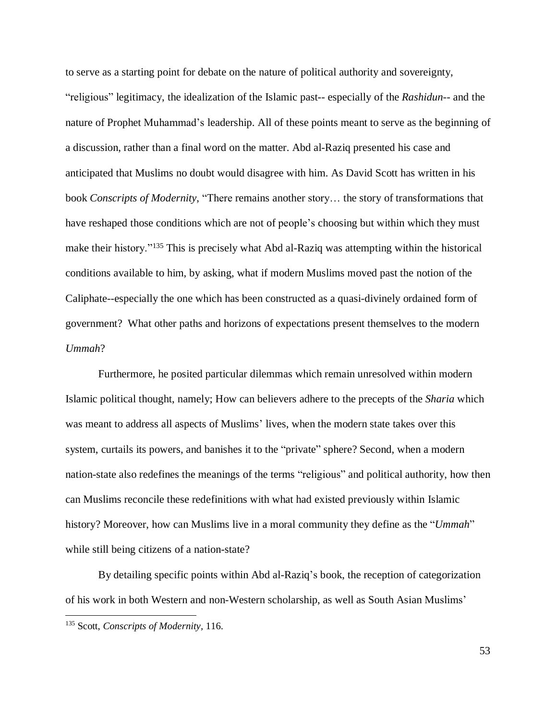to serve as a starting point for debate on the nature of political authority and sovereignty, "religious" legitimacy, the idealization of the Islamic past-- especially of the *Rashidun*-- and the nature of Prophet Muhammad's leadership. All of these points meant to serve as the beginning of a discussion, rather than a final word on the matter. Abd al-Raziq presented his case and anticipated that Muslims no doubt would disagree with him. As David Scott has written in his book *Conscripts of Modernity*, "There remains another story… the story of transformations that have reshaped those conditions which are not of people's choosing but within which they must make their history."<sup>135</sup> This is precisely what Abd al-Raziq was attempting within the historical conditions available to him, by asking, what if modern Muslims moved past the notion of the Caliphate--especially the one which has been constructed as a quasi-divinely ordained form of government? What other paths and horizons of expectations present themselves to the modern *Ummah*?

Furthermore, he posited particular dilemmas which remain unresolved within modern Islamic political thought, namely; How can believers adhere to the precepts of the *Sharia* which was meant to address all aspects of Muslims' lives, when the modern state takes over this system, curtails its powers, and banishes it to the "private" sphere? Second, when a modern nation-state also redefines the meanings of the terms "religious" and political authority, how then can Muslims reconcile these redefinitions with what had existed previously within Islamic history? Moreover, how can Muslims live in a moral community they define as the "*Ummah*" while still being citizens of a nation-state?

By detailing specific points within Abd al-Raziq's book, the reception of categorization of his work in both Western and non-Western scholarship, as well as South Asian Muslims'

 $\overline{a}$ 

53

<sup>135</sup> Scott, *Conscripts of Modernity,* 116.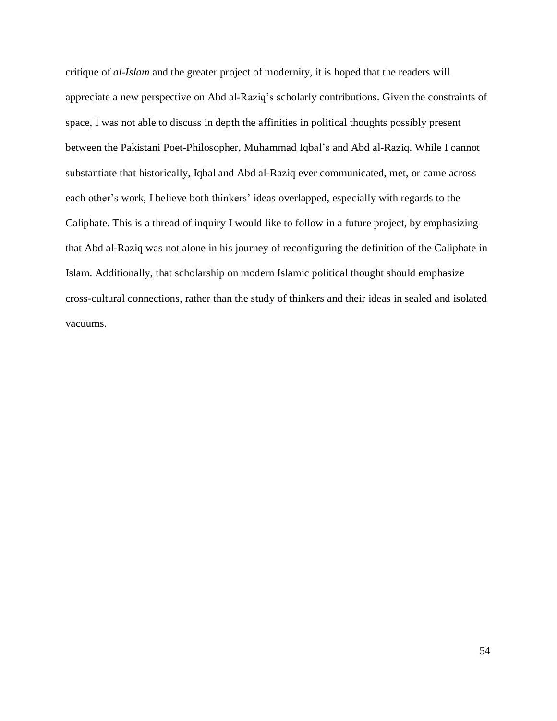critique of *al-Islam* and the greater project of modernity, it is hoped that the readers will appreciate a new perspective on Abd al-Raziq's scholarly contributions. Given the constraints of space, I was not able to discuss in depth the affinities in political thoughts possibly present between the Pakistani Poet-Philosopher, Muhammad Iqbal's and Abd al-Raziq. While I cannot substantiate that historically, Iqbal and Abd al-Raziq ever communicated, met, or came across each other's work, I believe both thinkers' ideas overlapped, especially with regards to the Caliphate. This is a thread of inquiry I would like to follow in a future project, by emphasizing that Abd al-Raziq was not alone in his journey of reconfiguring the definition of the Caliphate in Islam. Additionally, that scholarship on modern Islamic political thought should emphasize cross-cultural connections, rather than the study of thinkers and their ideas in sealed and isolated vacuums.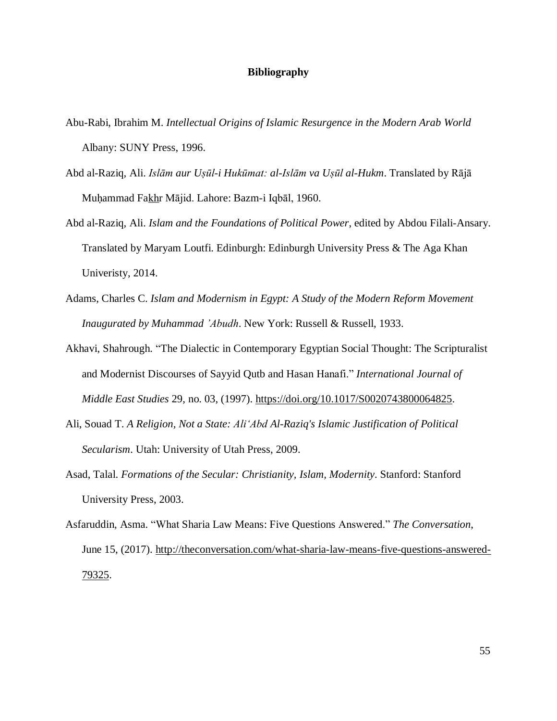#### **Bibliography**

- Abu-Rabi, Ibrahim M. *Intellectual Origins of Islamic Resurgence in the Modern Arab World* Albany: SUNY Press, 1996.
- Abd al-Raziq, Ali. *Islām aur Uṣūl-i Hukūmat: al-Islām va Uṣūl al-Hukm*. Translated by Rājā Muḥammad Fak̲h̲r Mājid. Lahore: Bazm-i Iqbāl, 1960.
- Abd al-Raziq, Ali. *Islam and the Foundations of Political Power*, edited by Abdou Filali-Ansary. Translated by Maryam Loutfi. Edinburgh: Edinburgh University Press & The Aga Khan Univeristy, 2014.
- Adams, Charles C. *Islam and Modernism in Egypt: A Study of the Modern Reform Movement Inaugurated by Muhammad 'Abudh*. New York: Russell & Russell, 1933.
- Akhavi, Shahrough. "The Dialectic in Contemporary Egyptian Social Thought: The Scripturalist and Modernist Discourses of Sayyid Qutb and Hasan Hanafi." *International Journal of Middle East Studies* 29, no. 03, (1997). [https://doi.org/10.1017/S0020743800064825.](https://doi.org/10.1017/S0020743800064825)
- Ali, Souad T. *A Religion, Not a State: AliʻAbd Al-Raziq's Islamic Justification of Political Secularism*. Utah: University of Utah Press, 2009.
- Asad, Talal. *Formations of the Secular: Christianity, Islam, Modernity*. Stanford: Stanford University Press, 2003.
- Asfaruddin, Asma. "What Sharia Law Means: Five Questions Answered." *The Conversation*, June 15, (2017). [http://theconversation.com/what-sharia-law-means-five-questions-answered-](http://theconversation.com/what-sharia-law-means-five-questions-answered-79325)[79325.](http://theconversation.com/what-sharia-law-means-five-questions-answered-79325)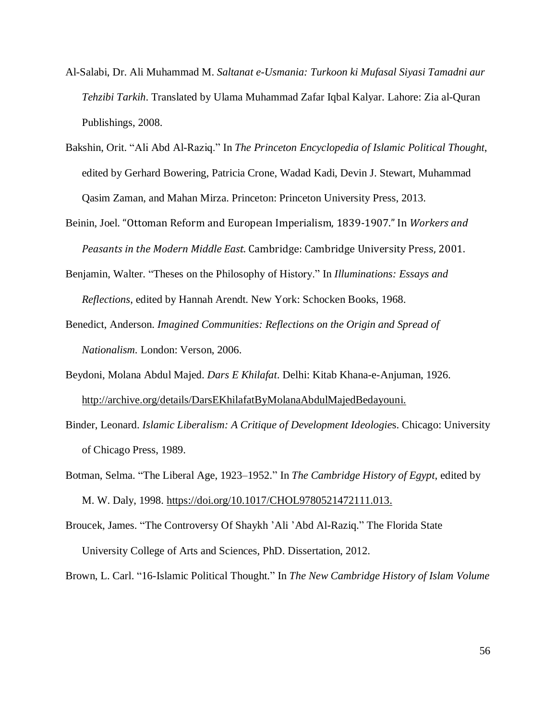- Al-Salabi, Dr. Ali Muhammad M. *Saltanat e-Usmania: Turkoon ki Mufasal Siyasi Tamadni aur Tehzibi Tarkih*. Translated by Ulama Muhammad Zafar Iqbal Kalyar. Lahore: Zia al-Quran Publishings, 2008.
- Bakshin, Orit. "Ali Abd Al-Raziq." In *The Princeton Encyclopedia of Islamic Political Thought*, edited by Gerhard Bowering, Patricia Crone, Wadad Kadi, Devin J. Stewart, Muhammad Qasim Zaman, and Mahan Mirza. Princeton: Princeton University Press, 2013.
- Beinin, Joel. "Ottoman Reform and European Imperialism, 1839-1907." In *Workers and Peasants in the Modern Middle East*. Cambridge: Cambridge University Press, 2001.
- Benjamin, Walter. "Theses on the Philosophy of History." In *Illuminations: Essays and Reflections*, edited by Hannah Arendt. New York: Schocken Books, 1968.
- Benedict, Anderson. *Imagined Communities: Reflections on the Origin and Spread of Nationalism.* London: Verson, 2006.
- Beydoni, Molana Abdul Majed. *Dars E Khilafat*. Delhi: Kitab Khana-e-Anjuman, 1926. [http://archive.org/details/DarsEKhilafatByMolanaAbdulMajedBedayouni.](http://archive.org/details/DarsEKhilafatByMolanaAbdulMajedBedayouni)
- Binder, Leonard. *Islamic Liberalism: A Critique of Development Ideologie*s. Chicago: University of Chicago Press, 1989.
- Botman, Selma. "The Liberal Age, 1923–1952." In *The Cambridge History of Egypt*, edited by M. W. Daly, 1998. [https://doi.org/10.1017/CHOL9780521472111.013.](https://doi.org/10.1017/CHOL9780521472111.013)
- Broucek, James. "The Controversy Of Shaykh 'Ali 'Abd Al-Raziq." The Florida State University College of Arts and Sciences, PhD. Dissertation, 2012.
- Brown, L. Carl. "16-Islamic Political Thought." In *The New Cambridge History of Islam Volume*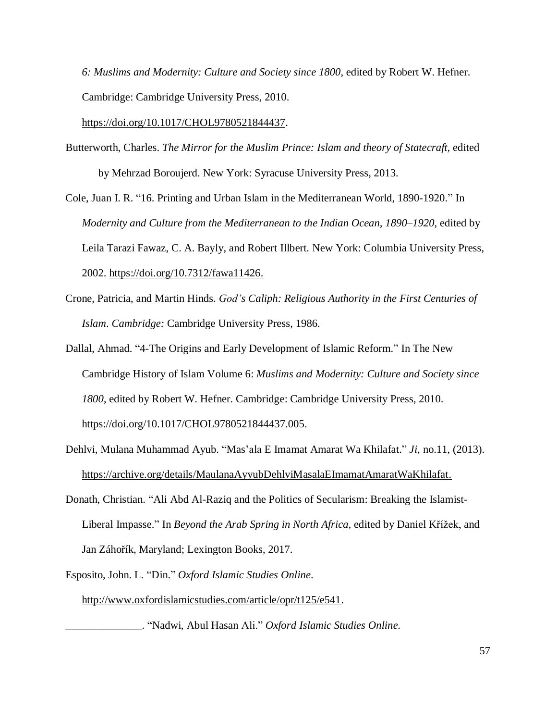*6: Muslims and Modernity: Culture and Society since 1800*, edited by Robert W. Hefner. Cambridge: Cambridge University Press, 2010.

[https://doi.org/10.1017/CHOL9780521844437.](https://doi.org/10.1017/CHOL9780521844437)

- Butterworth, Charles. *The Mirror for the Muslim Prince: Islam and theory of Statecraft,* edited by Mehrzad Boroujerd. New York: Syracuse University Press, 2013.
- Cole, Juan I. R. "16. Printing and Urban Islam in the Mediterranean World, 1890-1920." In *Modernity and Culture from the Mediterranean to the Indian Ocean, 1890–1920*, edited by Leila Tarazi Fawaz, C. A. Bayly, and Robert Illbert. New York: Columbia University Press, 2002. [https://doi.org/10.7312/fawa11426.](https://doi.org/10.7312/fawa11426)
- Crone, Patricia, and Martin Hinds. *God's Caliph: Religious Authority in the First Centuries of Islam*. *Cambridge:* Cambridge University Press, 1986.
- Dallal, Ahmad. "4-The Origins and Early Development of Islamic Reform." In The New Cambridge History of Islam Volume 6: *Muslims and Modernity: Culture and Society since 1800*, edited by Robert W. Hefner. Cambridge: Cambridge University Press, 2010. [https://doi.org/10.1017/CHOL9780521844437.005.](https://doi.org/10.1017/CHOL9780521844437.005)
- Dehlvi, Mulana Muhammad Ayub. "Mas'ala E Imamat Amarat Wa Khilafat." *Ji*, no.11, (2013). [https://archive.org/details/MaulanaAyyubDehlviMasalaEImamatAmaratWaKhilafat.](https://archive.org/details/MaulanaAyyubDehlviMasalaEImamatAmaratWaKhilafat)
- Donath, Christian. "Ali Abd Al-Raziq and the Politics of Secularism: Breaking the Islamist-Liberal Impasse." In *Beyond the Arab Spring in North Africa,* edited by Daniel Křížek, and Jan Záhořík, Maryland; Lexington Books, 2017.

Esposito, John. L. "Din." *Oxford Islamic Studies Online*.

[http://www.oxfordislamicstudies.com/article/opr/t125/e541.](http://www.oxfordislamicstudies.com/article/opr/t125/e541)

\_\_\_\_\_\_\_\_\_\_\_\_\_\_. "Nadwi, Abul Hasan Ali." *Oxford Islamic Studies Online.*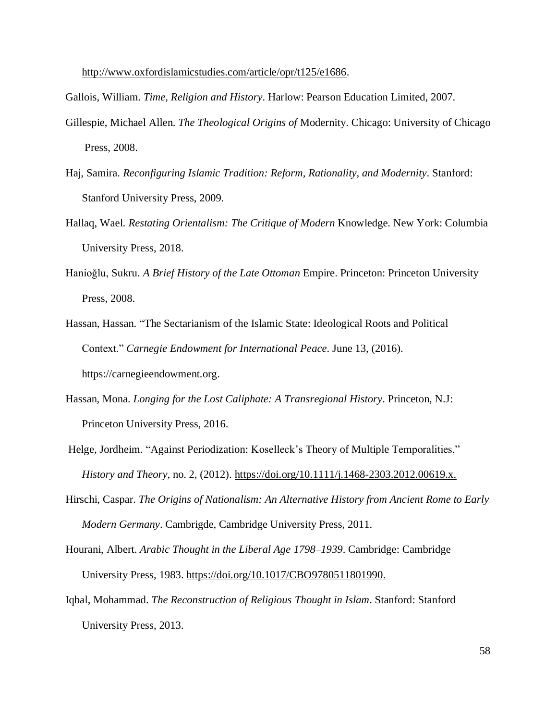http://www.oxfordislamicstudies.com/article/opr/t125/e1686.

Gallois, William. *Time, Religion and History*. Harlow: Pearson Education Limited, 2007.

- Gillespie, Michael Allen. *The Theological Origins of* Modernity. Chicago: University of Chicago Press, 2008.
- Haj, Samira. *Reconfiguring Islamic Tradition: Reform, Rationality, and Modernity*. Stanford: Stanford University Press, 2009.
- Hallaq, Wael. *Restating Orientalism: The Critique of Modern* Knowledge. New York: Columbia University Press, 2018.
- Hanioğlu, Sukru. *A Brief History of the Late Ottoman* Empire. Princeton: Princeton University Press, 2008.
- Hassan, Hassan. "The Sectarianism of the Islamic State: Ideological Roots and Political Context." *Carnegie Endowment for International Peace*. June 13, (2016). [https://carnegieendowment.org.](https://carnegieendowment.org/)
- Hassan, Mona. *Longing for the Lost Caliphate: A Transregional History*. Princeton, N.J: Princeton University Press, 2016.
- Helge, Jordheim. "Against Periodization: Koselleck's Theory of Multiple Temporalities," *History and Theory*, no. 2, (2012). [https://doi.org/10.1111/j.1468-2303.2012.00619.x.](https://doi.org/10.1111/j.1468-2303.2012.00619.x)
- Hirschi, Caspar. *The Origins of Nationalism: An Alternative History from Ancient Rome to Early Modern Germany*. Cambrigde, Cambridge University Press, 2011.
- Hourani, Albert. *Arabic Thought in the Liberal Age 1798–1939*. Cambridge: Cambridge University Press, 1983. [https://doi.org/10.1017/CBO9780511801990.](https://doi.org/10.1017/CBO9780511801990)
- Iqbal, Mohammad. *The Reconstruction of Religious Thought in Islam*. Stanford: Stanford University Press, 2013.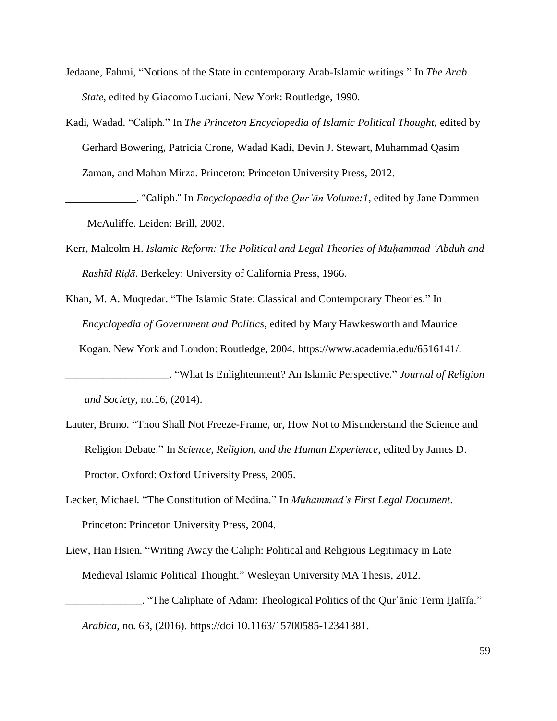- Jedaane, Fahmi, "Notions of the State in contemporary Arab-Islamic writings." In *The Arab State,* edited by Giacomo Luciani. New York: Routledge, 1990.
- Kadi, Wadad. "Caliph." In *The Princeton Encyclopedia of Islamic Political Thought,* edited by Gerhard Bowering, Patricia Crone, Wadad Kadi, Devin J. Stewart, Muhammad Qasim Zaman, and Mahan Mirza. Princeton: Princeton University Press, 2012.

\_\_\_\_\_\_\_\_\_\_\_\_\_. "Caliph." In *Encyclopaedia of the Qurʾān Volume:1*, edited by Jane Dammen McAuliffe. Leiden: Brill, 2002.

- Kerr, Malcolm H. *Islamic Reform: The Political and Legal Theories of Muḥammad ʻAbduh and Rashīd Riḍā*. Berkeley: University of California Press, 1966.
- Khan, M. A. Muqtedar. "The Islamic State: Classical and Contemporary Theories." In *Encyclopedia of Government and Politics*, edited by Mary Hawkesworth and Maurice Kogan. New York and London: Routledge, 2004. [https://www.academia.edu/6516141/.](https://www.academia.edu/6516141/The_Islamic_State_Classical_and_Contemporary_Theories)
- \_\_\_\_\_\_\_\_\_\_\_\_\_\_\_\_\_\_\_. "What Is Enlightenment? An Islamic Perspective." *Journal of Religion and Society,* no.16, (2014).
- Lauter, Bruno. "Thou Shall Not Freeze-Frame, or, How Not to Misunderstand the Science and Religion Debate." In *Science, Religion, and the Human Experience*, edited by James D. Proctor. Oxford: Oxford University Press, 2005.
- Lecker, Michael. "The Constitution of Medina." In *Muhammad's First Legal Document*. Princeton: Princeton University Press, 2004.
- Liew, Han Hsien. "Writing Away the Caliph: Political and Religious Legitimacy in Late Medieval Islamic Political Thought." Wesleyan University MA Thesis, 2012.
	- \_\_\_\_\_\_\_\_\_\_\_\_\_\_. "The Caliphate of Adam: Theological Politics of the Qurʾānic Term Ḫalīfa." *Arabica,* no*.* 63, (2016). https://doi 10.1163/15700585-12341381.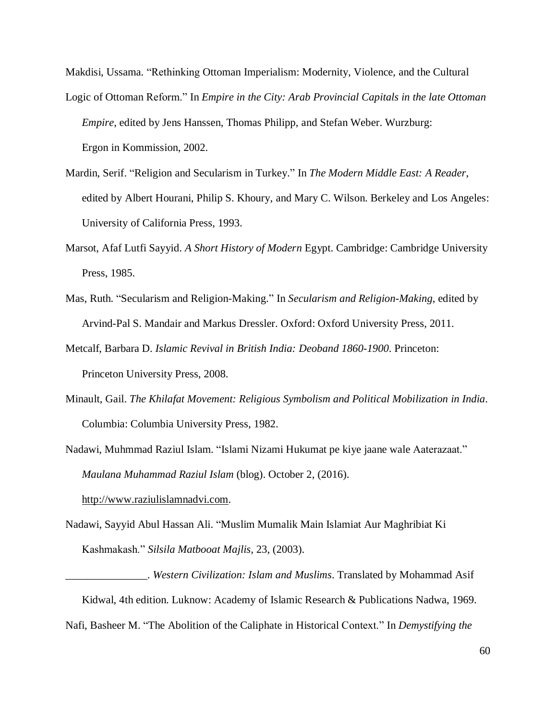Makdisi, Ussama. "Rethinking Ottoman Imperialism: Modernity, Violence, and the Cultural Logic of Ottoman Reform." In *Empire in the City: Arab Provincial Capitals in the late Ottoman Empire*, edited by Jens Hanssen, Thomas Philipp, and Stefan Weber. Wurzburg: Ergon in Kommission, 2002.

- Mardin, Serif. "Religion and Secularism in Turkey." In *The Modern Middle East: A Reader*, edited by Albert Hourani, Philip S. Khoury, and Mary C. Wilson. Berkeley and Los Angeles: University of California Press, 1993.
- Marsot, Afaf Lutfi Sayyid. *A Short History of Modern* Egypt. Cambridge: Cambridge University Press, 1985.
- Mas, Ruth. "Secularism and Religion-Making." In *Secularism and Religion-Making*, edited by Arvind-Pal S. Mandair and Markus Dressler. Oxford: Oxford University Press, 2011.
- Metcalf, Barbara D. *Islamic Revival in British India: Deoband 1860-1900*. Princeton: Princeton University Press, 2008.
- Minault, Gail. *The Khilafat Movement: Religious Symbolism and Political Mobilization in India*. Columbia: Columbia University Press, 1982.

Nadawi, Muhmmad Raziul Islam. "Islami Nizami Hukumat pe kiye jaane wale Aaterazaat." *Maulana Muhammad Raziul Islam* (blog). October 2, (2016).

[http://www.raziulislamnadvi.com.](http://www.raziulislamnadvi.com/)

Nadawi, Sayyid Abul Hassan Ali. "Muslim Mumalik Main Islamiat Aur Maghribiat Ki Kashmakash." *Silsila Matbooat Majlis,* 23, (2003).

\_\_\_\_\_\_\_\_\_\_\_\_\_\_\_. *Western Civilization: Islam and Muslims*. Translated by Mohammad Asif Kidwal, 4th edition. Luknow: Academy of Islamic Research & Publications Nadwa, 1969. Nafi, Basheer M. "The Abolition of the Caliphate in Historical Context." In *Demystifying the*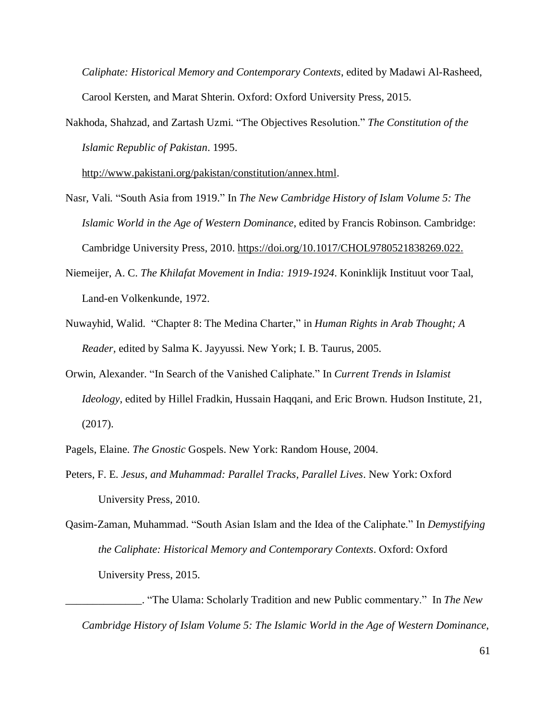*Caliphate: Historical Memory and Contemporary Contexts*, edited by Madawi Al-Rasheed, Carool Kersten, and Marat Shterin. Oxford: Oxford University Press, 2015.

Nakhoda, Shahzad, and Zartash Uzmi. "The Objectives Resolution." *The Constitution of the Islamic Republic of Pakistan*. 1995.

[http://www.pakistani.org/pakistan/constitution/annex.html.](http://www.pakistani.org/pakistan/constitution/annex.html)

- Nasr, Vali. "South Asia from 1919." In *The New Cambridge History of Islam Volume 5: The Islamic World in the Age of Western Dominance*, edited by Francis Robinson. Cambridge: Cambridge University Press, 2010. [https://doi.org/10.1017/CHOL9780521838269.022.](https://doi.org/10.1017/CHOL9780521838269.022)
- Niemeijer, A. C. *The Khilafat Movement in India: 1919-1924*. Koninklijk Instituut voor Taal, Land-en Volkenkunde, 1972.
- Nuwayhid, Walid. "Chapter 8: The Medina Charter," in *Human Rights in Arab Thought; A Reader,* edited by Salma K. Jayyussi. New York; I. B. Taurus, 2005.
- Orwin, Alexander. "In Search of the Vanished Caliphate." In *Current Trends in Islamist Ideology*, edited by Hillel Fradkin, Hussain Haqqani, and Eric Brown. Hudson Institute, 21, (2017).
- Pagels, Elaine. *The Gnostic* Gospels. New York: Random House, 2004.
- Peters, F. E. *Jesus, and Muhammad: Parallel Tracks, Parallel Lives*. New York: Oxford University Press, 2010.
- Qasim-Zaman, Muhammad. "South Asian Islam and the Idea of the Caliphate." In *Demystifying the Caliphate: Historical Memory and Contemporary Contexts*. Oxford: Oxford University Press, 2015.

\_\_\_\_\_\_\_\_\_\_\_\_\_\_. "The Ulama: Scholarly Tradition and new Public commentary." In *The New Cambridge History of Islam Volume 5: The Islamic World in the Age of Western Dominance*,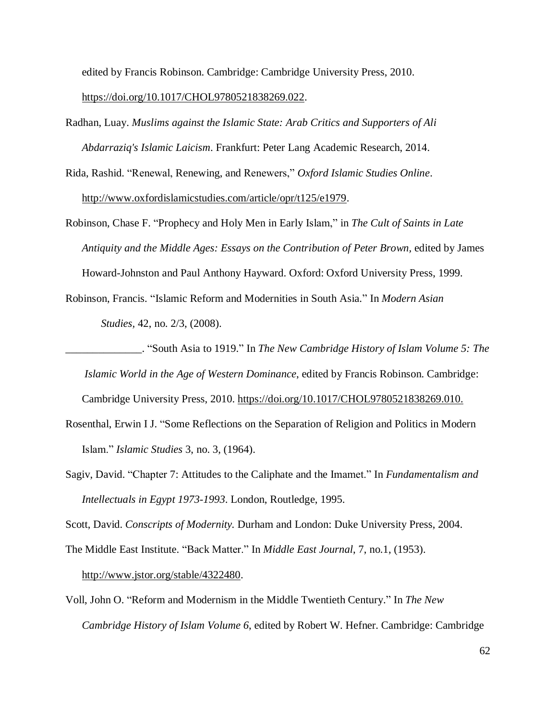edited by Francis Robinson. Cambridge: Cambridge University Press, 2010.

#### [https://doi.org/10.1017/CHOL9780521838269.022.](https://doi.org/10.1017/CHOL9780521838269.022)

- Radhan, Luay. *Muslims against the Islamic State: Arab Critics and Supporters of Ali Abdarraziq's Islamic Laicism*. Frankfurt: Peter Lang Academic Research, 2014.
- Rida, Rashid. "Renewal, Renewing, and Renewers," *Oxford Islamic Studies Online*. [http://www.oxfordislamicstudies.com/article/opr/t125/e1979.](http://www.oxfordislamicstudies.com/article/opr/t125/e1979)
- Robinson, Chase F. "Prophecy and Holy Men in Early Islam," in *The Cult of Saints in Late Antiquity and the Middle Ages: Essays on the Contribution of Peter Brown,* edited by James Howard-Johnston and Paul Anthony Hayward. Oxford: Oxford University Press, 1999.
- Robinson, Francis. "Islamic Reform and Modernities in South Asia." In *Modern Asian Studies,* 42, no. 2/3, (2008).

\_\_\_\_\_\_\_\_\_\_\_\_\_\_. "South Asia to 1919." In *The New Cambridge History of Islam Volume 5: The*

*Islamic World in the Age of Western Dominance*, edited by Francis Robinson. Cambridge:

Cambridge University Press, 2010. [https://doi.org/10.1017/CHOL9780521838269.010.](https://doi.org/10.1017/CHOL9780521838269.010)

- Rosenthal, Erwin I J. "Some Reflections on the Separation of Religion and Politics in Modern Islam." *Islamic Studies* 3, no. 3, (1964).
- Sagiv, David. "Chapter 7: Attitudes to the Caliphate and the Imamet." In *Fundamentalism and Intellectuals in Egypt 1973-1993*. London, Routledge, 1995.

Scott, David. *Conscripts of Modernity.* Durham and London: Duke University Press, 2004.

The Middle East Institute. "Back Matter." In *Middle East Journal*, 7, no.1, (1953).

[http://www.jstor.org/stable/4322480.](http://www.jstor.org/stable/4322480)

Voll, John O. "Reform and Modernism in the Middle Twentieth Century." In *The New Cambridge History of Islam Volume 6*, edited by Robert W. Hefner. Cambridge: Cambridge